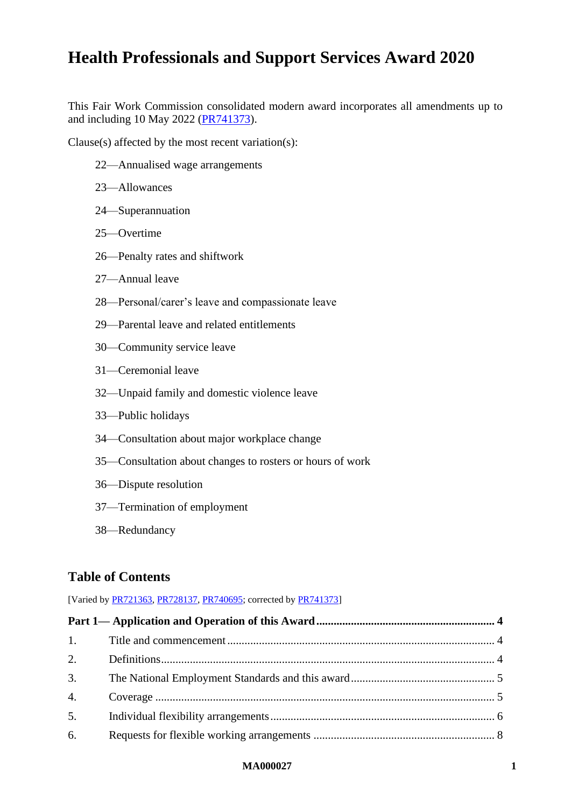This Fair Work Commission consolidated modern award incorporates all amendments up to and including 10 May 2022 [\(PR741373\)](https://www.fwc.gov.au/documents/awardsandorders/html/pr741373.htm).

Clause(s) affected by the most recent variation(s):

- [22—Annualised wage arrangements](#page-21-0)
- [23—Allowances](#page-22-0)
- [24—Superannuation](#page-26-0)
- [25—Overtime](#page-28-0)
- [26—Penalty rates and shiftwork](#page-32-0)
- [27—Annual leave](#page-32-1)
- [28—Personal/carer's leave and compassionate leave](#page-36-0)
- [29—Parental leave and related entitlements](#page-37-0)
- [30—Community service leave](#page-37-1)
- [31—Ceremonial leave](#page-37-2)
- [32—Unpaid family and domestic violence leave](#page-37-3)
- [33—Public holidays](#page-37-4)
- [34—Consultation about major workplace change](#page-38-0)
- [35—Consultation about changes to rosters or hours of work](#page-39-0)
- [36—Dispute resolution](#page-39-1)
- [37—Termination of employment](#page-40-0)
- [38—Redundancy](#page-41-0)

# **Table of Contents**

[Varied b[y PR721363,](https://www.fwc.gov.au/documents/awardsandorders/html/pr721363.htm) [PR728137,](https://www.fwc.gov.au/documents/awardsandorders/html/PR728137.htm) [PR740695;](https://www.fwc.gov.au/documents/awardsandorders/html/pr740695.htm) corrected b[y PR741373\]](https://www.fwc.gov.au/documents/awardsandorders/html/pr741373.htm)

| 1. |  |
|----|--|
| 2. |  |
| 3. |  |
| 4. |  |
| 5. |  |
| 6. |  |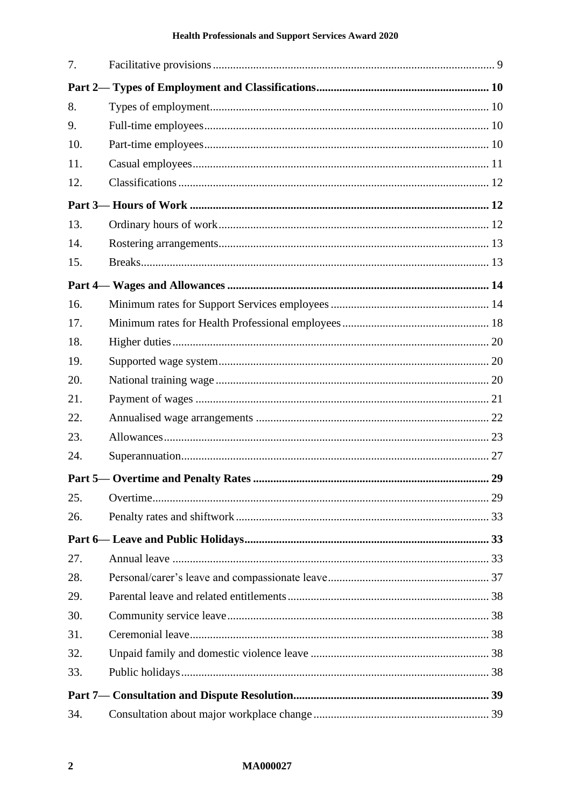| 7.  |  |
|-----|--|
|     |  |
| 8.  |  |
| 9.  |  |
| 10. |  |
| 11. |  |
| 12. |  |
|     |  |
| 13. |  |
| 14. |  |
| 15. |  |
|     |  |
| 16. |  |
| 17. |  |
| 18. |  |
| 19. |  |
| 20. |  |
| 21. |  |
| 22. |  |
| 23. |  |
| 24. |  |
|     |  |
| 25. |  |
| 26. |  |
|     |  |
| 27. |  |
| 28. |  |
| 29. |  |
| 30. |  |
| 31. |  |
| 32. |  |
| 33. |  |
|     |  |
| 34. |  |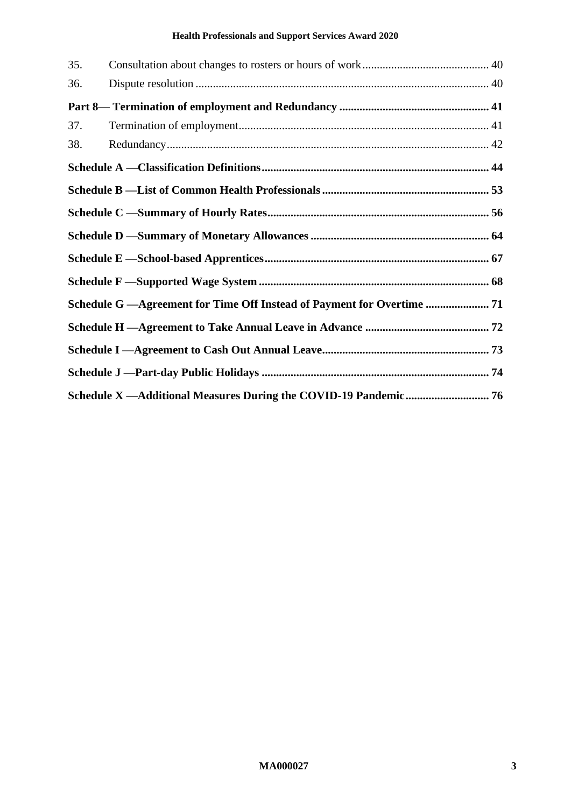| 35. |                                                                         |  |
|-----|-------------------------------------------------------------------------|--|
| 36. |                                                                         |  |
|     |                                                                         |  |
| 37. |                                                                         |  |
| 38. |                                                                         |  |
|     |                                                                         |  |
|     |                                                                         |  |
|     |                                                                         |  |
|     |                                                                         |  |
|     |                                                                         |  |
|     |                                                                         |  |
|     | Schedule G — Agreement for Time Off Instead of Payment for Overtime  71 |  |
|     |                                                                         |  |
|     |                                                                         |  |
|     |                                                                         |  |
|     |                                                                         |  |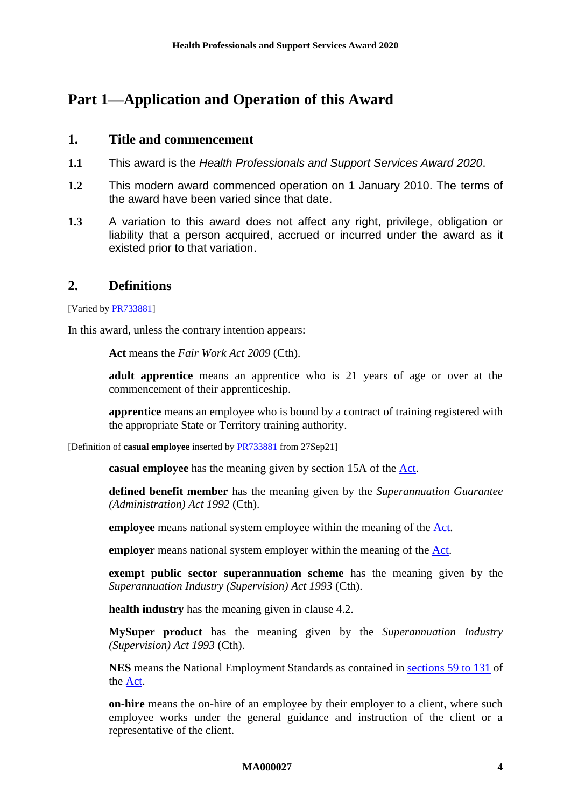# <span id="page-3-1"></span><span id="page-3-0"></span>**Part 1—Application and Operation of this Award**

## **1. Title and commencement**

- **1.1** This award is the *Health Professionals and Support Services Award 2020*.
- **1.2** This modern award commenced operation on 1 January 2010. The terms of the award have been varied since that date.
- **1.3** A variation to this award does not affect any right, privilege, obligation or liability that a person acquired, accrued or incurred under the award as it existed prior to that variation.

## <span id="page-3-2"></span>**2. Definitions**

[Varied by **PR733881**]

In this award, unless the contrary intention appears:

**Act** means the *Fair Work Act 2009* (Cth).

**adult apprentice** means an apprentice who is 21 years of age or over at the commencement of their apprenticeship.

**apprentice** means an employee who is bound by a contract of training registered with the appropriate State or Territory training authority.

[Definition of **casual employee** inserted by [PR733881](https://www.fwc.gov.au/documents/awardsandorders/html/PR733881.htm) from 27Sep21]

**casual employee** has the meaning given by section 15A of the [Act.](http://www.legislation.gov.au/Series/C2009A00028)

**defined benefit member** has the meaning given by the *Superannuation Guarantee (Administration) Act 1992* (Cth).

**employee** means national system employee within the meaning of the [Act.](http://www.legislation.gov.au/Series/C2009A00028)

**employer** means national system employer within the meaning of the [Act.](http://www.legislation.gov.au/Series/C2009A00028)

**exempt public sector superannuation scheme** has the meaning given by the *Superannuation Industry (Supervision) Act 1993* (Cth).

**health industry** has the meaning given in clause [4.2.](#page-4-2)

**MySuper product** has the meaning given by the *Superannuation Industry (Supervision) Act 1993* (Cth).

**NES** means the National Employment Standards as contained in sections [59 to 131](http://www.fwc.gov.au/awardmod/download/nes.pdf) of the [Act.](http://www.legislation.gov.au/Series/C2009A00028)

**on-hire** means the on-hire of an employee by their employer to a client, where such employee works under the general guidance and instruction of the client or a representative of the client.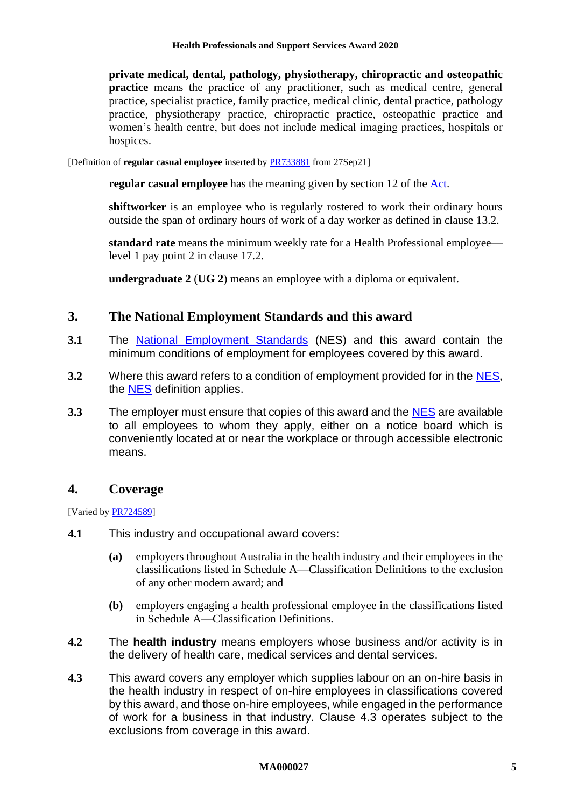**private medical, dental, pathology, physiotherapy, chiropractic and osteopathic practice** means the practice of any practitioner, such as medical centre, general practice, specialist practice, family practice, medical clinic, dental practice, pathology practice, physiotherapy practice, chiropractic practice, osteopathic practice and women's health centre, but does not include medical imaging practices, hospitals or hospices.

[Definition of **regular casual employee** inserted by [PR733881](https://www.fwc.gov.au/documents/awardsandorders/html/PR733881.htm) from 27Sep21]

**regular casual employee** has the meaning given by section 12 of the [Act.](http://www.legislation.gov.au/Series/C2009A00028)

**shiftworker** is an employee who is regularly rostered to work their ordinary hours outside the span of ordinary hours of work of a day worker as defined in clause [13.2.](#page-11-3)

**standard rate** means the minimum weekly rate for a Health Professional employee level 1 pay point 2 in clause [17.2.](#page-17-1)

**undergraduate 2** (**UG 2**) means an employee with a diploma or equivalent.

## <span id="page-4-0"></span>**3. The National Employment Standards and this award**

- **3.1** The [National Employment Standards](https://www.fwc.gov.au/documents/awardmod/download/nes.pdf) (NES) and this award contain the minimum conditions of employment for employees covered by this award.
- **3.2** Where this award refers to a condition of employment provided for in the [NES,](https://www.fwc.gov.au/documents/awardmod/download/nes.pdf) the [NES](https://www.fwc.gov.au/documents/awardmod/download/nes.pdf) definition applies.
- **3.3** The employer must ensure that copies of this award and the [NES](https://www.fwc.gov.au/documents/awardmod/download/nes.pdf) are available to all employees to whom they apply, either on a notice board which is conveniently located at or near the workplace or through accessible electronic means.

# <span id="page-4-1"></span>**4. Coverage**

[Varied b[y PR724589\]](https://www.fwc.gov.au/documents/awardsandorders/html/PR724589.htm)

- **4.1** This industry and occupational award covers:
	- **(a)** employers throughout Australia in the health industry and their employees in the classifications listed in [Schedule A—Classification Definitions](#page-43-0) to the exclusion of any other modern award; and
	- **(b)** employers engaging a health professional employee in the classifications listed in [Schedule A—Classification Definitions.](#page-43-0)
- <span id="page-4-2"></span>**4.2** The **health industry** means employers whose business and/or activity is in the delivery of health care, medical services and dental services.
- <span id="page-4-3"></span>**4.3** This award covers any employer which supplies labour on an on-hire basis in the health industry in respect of on-hire employees in classifications covered by this award, and those on-hire employees, while engaged in the performance of work for a business in that industry. Clause [4.3](#page-4-3) operates subject to the exclusions from coverage in this award.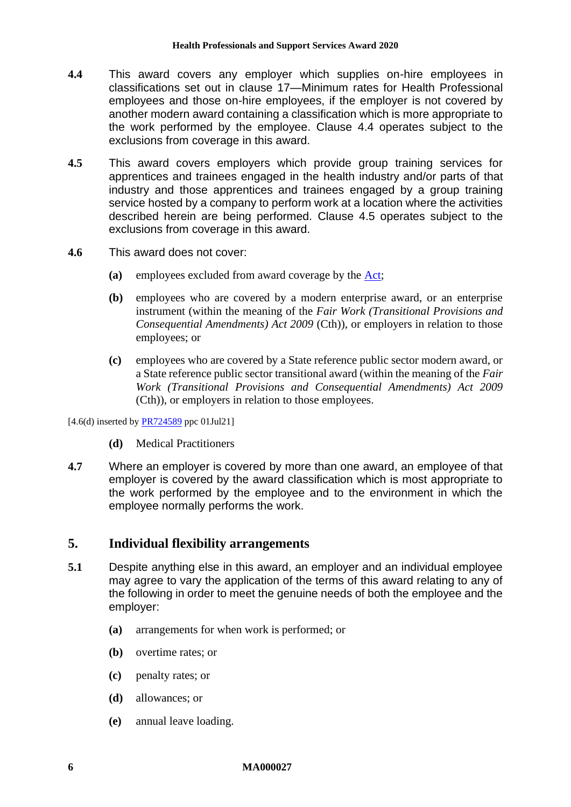- <span id="page-5-1"></span>**4.4** This award covers any employer which supplies on-hire employees in classifications set out in clause [17—Minimum rates for Health Professional](#page-17-0)  [employees](#page-17-0) and those on-hire employees, if the employer is not covered by another modern award containing a classification which is more appropriate to the work performed by the employee. Clause [4.4](#page-5-1) operates subject to the exclusions from coverage in this award.
- <span id="page-5-2"></span>**4.5** This award covers employers which provide group training services for apprentices and trainees engaged in the health industry and/or parts of that industry and those apprentices and trainees engaged by a group training service hosted by a company to perform work at a location where the activities described herein are being performed. Clause [4.5](#page-5-2) operates subject to the exclusions from coverage in this award.
- **4.6** This award does not cover:
	- **(a)** employees excluded from award coverage by the [Act;](http://www.legislation.gov.au/Series/C2009A00028)
	- **(b)** employees who are covered by a modern enterprise award, or an enterprise instrument (within the meaning of the *Fair Work (Transitional Provisions and Consequential Amendments) Act 2009* (Cth)), or employers in relation to those employees; or
	- **(c)** employees who are covered by a State reference public sector modern award, or a State reference public sector transitional award (within the meaning of the *Fair Work (Transitional Provisions and Consequential Amendments) Act 2009*  (Cth)), or employers in relation to those employees.

 $[4.6(d)$  inserted by  $\frac{PR724589}{PR724589}$  ppc 01Jul21]

- **(d)** Medical Practitioners
- **4.7** Where an employer is covered by more than one award, an employee of that employer is covered by the award classification which is most appropriate to the work performed by the employee and to the environment in which the employee normally performs the work.

# <span id="page-5-0"></span>**5. Individual flexibility arrangements**

- **5.1** Despite anything else in this award, an employer and an individual employee may agree to vary the application of the terms of this award relating to any of the following in order to meet the genuine needs of both the employee and the employer:
	- **(a)** arrangements for when work is performed; or
	- **(b)** overtime rates; or
	- **(c)** penalty rates; or
	- **(d)** allowances; or
	- **(e)** annual leave loading.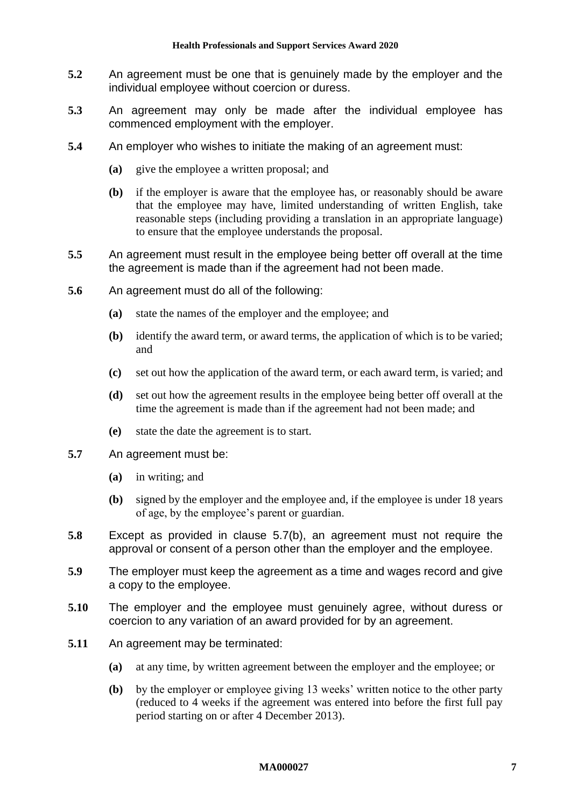- **5.2** An agreement must be one that is genuinely made by the employer and the individual employee without coercion or duress.
- **5.3** An agreement may only be made after the individual employee has commenced employment with the employer.
- **5.4** An employer who wishes to initiate the making of an agreement must:
	- **(a)** give the employee a written proposal; and
	- **(b)** if the employer is aware that the employee has, or reasonably should be aware that the employee may have, limited understanding of written English, take reasonable steps (including providing a translation in an appropriate language) to ensure that the employee understands the proposal.
- **5.5** An agreement must result in the employee being better off overall at the time the agreement is made than if the agreement had not been made.
- **5.6** An agreement must do all of the following:
	- **(a)** state the names of the employer and the employee; and
	- **(b)** identify the award term, or award terms, the application of which is to be varied; and
	- **(c)** set out how the application of the award term, or each award term, is varied; and
	- **(d)** set out how the agreement results in the employee being better off overall at the time the agreement is made than if the agreement had not been made; and
	- **(e)** state the date the agreement is to start.
- <span id="page-6-0"></span>**5.7** An agreement must be:
	- **(a)** in writing; and
	- **(b)** signed by the employer and the employee and, if the employee is under 18 years of age, by the employee's parent or guardian.
- **5.8** Except as provided in clause [5.7\(b\),](#page-6-0) an agreement must not require the approval or consent of a person other than the employer and the employee.
- **5.9** The employer must keep the agreement as a time and wages record and give a copy to the employee.
- **5.10** The employer and the employee must genuinely agree, without duress or coercion to any variation of an award provided for by an agreement.
- <span id="page-6-1"></span>**5.11** An agreement may be terminated:
	- **(a)** at any time, by written agreement between the employer and the employee; or
	- **(b)** by the employer or employee giving 13 weeks' written notice to the other party (reduced to 4 weeks if the agreement was entered into before the first full pay period starting on or after 4 December 2013).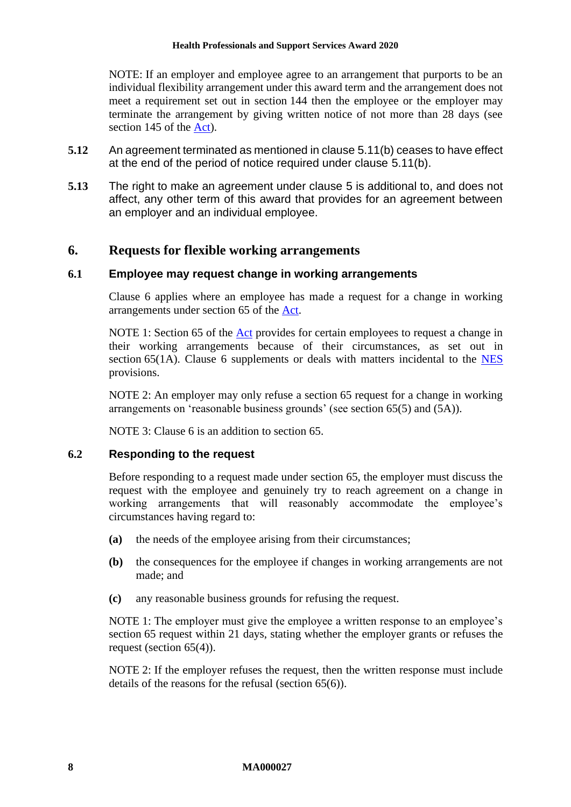NOTE: If an employer and employee agree to an arrangement that purports to be an individual flexibility arrangement under this award term and the arrangement does not meet a requirement set out in section 144 then the employee or the employer may terminate the arrangement by giving written notice of not more than 28 days (see section 145 of the [Act\)](http://www.legislation.gov.au/Series/C2009A00028).

- **5.12** An agreement terminated as mentioned in clause [5.11\(b\)](#page-6-1) ceases to have effect at the end of the period of notice required under clause [5.11\(b\).](#page-6-1)
- **5.13** The right to make an agreement under clause [5](#page-5-0) is additional to, and does not affect, any other term of this award that provides for an agreement between an employer and an individual employee.

## <span id="page-7-0"></span>**6. Requests for flexible working arrangements**

#### **6.1 Employee may request change in working arrangements**

Clause [6](#page-7-0) applies where an employee has made a request for a change in working arrangements under section 65 of the [Act.](http://www.legislation.gov.au/Series/C2009A00028)

NOTE 1: Section 65 of the [Act](http://www.legislation.gov.au/Series/C2009A00028) provides for certain employees to request a change in their working arrangements because of their circumstances, as set out in section [6](#page-7-0)5(1A). Clause 6 supplements or deals with matters incidental to the [NES](https://www.fwc.gov.au/documents/awardmod/download/nes.pdf) provisions.

NOTE 2: An employer may only refuse a section 65 request for a change in working arrangements on 'reasonable business grounds' (see section 65(5) and (5A)).

NOTE 3: Clause [6](#page-7-0) is an addition to section 65.

#### <span id="page-7-1"></span>**6.2 Responding to the request**

Before responding to a request made under section 65, the employer must discuss the request with the employee and genuinely try to reach agreement on a change in working arrangements that will reasonably accommodate the employee's circumstances having regard to:

- **(a)** the needs of the employee arising from their circumstances;
- **(b)** the consequences for the employee if changes in working arrangements are not made; and
- **(c)** any reasonable business grounds for refusing the request.

NOTE 1: The employer must give the employee a written response to an employee's section 65 request within 21 days, stating whether the employer grants or refuses the request (section 65(4)).

NOTE 2: If the employer refuses the request, then the written response must include details of the reasons for the refusal (section 65(6)).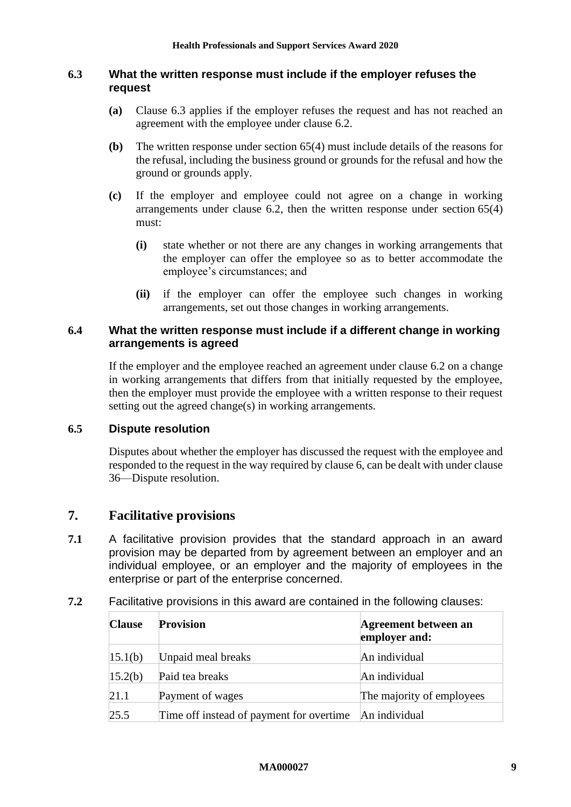### <span id="page-8-1"></span>**6.3 What the written response must include if the employer refuses the request**

- **(a)** Clause [6.3](#page-8-1) applies if the employer refuses the request and has not reached an agreement with the employee under clause [6.2.](#page-7-1)
- **(b)** The written response under section 65(4) must include details of the reasons for the refusal, including the business ground or grounds for the refusal and how the ground or grounds apply.
- **(c)** If the employer and employee could not agree on a change in working arrangements under clause [6.2,](#page-7-1) then the written response under section 65(4) must:
	- **(i)** state whether or not there are any changes in working arrangements that the employer can offer the employee so as to better accommodate the employee's circumstances; and
	- **(ii)** if the employer can offer the employee such changes in working arrangements, set out those changes in working arrangements.

## **6.4 What the written response must include if a different change in working arrangements is agreed**

If the employer and the employee reached an agreement under clause [6.2](#page-7-1) on a change in working arrangements that differs from that initially requested by the employee, then the employer must provide the employee with a written response to their request setting out the agreed change(s) in working arrangements.

## **6.5 Dispute resolution**

Disputes about whether the employer has discussed the request with the employee and responded to the request in the way required by clause [6,](#page-7-0) can be dealt with under clause [36—Dispute resolution.](#page-39-1)

## <span id="page-8-0"></span>**7. Facilitative provisions**

- **7.1** A facilitative provision provides that the standard approach in an award provision may be departed from by agreement between an employer and an individual employee, or an employer and the majority of employees in the enterprise or part of the enterprise concerned.
- **7.2** Facilitative provisions in this award are contained in the following clauses:

| <b>Clause</b> | <b>Provision</b>                         | <b>Agreement between an</b><br>employer and: |
|---------------|------------------------------------------|----------------------------------------------|
| 15.1(b)       | Unpaid meal breaks                       | An individual                                |
| 15.2(b)       | Paid tea breaks                          | An individual                                |
| 21.1          | Payment of wages                         | The majority of employees                    |
| 25.5          | Time off instead of payment for overtime | An individual                                |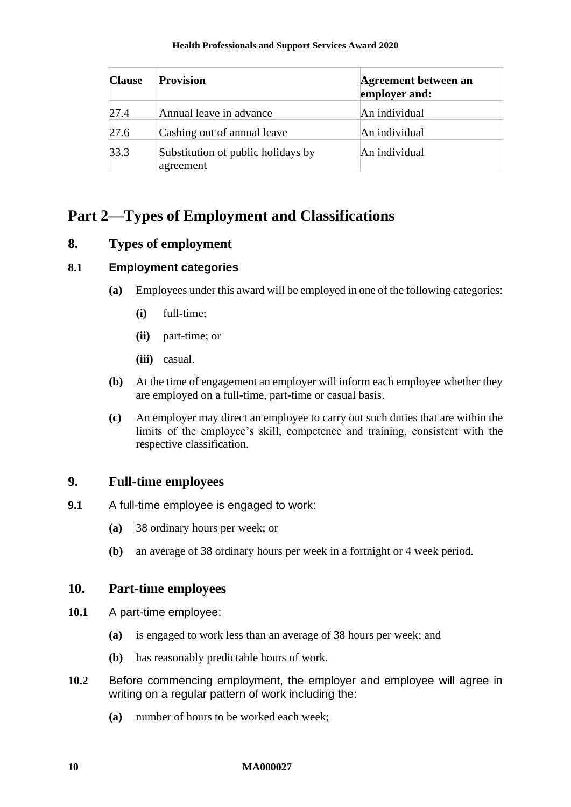| <b>Clause</b> | <b>Provision</b>                                | Agreement between an<br>employer and: |
|---------------|-------------------------------------------------|---------------------------------------|
| 27.4          | Annual leave in advance                         | An individual                         |
| 27.6          | Cashing out of annual leave                     | An individual                         |
| 33.3          | Substitution of public holidays by<br>agreement | An individual                         |

# <span id="page-9-0"></span>**Part 2—Types of Employment and Classifications**

# <span id="page-9-1"></span>**8. Types of employment**

## **8.1 Employment categories**

- **(a)** Employees under this award will be employed in one of the following categories:
	- **(i)** full-time;
	- **(ii)** part-time; or
	- **(iii)** casual.
- **(b)** At the time of engagement an employer will inform each employee whether they are employed on a full-time, part-time or casual basis.
- **(c)** An employer may direct an employee to carry out such duties that are within the limits of the employee's skill, competence and training, consistent with the respective classification.

# <span id="page-9-2"></span>**9. Full-time employees**

- **9.1** A full-time employee is engaged to work:
	- **(a)** 38 ordinary hours per week; or
	- **(b)** an average of 38 ordinary hours per week in a fortnight or 4 week period.

# <span id="page-9-3"></span>**10. Part-time employees**

- **10.1** A part-time employee:
	- **(a)** is engaged to work less than an average of 38 hours per week; and
	- **(b)** has reasonably predictable hours of work.
- <span id="page-9-4"></span>**10.2** Before commencing employment, the employer and employee will agree in writing on a regular pattern of work including the:
	- **(a)** number of hours to be worked each week;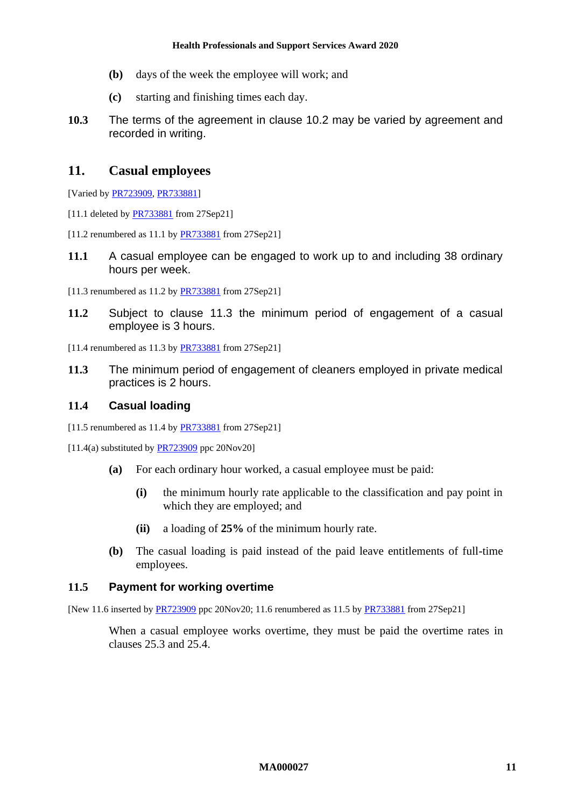- **(b)** days of the week the employee will work; and
- **(c)** starting and finishing times each day.
- <span id="page-10-2"></span>**10.3** The terms of the agreement in clause [10.2](#page-9-4) may be varied by agreement and recorded in writing.

### <span id="page-10-0"></span>**11. Casual employees**

[Varied b[y PR723909,](https://www.fwc.gov.au/documents/awardsandorders/html/PR723909.htm) [PR733881\]](https://www.fwc.gov.au/documents/awardsandorders/html/PR733881.htm)

- [11.1 deleted by **PR733881** from 27Sep21]
- [11.2 renumbered as 11.1 by **PR733881** from 27Sep21]
- **11.1** A casual employee can be engaged to work up to and including 38 ordinary hours per week.
- [11.3 renumbered as 11.2 by [PR733881](https://www.fwc.gov.au/documents/awardsandorders/html/PR733881.htm) from 27Sep21]
- **11.2** Subject to clause [11.3](#page-10-1) the minimum period of engagement of a casual employee is 3 hours.
- [11.4 renumbered as 11.3 by **PR733881** from 27Sep21]
- <span id="page-10-1"></span>**11.3** The minimum period of engagement of cleaners employed in private medical practices is 2 hours.

## **11.4 Casual loading**

- [11.5 renumbered as 11.4 by [PR733881](https://www.fwc.gov.au/documents/awardsandorders/html/PR733881.htm) from 27Sep21]
- $[11.4(a)$  substituted by  $PR723909$  ppc 20Nov20]
	- **(a)** For each ordinary hour worked, a casual employee must be paid:
		- **(i)** the minimum hourly rate applicable to the classification and pay point in which they are employed; and
		- **(ii)** a loading of **25%** of the minimum hourly rate.
	- **(b)** The casual loading is paid instead of the paid leave entitlements of full-time employees.

#### <span id="page-10-3"></span>**11.5 Payment for working overtime**

[New 11.6 inserted by [PR723909](https://www.fwc.gov.au/documents/awardsandorders/html/PR723909.htm) ppc 20Nov20; 11.6 renumbered as 11.5 by [PR733881](https://www.fwc.gov.au/documents/awardsandorders/html/PR733881.htm) from 27Sep21]

When a casual employee works overtime, they must be paid the overtime rates in clauses [25.3](#page-29-0) and [25.4.](#page-29-1)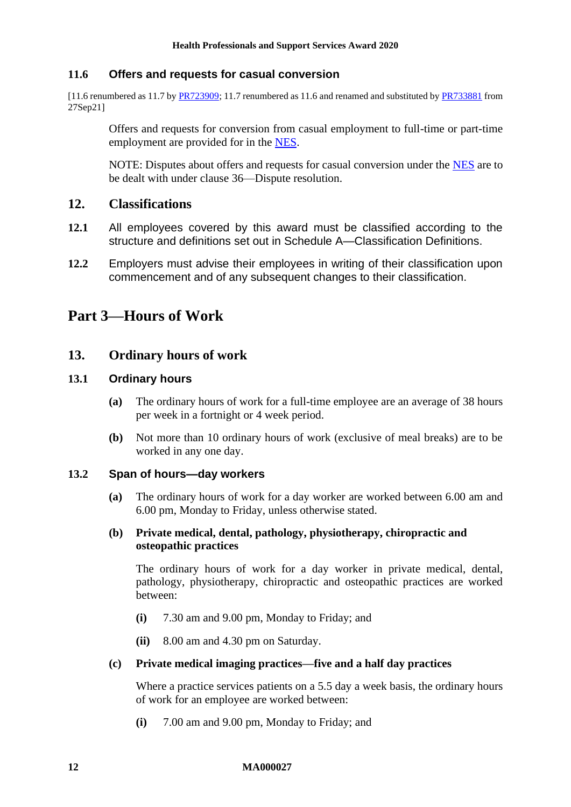## **11.6 Offers and requests for casual conversion**

[11.6 renumbered as 11.7 b[y PR723909;](https://www.fwc.gov.au/documents/awardsandorders/html/PR723909.htm) 11.7 renumbered as 11.6 and renamed and substituted b[y PR733881](https://www.fwc.gov.au/documents/awardsandorders/html/PR733881.htm) from 27Sep21]

Offers and requests for conversion from casual employment to full-time or part-time employment are provided for in the [NES.](https://www.fwc.gov.au/documents/awardmod/download/nes.pdf)

NOTE: Disputes about offers and requests for casual conversion under the [NES](https://www.fwc.gov.au/documents/awardmod/download/nes.pdf) are to be dealt with under clause [36—Dispute resolution.](#page-39-1)

### <span id="page-11-0"></span>**12. Classifications**

- **12.1** All employees covered by this award must be classified according to the structure and definitions set out in [Schedule A—Classification Definitions.](#page-43-0)
- **12.2** Employers must advise their employees in writing of their classification upon commencement and of any subsequent changes to their classification.

# <span id="page-11-2"></span><span id="page-11-1"></span>**Part 3—Hours of Work**

## **13. Ordinary hours of work**

#### **13.1 Ordinary hours**

- **(a)** The ordinary hours of work for a full-time employee are an average of 38 hours per week in a fortnight or 4 week period.
- **(b)** Not more than 10 ordinary hours of work (exclusive of meal breaks) are to be worked in any one day.

#### <span id="page-11-3"></span>**13.2 Span of hours—day workers**

**(a)** The ordinary hours of work for a day worker are worked between 6.00 am and 6.00 pm, Monday to Friday, unless otherwise stated.

#### **(b) Private medical, dental, pathology, physiotherapy, chiropractic and osteopathic practices**

The ordinary hours of work for a day worker in private medical, dental, pathology, physiotherapy, chiropractic and osteopathic practices are worked between:

- **(i)** 7.30 am and 9.00 pm, Monday to Friday; and
- **(ii)** 8.00 am and 4.30 pm on Saturday.

#### **(c) Private medical imaging practices—five and a half day practices**

Where a practice services patients on a 5.5 day a week basis, the ordinary hours of work for an employee are worked between:

**(i)** 7.00 am and 9.00 pm, Monday to Friday; and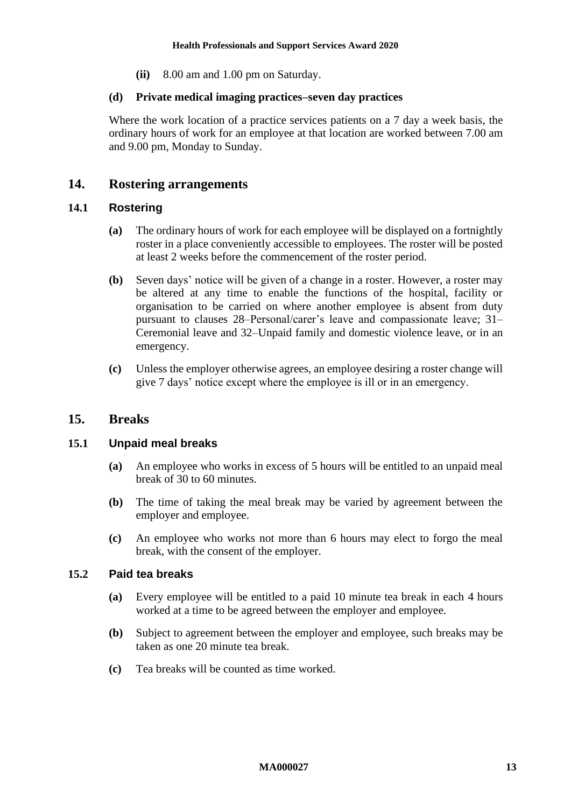**(ii)** 8.00 am and 1.00 pm on Saturday.

#### **(d) Private medical imaging practices–seven day practices**

Where the work location of a practice services patients on a 7 day a week basis, the ordinary hours of work for an employee at that location are worked between 7.00 am and 9.00 pm, Monday to Sunday.

### <span id="page-12-0"></span>**14. Rostering arrangements**

#### **14.1 Rostering**

- **(a)** The ordinary hours of work for each employee will be displayed on a fortnightly roster in a place conveniently accessible to employees. The roster will be posted at least 2 weeks before the commencement of the roster period.
- **(b)** Seven days' notice will be given of a change in a roster. However, a roster may be altered at any time to enable the functions of the hospital, facility or organisation to be carried on where another employee is absent from duty pursuant to clauses [28–Personal/carer's leave and compassionate leave;](#page-36-0) [31–](#page-37-2) [Ceremonial leave](#page-37-2) and [32–Unpaid family and domestic violence leave,](#page-37-3) or in an emergency.
- **(c)** Unless the employer otherwise agrees, an employee desiring a roster change will give 7 days' notice except where the employee is ill or in an emergency.

## <span id="page-12-1"></span>**15. Breaks**

#### <span id="page-12-3"></span>**15.1 Unpaid meal breaks**

- **(a)** An employee who works in excess of 5 hours will be entitled to an unpaid meal break of 30 to 60 minutes.
- <span id="page-12-2"></span>**(b)** The time of taking the meal break may be varied by agreement between the employer and employee.
- **(c)** An employee who works not more than 6 hours may elect to forgo the meal break, with the consent of the employer.

#### <span id="page-12-5"></span>**15.2 Paid tea breaks**

- **(a)** Every employee will be entitled to a paid 10 minute tea break in each 4 hours worked at a time to be agreed between the employer and employee.
- <span id="page-12-4"></span>**(b)** Subject to agreement between the employer and employee, such breaks may be taken as one 20 minute tea break.
- **(c)** Tea breaks will be counted as time worked.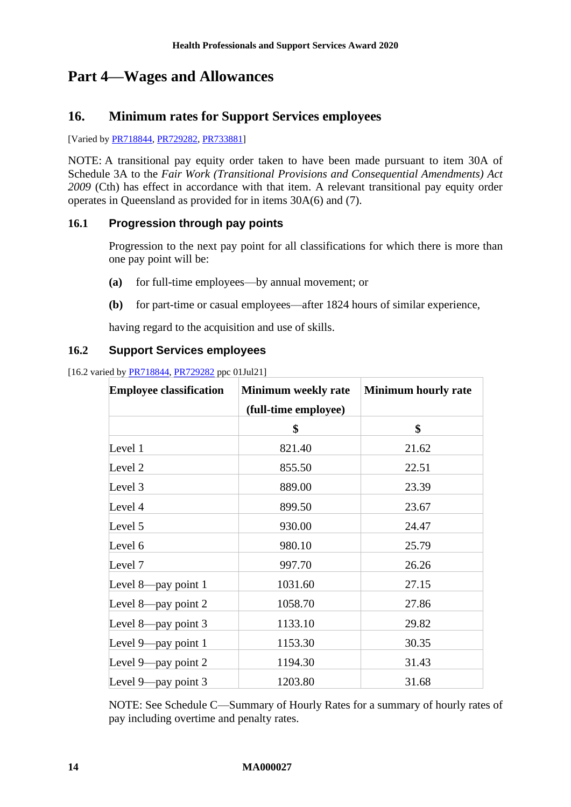# <span id="page-13-1"></span><span id="page-13-0"></span>**Part 4—Wages and Allowances**

# **16. Minimum rates for Support Services employees**

[Varied b[y PR718844,](https://www.fwc.gov.au/documents/awardsandorders/html/PR718844.htm) [PR729282,](https://www.fwc.gov.au/documents/awardsandorders/html/PR729282.htm) [PR733881\]](https://www.fwc.gov.au/documents/awardsandorders/html/PR733881.htm)

NOTE: A transitional pay equity order taken to have been made pursuant to item 30A of Schedule 3A to the *Fair Work (Transitional Provisions and Consequential Amendments) Act 2009* (Cth) has effect in accordance with that item. A relevant transitional pay equity order operates in Queensland as provided for in items 30A(6) and (7).

## **16.1 Progression through pay points**

Progression to the next pay point for all classifications for which there is more than one pay point will be:

- **(a)** for full-time employees—by annual movement; or
- **(b)** for part-time or casual employees—after 1824 hours of similar experience,

having regard to the acquisition and use of skills.

#### <span id="page-13-2"></span>**16.2 Support Services employees**

[16.2 varied by **PR718844, [PR729282](https://www.fwc.gov.au/documents/awardsandorders/html/PR729282.htm)** ppc 01Jul21]

| <b>Employee classification</b> | Minimum weekly rate  | <b>Minimum hourly rate</b> |
|--------------------------------|----------------------|----------------------------|
|                                | (full-time employee) |                            |
|                                | \$                   | \$                         |
| Level 1                        | 821.40               | 21.62                      |
| Level 2                        | 855.50               | 22.51                      |
| Level 3                        | 889.00               | 23.39                      |
| Level 4                        | 899.50               | 23.67                      |
| Level 5                        | 930.00               | 24.47                      |
| Level 6                        | 980.10               | 25.79                      |
| Level 7                        | 997.70               | 26.26                      |
| Level 8-pay point 1            | 1031.60              | 27.15                      |
| Level 8—pay point $2$          | 1058.70              | 27.86                      |
| Level 8-pay point 3            | 1133.10              | 29.82                      |
| Level $9$ —pay point 1         | 1153.30              | 30.35                      |
| Level 9—pay point 2            | 1194.30              | 31.43                      |
| Level 9—pay point $3$          | 1203.80              | 31.68                      |

NOTE: See [Schedule C—Summary of Hourly Rates](#page-55-0) for a summary of hourly rates of pay including overtime and penalty rates.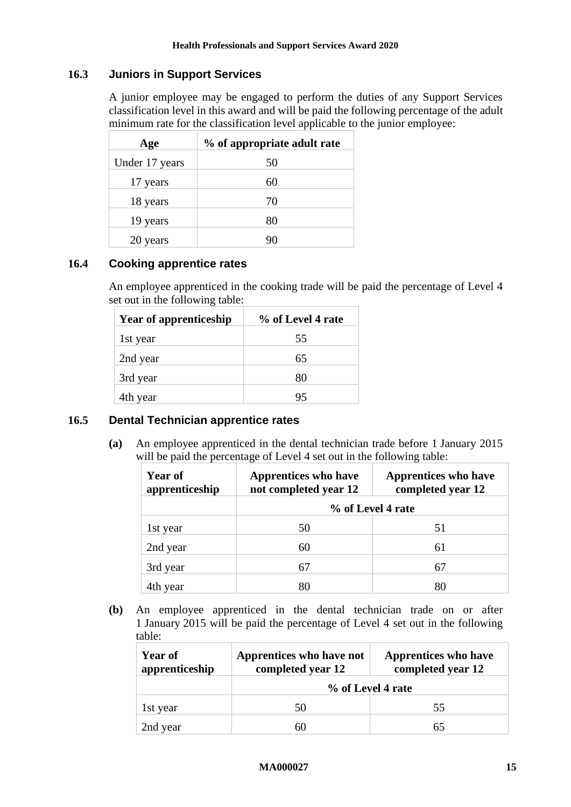## **16.3 Juniors in Support Services**

A junior employee may be engaged to perform the duties of any Support Services classification level in this award and will be paid the following percentage of the adult minimum rate for the classification level applicable to the junior employee:

| Age            | % of appropriate adult rate |
|----------------|-----------------------------|
| Under 17 years | 50                          |
| 17 years       | 60                          |
| 18 years       | 70                          |
| 19 years       | 80                          |
| 20 years       |                             |

#### <span id="page-14-0"></span>**16.4 Cooking apprentice rates**

An employee apprenticed in the cooking trade will be paid the percentage of Level 4 set out in the following table:

| <b>Year of apprenticeship</b> | % of Level 4 rate |
|-------------------------------|-------------------|
| 1st year                      | 55                |
| 2nd year                      | 65                |
| 3rd year                      | 80                |
| 4th year                      | 95                |

#### <span id="page-14-1"></span>**16.5 Dental Technician apprentice rates**

**(a)** An employee apprenticed in the dental technician trade before 1 January 2015 will be paid the percentage of Level 4 set out in the following table:

| <b>Year of</b><br>apprenticeship | <b>Apprentices who have</b><br>not completed year 12 | <b>Apprentices</b> who have<br>completed year 12 |  |
|----------------------------------|------------------------------------------------------|--------------------------------------------------|--|
|                                  | % of Level 4 rate                                    |                                                  |  |
| 1st year                         | 50                                                   | 51                                               |  |
| 2nd year                         | 60                                                   | 61                                               |  |
| 3rd year                         | 67                                                   | 67                                               |  |
| 4th year                         |                                                      | 80                                               |  |

**(b)** An employee apprenticed in the dental technician trade on or after 1 January 2015 will be paid the percentage of Level 4 set out in the following table:

| Year of<br>apprenticeship | Apprentices who have not<br>completed year 12 | <b>Apprentices</b> who have<br>completed year 12 |
|---------------------------|-----------------------------------------------|--------------------------------------------------|
|                           | % of Level 4 rate                             |                                                  |
| 1st year                  | 50                                            | 55                                               |
| 2nd year                  | 60                                            |                                                  |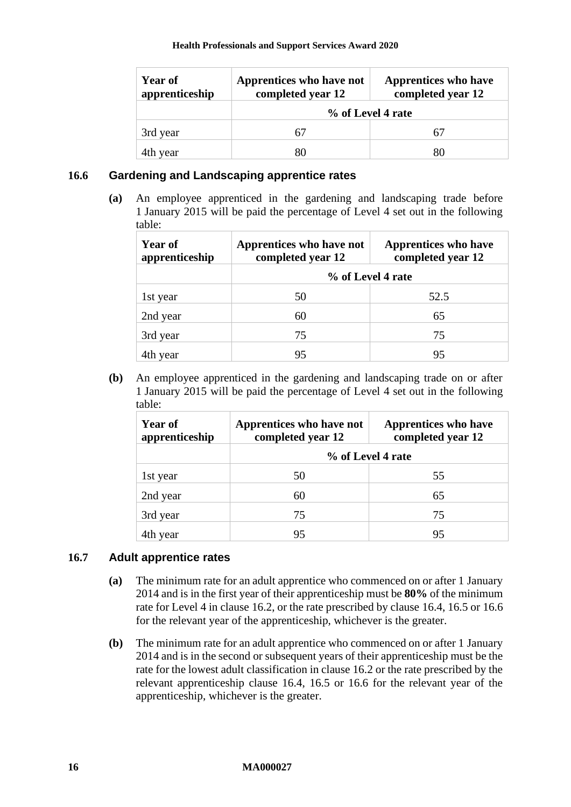| Year of<br>apprenticeship | Apprentices who have not<br>completed year 12 | <b>Apprentices</b> who have<br>completed year 12 |
|---------------------------|-----------------------------------------------|--------------------------------------------------|
|                           | % of Level 4 rate                             |                                                  |
| 3rd year                  |                                               | 67                                               |
| 4th year                  |                                               | 80                                               |

#### <span id="page-15-0"></span>**16.6 Gardening and Landscaping apprentice rates**

**(a)** An employee apprenticed in the gardening and landscaping trade before 1 January 2015 will be paid the percentage of Level 4 set out in the following table:

| <b>Year of</b><br>apprenticeship | Apprentices who have not<br>completed year 12 | <b>Apprentices</b> who have<br>completed year 12 |
|----------------------------------|-----------------------------------------------|--------------------------------------------------|
|                                  | % of Level 4 rate                             |                                                  |
| 1st year                         | 50                                            | 52.5                                             |
| 2nd year                         | 60                                            | 65                                               |
| 3rd year                         | 75                                            | 75                                               |
| 4th year                         | 95                                            | 95                                               |

**(b)** An employee apprenticed in the gardening and landscaping trade on or after 1 January 2015 will be paid the percentage of Level 4 set out in the following table:

| <b>Year of</b><br>apprenticeship | Apprentices who have not<br>completed year 12 | <b>Apprentices</b> who have<br>completed year 12 |
|----------------------------------|-----------------------------------------------|--------------------------------------------------|
|                                  | % of Level 4 rate                             |                                                  |
| 1st year                         | 50                                            | 55                                               |
| 2nd year                         | 60                                            | 65                                               |
| 3rd year                         | 75                                            | 75                                               |
| 4th year                         | 95                                            | 95                                               |

## **16.7 Adult apprentice rates**

- **(a)** The minimum rate for an adult apprentice who commenced on or after 1 January 2014 and is in the first year of their apprenticeship must be **80%** of the minimum rate for Level 4 in clause [16.2,](#page-13-2) or the rate prescribed by clause [16.4,](#page-14-0) [16.5](#page-14-1) or [16.6](#page-15-0) for the relevant year of the apprenticeship, whichever is the greater.
- **(b)** The minimum rate for an adult apprentice who commenced on or after 1 January 2014 and is in the second or subsequent years of their apprenticeship must be the rate for the lowest adult classification in clause [16.2](#page-13-2) or the rate prescribed by the relevant apprenticeship clause [16.4,](#page-14-0) [16.5](#page-14-1) or [16.6](#page-15-0) for the relevant year of the apprenticeship, whichever is the greater.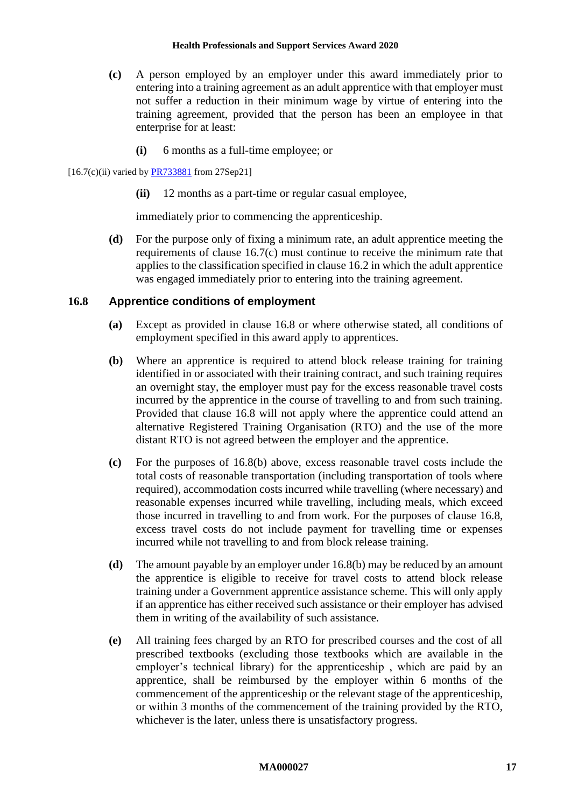- <span id="page-16-0"></span>**(c)** A person employed by an employer under this award immediately prior to entering into a training agreement as an adult apprentice with that employer must not suffer a reduction in their minimum wage by virtue of entering into the training agreement, provided that the person has been an employee in that enterprise for at least:
	- **(i)** 6 months as a full-time employee; or

 $[16.7(c)(ii)$  varied by  $\frac{PR733881}{PR733881}$  from 27Sep21]

**(ii)** 12 months as a part-time or regular casual employee,

immediately prior to commencing the apprenticeship.

**(d)** For the purpose only of fixing a minimum rate, an adult apprentice meeting the requirements of clause [16.7\(c\)](#page-16-0) must continue to receive the minimum rate that applies to the classification specified in clause [16.2](#page-13-2) in which the adult apprentice was engaged immediately prior to entering into the training agreement.

#### <span id="page-16-1"></span>**16.8 Apprentice conditions of employment**

- **(a)** Except as provided in clause [16.8](#page-16-1) or where otherwise stated, all conditions of employment specified in this award apply to apprentices.
- <span id="page-16-2"></span>**(b)** Where an apprentice is required to attend block release training for training identified in or associated with their training contract, and such training requires an overnight stay, the employer must pay for the excess reasonable travel costs incurred by the apprentice in the course of travelling to and from such training. Provided that clause [16.8](#page-16-1) will not apply where the apprentice could attend an alternative Registered Training Organisation (RTO) and the use of the more distant RTO is not agreed between the employer and the apprentice.
- **(c)** For the purposes of [16.8\(b\)](#page-16-2) above, excess reasonable travel costs include the total costs of reasonable transportation (including transportation of tools where required), accommodation costs incurred while travelling (where necessary) and reasonable expenses incurred while travelling, including meals, which exceed those incurred in travelling to and from work. For the purposes of clause [16.8,](#page-16-1) excess travel costs do not include payment for travelling time or expenses incurred while not travelling to and from block release training.
- **(d)** The amount payable by an employer under [16.8\(b\)](#page-16-2) may be reduced by an amount the apprentice is eligible to receive for travel costs to attend block release training under a Government apprentice assistance scheme. This will only apply if an apprentice has either received such assistance or their employer has advised them in writing of the availability of such assistance.
- <span id="page-16-3"></span>**(e)** All training fees charged by an RTO for prescribed courses and the cost of all prescribed textbooks (excluding those textbooks which are available in the employer's technical library) for the apprenticeship , which are paid by an apprentice, shall be reimbursed by the employer within 6 months of the commencement of the apprenticeship or the relevant stage of the apprenticeship, or within 3 months of the commencement of the training provided by the RTO, whichever is the later, unless there is unsatisfactory progress.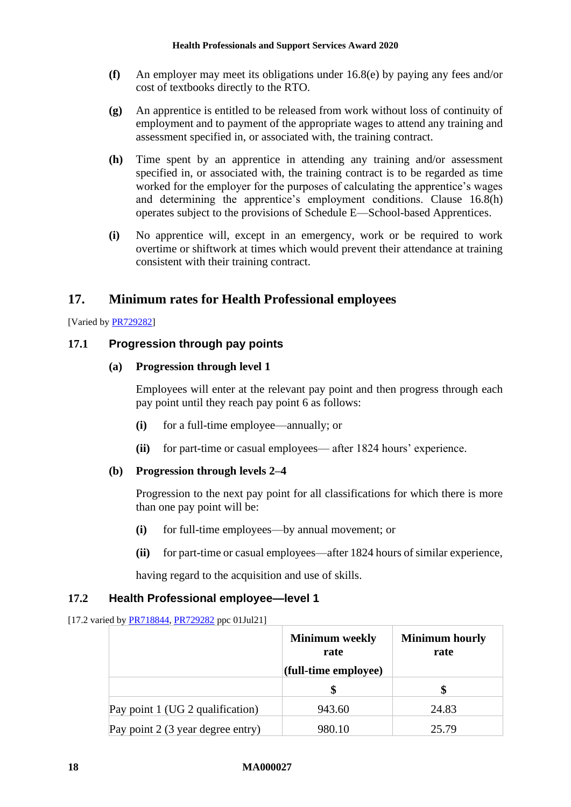- **(f)** An employer may meet its obligations under [16.8\(e\)](#page-16-3) by paying any fees and/or cost of textbooks directly to the RTO.
- **(g)** An apprentice is entitled to be released from work without loss of continuity of employment and to payment of the appropriate wages to attend any training and assessment specified in, or associated with, the training contract.
- <span id="page-17-2"></span>**(h)** Time spent by an apprentice in attending any training and/or assessment specified in, or associated with, the training contract is to be regarded as time worked for the employer for the purposes of calculating the apprentice's wages and determining the apprentice's employment conditions. Clause [16.8\(h\)](#page-17-2) operates subject to the provisions of [Schedule E—School-based Apprentices.](#page-66-0)
- **(i)** No apprentice will, except in an emergency, work or be required to work overtime or shiftwork at times which would prevent their attendance at training consistent with their training contract.

# <span id="page-17-0"></span>**17. Minimum rates for Health Professional employees**

[Varied b[y PR729282\]](https://www.fwc.gov.au/documents/awardsandorders/html/PR729282.htm)

## **17.1 Progression through pay points**

#### **(a) Progression through level 1**

Employees will enter at the relevant pay point and then progress through each pay point until they reach pay point 6 as follows:

- **(i)** for a full-time employee—annually; or
- **(ii)** for part-time or casual employees— after 1824 hours' experience.

#### **(b) Progression through levels 2–4**

Progression to the next pay point for all classifications for which there is more than one pay point will be:

- **(i)** for full-time employees—by annual movement; or
- **(ii)** for part-time or casual employees—after 1824 hours of similar experience,

having regard to the acquisition and use of skills.

#### <span id="page-17-1"></span>**17.2 Health Professional employee—level 1**

[17.2 varied by [PR718844,](https://www.fwc.gov.au/documents/awardsandorders/html/PR718844.htm) [PR729282](https://www.fwc.gov.au/documents/awardsandorders/html/PR729282.htm) ppc 01Jul21]

|                                   | <b>Minimum</b> weekly<br>rate | <b>Minimum hourly</b><br>rate |
|-----------------------------------|-------------------------------|-------------------------------|
|                                   | (full-time employee)          |                               |
|                                   |                               |                               |
| Pay point 1 (UG 2 qualification)  | 943.60                        | 24.83                         |
| Pay point 2 (3 year degree entry) | 980.10                        | 25.79                         |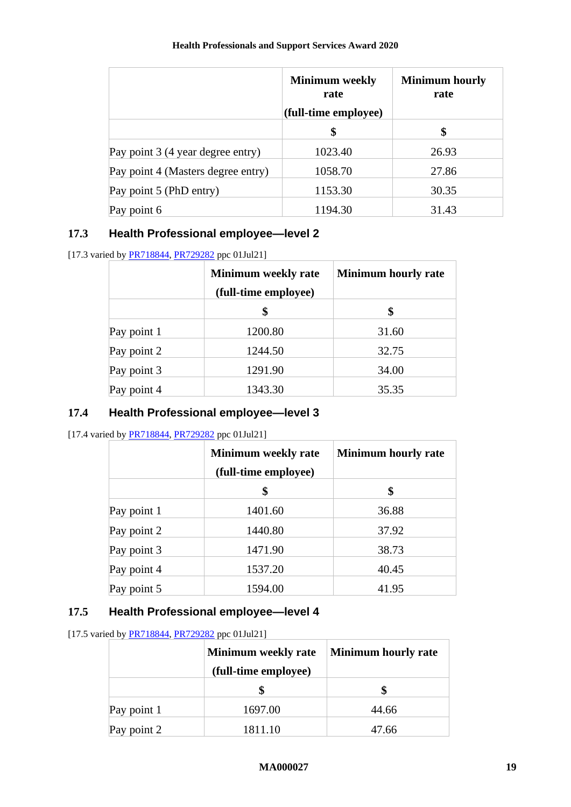|                                    | <b>Minimum</b> weekly<br>rate<br>(full-time employee) | <b>Minimum hourly</b><br>rate |
|------------------------------------|-------------------------------------------------------|-------------------------------|
|                                    | \$                                                    | \$                            |
| Pay point 3 (4 year degree entry)  | 1023.40                                               | 26.93                         |
| Pay point 4 (Masters degree entry) | 1058.70                                               | 27.86                         |
| Pay point 5 (PhD entry)            | 1153.30                                               | 30.35                         |
| Pay point 6                        | 1194.30                                               | 31.43                         |

# **17.3 Health Professional employee—level 2**

[17.3 varied by **PR718844, [PR729282](https://www.fwc.gov.au/documents/awardsandorders/html/PR729282.htm)** ppc 01Jul21]

|             | <b>Minimum weekly rate</b> | <b>Minimum hourly rate</b> |
|-------------|----------------------------|----------------------------|
|             | (full-time employee)       |                            |
|             | \$                         | \$                         |
| Pay point 1 | 1200.80                    | 31.60                      |
| Pay point 2 | 1244.50                    | 32.75                      |
| Pay point 3 | 1291.90                    | 34.00                      |
| Pay point 4 | 1343.30                    | 35.35                      |

## **17.4 Health Professional employee—level 3**

[17.4 varied by **PR718844**, **PR729282** ppc 01Jul21]

|             | <b>Minimum weekly rate</b><br>(full-time employee) | <b>Minimum hourly rate</b> |
|-------------|----------------------------------------------------|----------------------------|
|             | \$                                                 | \$                         |
| Pay point 1 | 1401.60                                            | 36.88                      |
| Pay point 2 | 1440.80                                            | 37.92                      |
| Pay point 3 | 1471.90                                            | 38.73                      |
| Pay point 4 | 1537.20                                            | 40.45                      |
| Pay point 5 | 1594.00                                            | 41.95                      |

## **17.5 Health Professional employee—level 4**

[17.5 varied by **PR718844**, **PR729282** ppc 01Jul21]

|             | <b>Minimum weekly rate</b><br>(full-time employee) | <b>Minimum hourly rate</b> |
|-------------|----------------------------------------------------|----------------------------|
|             |                                                    |                            |
| Pay point 1 | 1697.00                                            | 44.66                      |
| Pay point 2 | 1811.10                                            | 47.66                      |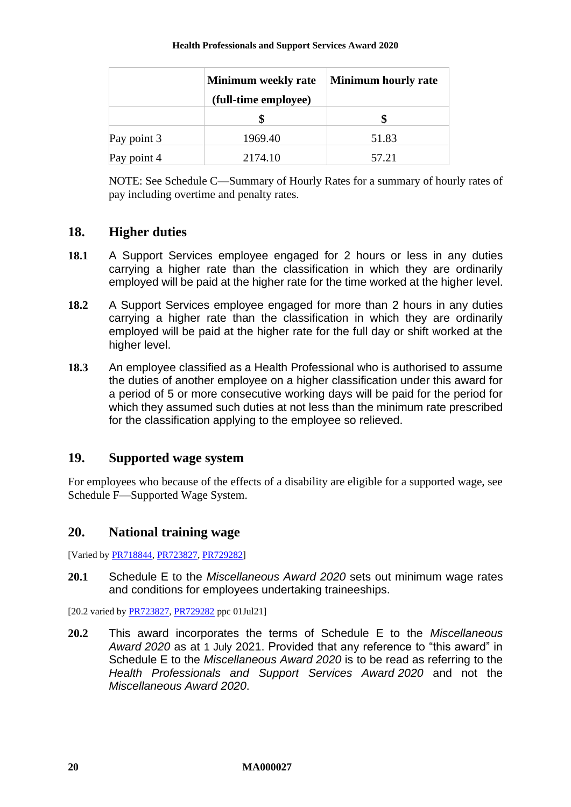|             | Minimum weekly rate<br>(full-time employee) | <b>Minimum hourly rate</b> |
|-------------|---------------------------------------------|----------------------------|
|             |                                             |                            |
| Pay point 3 | 1969.40                                     | 51.83                      |
| Pay point 4 | 2174.10                                     | 57.21                      |

NOTE: See [Schedule C—Summary of Hourly Rates](#page-55-0) for a summary of hourly rates of pay including overtime and penalty rates.

# <span id="page-19-0"></span>**18. Higher duties**

- **18.1** A Support Services employee engaged for 2 hours or less in any duties carrying a higher rate than the classification in which they are ordinarily employed will be paid at the higher rate for the time worked at the higher level.
- **18.2** A Support Services employee engaged for more than 2 hours in any duties carrying a higher rate than the classification in which they are ordinarily employed will be paid at the higher rate for the full day or shift worked at the higher level.
- **18.3** An employee classified as a Health Professional who is authorised to assume the duties of another employee on a higher classification under this award for a period of 5 or more consecutive working days will be paid for the period for which they assumed such duties at not less than the minimum rate prescribed for the classification applying to the employee so relieved.

# <span id="page-19-1"></span>**19. Supported wage system**

For employees who because of the effects of a disability are eligible for a supported wage, see [Schedule F—Supported Wage System.](#page-67-0)

# <span id="page-19-2"></span>**20. National training wage**

[Varied b[y PR718844,](https://www.fwc.gov.au/documents/awardsandorders/html/PR718844.htm) [PR723827,](https://www.fwc.gov.au/documents/awardsandorders/html/PR723827.htm) [PR729282\]](https://www.fwc.gov.au/documents/awardsandorders/html/PR729282.htm)

**20.1** Schedule E to the *Miscellaneous Award 2020* sets out minimum wage rates and conditions for employees undertaking traineeships.

[20.2 varied by [PR723827,](https://www.fwc.gov.au/documents/awardsandorders/html/PR723827.htm) [PR729282](https://www.fwc.gov.au/documents/awardsandorders/html/PR729282.htm) ppc 01Jul21]

**20.2** This award incorporates the terms of Schedule E to the *Miscellaneous Award 2020* as at 1 July 2021. Provided that any reference to "this award" in Schedule E to the *Miscellaneous Award 2020* is to be read as referring to the *Health Professionals and Support Services Award 2020* and not the *Miscellaneous Award 2020*.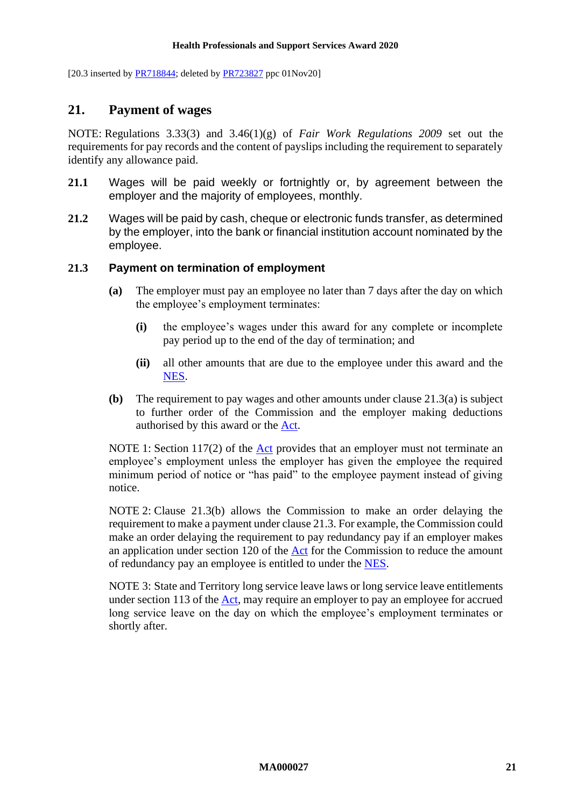<span id="page-20-0"></span>[20.3 inserted by  $PR718844$ ; deleted by  $PR723827$  ppc  $01Nov20$ ]

## **21. Payment of wages**

NOTE: Regulations 3.33(3) and 3.46(1)(g) of *Fair Work Regulations 2009* set out the requirements for pay records and the content of payslips including the requirement to separately identify any allowance paid.

- <span id="page-20-1"></span>**21.1** Wages will be paid weekly or fortnightly or, by agreement between the employer and the majority of employees, monthly.
- **21.2** Wages will be paid by cash, cheque or electronic funds transfer, as determined by the employer, into the bank or financial institution account nominated by the employee.

#### <span id="page-20-4"></span><span id="page-20-2"></span>**21.3 Payment on termination of employment**

- **(a)** The employer must pay an employee no later than 7 days after the day on which the employee's employment terminates:
	- **(i)** the employee's wages under this award for any complete or incomplete pay period up to the end of the day of termination; and
	- **(ii)** all other amounts that are due to the employee under this award and the [NES.](https://www.fwc.gov.au/documents/awardmod/download/nes.pdf)
- <span id="page-20-3"></span>**(b)** The requirement to pay wages and other amounts under clause [21.3\(a\)](#page-20-2) is subject to further order of the Commission and the employer making deductions authorised by this award or the [Act.](http://www.legislation.gov.au/Series/C2009A00028)

NOTE 1: Section 117(2) of the [Act](http://www.legislation.gov.au/Series/C2009A00028) provides that an employer must not terminate an employee's employment unless the employer has given the employee the required minimum period of notice or "has paid" to the employee payment instead of giving notice.

NOTE 2: Clause [21.3\(b\)](#page-20-3) allows the Commission to make an order delaying the requirement to make a payment under claus[e 21.3.](#page-20-4) For example, the Commission could make an order delaying the requirement to pay redundancy pay if an employer makes an application under section 120 of the [Act](http://www.legislation.gov.au/Series/C2009A00028) for the Commission to reduce the amount of redundancy pay an employee is entitled to under the [NES.](https://www.fwc.gov.au/documents/awardmod/download/nes.pdf)

NOTE 3: State and Territory long service leave laws or long service leave entitlements under section 113 of the [Act,](http://www.legislation.gov.au/Series/C2009A00028) may require an employer to pay an employee for accrued long service leave on the day on which the employee's employment terminates or shortly after.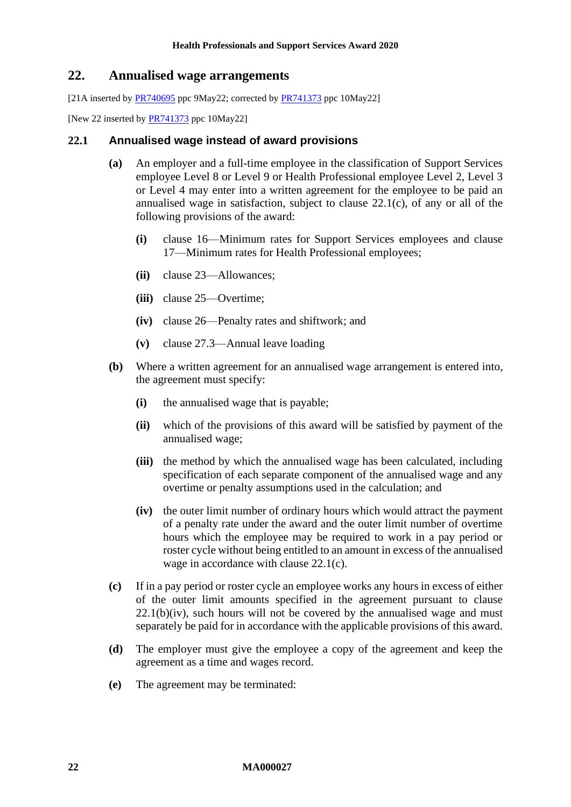## <span id="page-21-0"></span>**22. Annualised wage arrangements**

[21A inserted by  $PR740695$  ppc 9May22; corrected by  $PR741373$  ppc 10May22]

[New 22 inserted by **PR741373** ppc 10May22]

#### **22.1 Annualised wage instead of award provisions**

- **(a)** An employer and a full-time employee in the classification of Support Services employee Level 8 or Level 9 or Health Professional employee Level 2, Level 3 or Level 4 may enter into a written agreement for the employee to be paid an annualised wage in satisfaction, subject to clause [22.1\(c\),](#page-21-1) of any or all of the following provisions of the award:
	- **(i)** clause [16—](#page-13-1)Minimum [rates for Support Services employees](#page-13-1) and clause [17—Minimum rates for Health Professional employees;](#page-17-0)
	- **(ii)** clause [23—Allowances;](#page-22-0)
	- **(iii)** clause [25—Overtime;](#page-28-0)
	- **(iv)** clause [26—Penalty rates and shiftwork;](#page-32-0) and
	- **(v)** clause [27.3—Annual leave loading](#page-33-1)
- <span id="page-21-3"></span>**(b)** Where a written agreement for an annualised wage arrangement is entered into, the agreement must specify:
	- **(i)** the annualised wage that is payable;
	- **(ii)** which of the provisions of this award will be satisfied by payment of the annualised wage;
	- **(iii)** the method by which the annualised wage has been calculated, including specification of each separate component of the annualised wage and any overtime or penalty assumptions used in the calculation; and
	- **(iv)** the outer limit number of ordinary hours which would attract the payment of a penalty rate under the award and the outer limit number of overtime hours which the employee may be required to work in a pay period or roster cycle without being entitled to an amount in excess of the annualised wage in accordance with clause [22.1\(c\).](#page-21-1)
- <span id="page-21-2"></span><span id="page-21-1"></span>**(c)** If in a pay period or roster cycle an employee works any hours in excess of either of the outer limit amounts specified in the agreement pursuant to clause  $22.1(b)(iv)$ , such hours will not be covered by the annualised wage and must separately be paid for in accordance with the applicable provisions of this award.
- **(d)** The employer must give the employee a copy of the agreement and keep the agreement as a time and wages record.
- **(e)** The agreement may be terminated: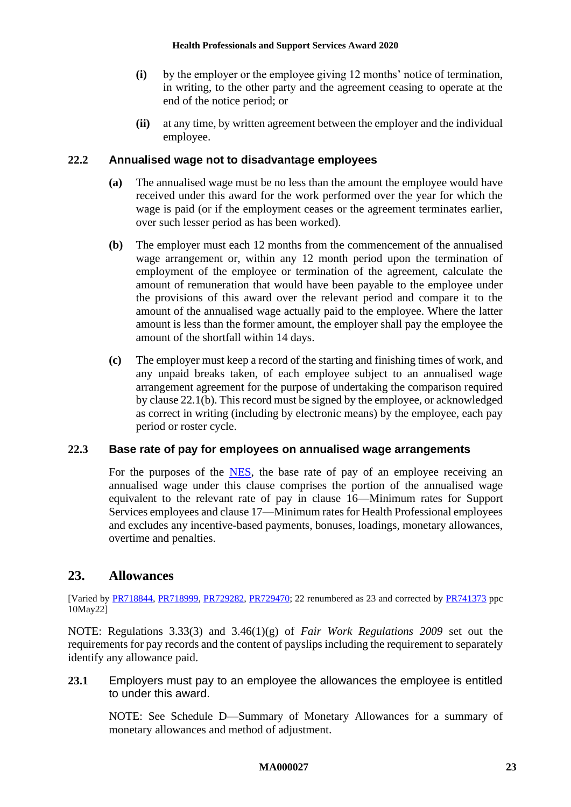- **(i)** by the employer or the employee giving 12 months' notice of termination, in writing, to the other party and the agreement ceasing to operate at the end of the notice period; or
- **(ii)** at any time, by written agreement between the employer and the individual employee.

#### **22.2 Annualised wage not to disadvantage employees**

- **(a)** The annualised wage must be no less than the amount the employee would have received under this award for the work performed over the year for which the wage is paid (or if the employment ceases or the agreement terminates earlier, over such lesser period as has been worked).
- **(b)** The employer must each 12 months from the commencement of the annualised wage arrangement or, within any 12 month period upon the termination of employment of the employee or termination of the agreement, calculate the amount of remuneration that would have been payable to the employee under the provisions of this award over the relevant period and compare it to the amount of the annualised wage actually paid to the employee. Where the latter amount is less than the former amount, the employer shall pay the employee the amount of the shortfall within 14 days.
- **(c)** The employer must keep a record of the starting and finishing times of work, and any unpaid breaks taken, of each employee subject to an annualised wage arrangement agreement for the purpose of undertaking the comparison required by claus[e 22.1\(b\).](#page-21-3) This record must be signed by the employee, or acknowledged as correct in writing (including by electronic means) by the employee, each pay period or roster cycle.

### **22.3 Base rate of pay for employees on annualised wage arrangements**

For the purposes of the [NES,](https://www.fwc.gov.au/documents/awardmod/download/nes.pdf) the base rate of pay of an employee receiving an annualised wage under this clause comprises the portion of the annualised wage equivalent to the relevant rate of pay in clause [16—](#page-13-1)Minimum [rates for Support](#page-13-1)  [Services employees](#page-13-1) and clause [17—Minimum rates for Health Professional employees](#page-17-0) and excludes any incentive-based payments, bonuses, loadings, monetary allowances, overtime and penalties.

# <span id="page-22-0"></span>**23. Allowances**

[Varied by [PR718844,](https://www.fwc.gov.au/documents/awardsandorders/html/PR718844.htm) [PR718999,](https://www.fwc.gov.au/documents/awardsandorders/html/PR718999.htm) [PR729282,](https://www.fwc.gov.au/documents/awardsandorders/html/PR729282.htm) [PR729470;](https://www.fwc.gov.au/documents/awardsandorders/html/PR729470.htm) 22 renumbered as 23 and corrected by [PR741373](https://www.fwc.gov.au/documents/awardsandorders/html/pr741373.htm) ppc 10May22]

NOTE: Regulations 3.33(3) and 3.46(1)(g) of *Fair Work Regulations 2009* set out the requirements for pay records and the content of payslips including the requirement to separately identify any allowance paid.

**23.1** Employers must pay to an employee the allowances the employee is entitled to under this award.

NOTE: See [Schedule D—Summary of Monetary Allowances](#page-63-0) for a summary of monetary allowances and method of adjustment.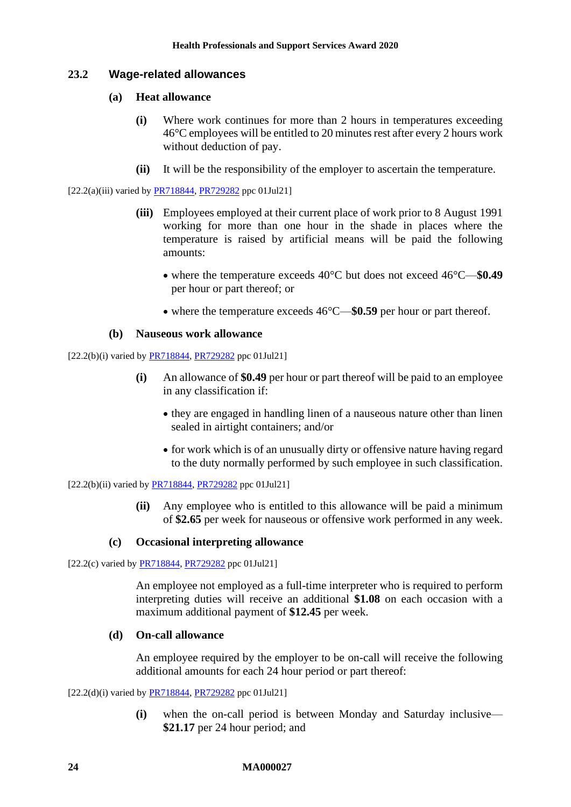## **23.2 Wage-related allowances**

#### **(a) Heat allowance**

- **(i)** Where work continues for more than 2 hours in temperatures exceeding 46°C employees will be entitled to 20 minutes rest after every 2 hours work without deduction of pay.
- **(ii)** It will be the responsibility of the employer to ascertain the temperature.

 $[22.2(a)(iii)$  varied by  $\frac{PR718844}{PR729282}$  ppc 01Jul21]

- **(iii)** Employees employed at their current place of work prior to 8 August 1991 working for more than one hour in the shade in places where the temperature is raised by artificial means will be paid the following amounts:
	- where the temperature exceeds 40°C but does not exceed 46°C—**\$0.49** per hour or part thereof; or
	- where the temperature exceeds  $46^{\circ}$ C—\$0.59 per hour or part thereof.

#### **(b) Nauseous work allowance**

[22.2(b)(i) varied by [PR718844,](https://www.fwc.gov.au/documents/awardsandorders/html/PR718844.htm) [PR729282](https://www.fwc.gov.au/documents/awardsandorders/html/PR729282.htm) ppc 01Jul21]

- **(i)** An allowance of **\$0.49** per hour or part thereof will be paid to an employee in any classification if:
	- they are engaged in handling linen of a nauseous nature other than linen sealed in airtight containers; and/or
	- for work which is of an unusually dirty or offensive nature having regard to the duty normally performed by such employee in such classification.

[22.2(b)(ii) varied by [PR718844,](https://www.fwc.gov.au/documents/awardsandorders/html/PR718844.htm) [PR729282](https://www.fwc.gov.au/documents/awardsandorders/html/PR729282.htm) ppc 01Jul21]

**(ii)** Any employee who is entitled to this allowance will be paid a minimum of **\$2.65** per week for nauseous or offensive work performed in any week.

#### **(c) Occasional interpreting allowance**

[22.2(c) varied by [PR718844,](https://www.fwc.gov.au/documents/awardsandorders/html/PR718844.htm) [PR729282](https://www.fwc.gov.au/documents/awardsandorders/html/PR729282.htm) ppc 01Jul21]

An employee not employed as a full-time interpreter who is required to perform interpreting duties will receive an additional **\$1.08** on each occasion with a maximum additional payment of **\$12.45** per week.

#### **(d) On-call allowance**

An employee required by the employer to be on-call will receive the following additional amounts for each 24 hour period or part thereof:

 $[22.2(d)(i)$  varied by  $PR718844$ ,  $PR729282$  ppc 01Jul21]

**(i)** when the on-call period is between Monday and Saturday inclusive— **\$21.17** per 24 hour period; and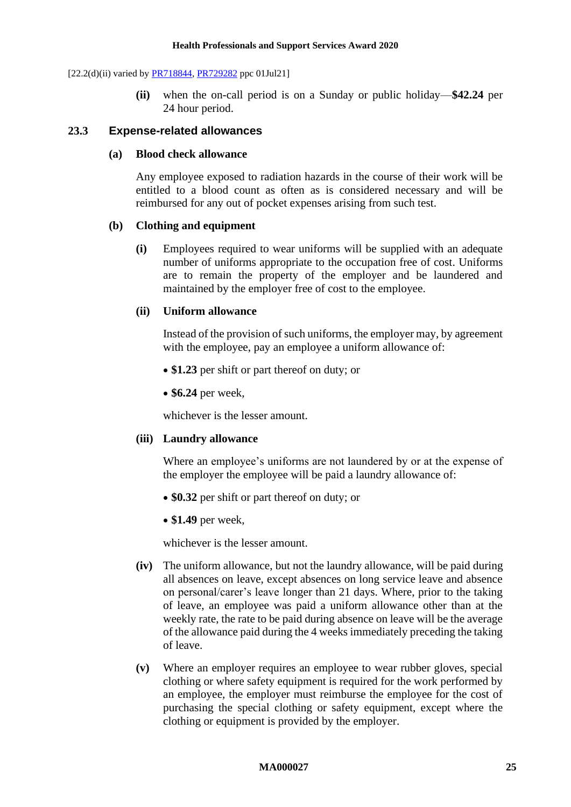$[22.2(d)(ii)$  varied by **PR718844**, **PR729282** ppc 01Jul21]

**(ii)** when the on-call period is on a Sunday or public holiday—**\$42.24** per 24 hour period.

#### <span id="page-24-0"></span>**23.3 Expense-related allowances**

#### **(a) Blood check allowance**

Any employee exposed to radiation hazards in the course of their work will be entitled to a blood count as often as is considered necessary and will be reimbursed for any out of pocket expenses arising from such test.

#### **(b) Clothing and equipment**

**(i)** Employees required to wear uniforms will be supplied with an adequate number of uniforms appropriate to the occupation free of cost. Uniforms are to remain the property of the employer and be laundered and maintained by the employer free of cost to the employee.

#### **(ii) Uniform allowance**

Instead of the provision of such uniforms, the employer may, by agreement with the employee, pay an employee a uniform allowance of:

- **\$1.23** per shift or part thereof on duty; or
- **\$6.24** per week,

whichever is the lesser amount.

#### **(iii) Laundry allowance**

Where an employee's uniforms are not laundered by or at the expense of the employer the employee will be paid a laundry allowance of:

- **\$0.32** per shift or part thereof on duty; or
- **\$1.49** per week,

whichever is the lesser amount.

- **(iv)** The uniform allowance, but not the laundry allowance, will be paid during all absences on leave, except absences on long service leave and absence on personal/carer's leave longer than 21 days. Where, prior to the taking of leave, an employee was paid a uniform allowance other than at the weekly rate, the rate to be paid during absence on leave will be the average of the allowance paid during the 4 weeks immediately preceding the taking of leave.
- **(v)** Where an employer requires an employee to wear rubber gloves, special clothing or where safety equipment is required for the work performed by an employee, the employer must reimburse the employee for the cost of purchasing the special clothing or safety equipment, except where the clothing or equipment is provided by the employer.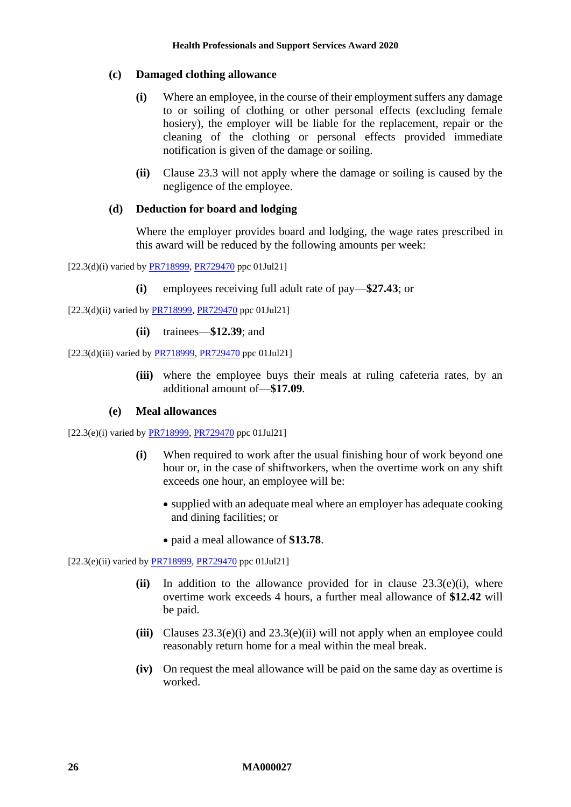#### **(c) Damaged clothing allowance**

- **(i)** Where an employee, in the course of their employment suffers any damage to or soiling of clothing or other personal effects (excluding female hosiery), the employer will be liable for the replacement, repair or the cleaning of the clothing or personal effects provided immediate notification is given of the damage or soiling.
- **(ii)** Clause [23.3](#page-24-0) will not apply where the damage or soiling is caused by the negligence of the employee.

#### **(d) Deduction for board and lodging**

Where the employer provides board and lodging, the wage rates prescribed in this award will be reduced by the following amounts per week:

[22.3(d)(i) varied by **PR718999**, **PR729470** ppc 01Jul21]

**(i)** employees receiving full adult rate of pay—**\$27.43**; or

[22.3(d)(ii) varied by [PR718999,](https://www.fwc.gov.au/documents/awardsandorders/html/PR718999.htm) [PR729470](https://www.fwc.gov.au/documents/awardsandorders/html/PR729470.htm) ppc 01Jul21]

**(ii)** trainees—**\$12.39**; and

 $[22.3(d)(iii)$  varied by  $\frac{PR718999}{PR729470}$  ppc 01Jul21]

**(iii)** where the employee buys their meals at ruling cafeteria rates, by an additional amount of—**\$17.09**.

#### **(e) Meal allowances**

<span id="page-25-0"></span>[22.3(e)(i) varied by  $\frac{PR718999}{PR729470}$  ppc 01Jul21]

- **(i)** When required to work after the usual finishing hour of work beyond one hour or, in the case of shiftworkers, when the overtime work on any shift exceeds one hour, an employee will be:
	- supplied with an adequate meal where an employer has adequate cooking and dining facilities; or
	- paid a meal allowance of **\$13.78**.

<span id="page-25-1"></span>[22.3(e)(ii) varied b[y PR718999,](https://www.fwc.gov.au/documents/awardsandorders/html/PR718999.htm) [PR729470](https://www.fwc.gov.au/documents/awardsandorders/html/PR729470.htm) ppc 01Jul21]

- **(ii)** In addition to the allowance provided for in clause [23.3\(e\)\(i\),](#page-25-0) where overtime work exceeds 4 hours, a further meal allowance of **\$12.42** will be paid.
- **(iii)** Clauses [23.3\(e\)\(i\)](#page-25-0) and [23.3\(e\)\(ii\)](#page-25-1) will not apply when an employee could reasonably return home for a meal within the meal break.
- **(iv)** On request the meal allowance will be paid on the same day as overtime is worked.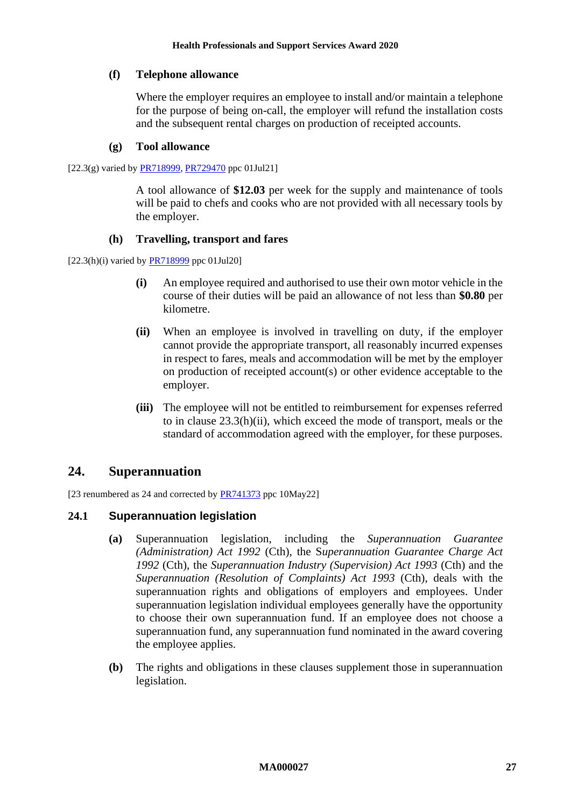#### **(f) Telephone allowance**

Where the employer requires an employee to install and/or maintain a telephone for the purpose of being on-call, the employer will refund the installation costs and the subsequent rental charges on production of receipted accounts.

#### **(g) Tool allowance**

 $[22.3(g)$  varied by **PR718999**, **PR729470** ppc 01Jul21]

A tool allowance of **\$12.03** per week for the supply and maintenance of tools will be paid to chefs and cooks who are not provided with all necessary tools by the employer.

#### **(h) Travelling, transport and fares**

<span id="page-26-1"></span> $[22.3(h)(i)$  varied by  $\frac{PR718999}{PR718999}$  ppc 01Jul20]

- **(i)** An employee required and authorised to use their own motor vehicle in the course of their duties will be paid an allowance of not less than **\$0.80** per kilometre.
- **(ii)** When an employee is involved in travelling on duty, if the employer cannot provide the appropriate transport, all reasonably incurred expenses in respect to fares, meals and accommodation will be met by the employer on production of receipted account(s) or other evidence acceptable to the employer.
- **(iii)** The employee will not be entitled to reimbursement for expenses referred to in clause [23.3\(h\)\(ii\),](#page-26-1) which exceed the mode of transport, meals or the standard of accommodation agreed with the employer, for these purposes.

# <span id="page-26-0"></span>**24. Superannuation**

[23 renumbered as 24 and corrected by **PR741373** ppc 10May22]

## **24.1 Superannuation legislation**

- **(a)** Superannuation legislation, including the *Superannuation Guarantee (Administration) Act 1992* (Cth), the S*uperannuation Guarantee Charge Act 1992* (Cth), the *Superannuation Industry (Supervision) Act 1993* (Cth) and the *Superannuation (Resolution of Complaints) Act 1993* (Cth), deals with the superannuation rights and obligations of employers and employees. Under superannuation legislation individual employees generally have the opportunity to choose their own superannuation fund. If an employee does not choose a superannuation fund, any superannuation fund nominated in the award covering the employee applies.
- **(b)** The rights and obligations in these clauses supplement those in superannuation legislation.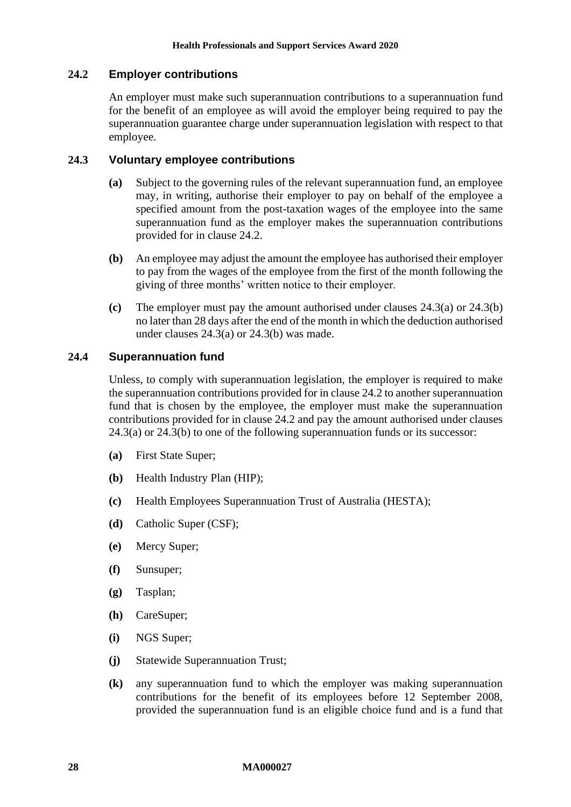## <span id="page-27-0"></span>**24.2 Employer contributions**

An employer must make such superannuation contributions to a superannuation fund for the benefit of an employee as will avoid the employer being required to pay the superannuation guarantee charge under superannuation legislation with respect to that employee.

#### <span id="page-27-1"></span>**24.3 Voluntary employee contributions**

- **(a)** Subject to the governing rules of the relevant superannuation fund, an employee may, in writing, authorise their employer to pay on behalf of the employee a specified amount from the post-taxation wages of the employee into the same superannuation fund as the employer makes the superannuation contributions provided for in clause [24.2.](#page-27-0)
- <span id="page-27-2"></span>**(b)** An employee may adjust the amount the employee has authorised their employer to pay from the wages of the employee from the first of the month following the giving of three months' written notice to their employer.
- **(c)** The employer must pay the amount authorised under clauses [24.3\(a\)](#page-27-1) or [24.3\(b\)](#page-27-2) no later than 28 days after the end of the month in which the deduction authorised under clauses [24.3\(a\)](#page-27-1) or [24.3\(b\)](#page-27-2) was made.

#### **24.4 Superannuation fund**

Unless, to comply with superannuation legislation, the employer is required to make the superannuation contributions provided for in claus[e 24.2](#page-27-0) to another superannuation fund that is chosen by the employee, the employer must make the superannuation contributions provided for in clause [24.2](#page-27-0) and pay the amount authorised under clauses [24.3\(a\)](#page-27-1) or [24.3\(b\)](#page-27-2) to one of the following superannuation funds or its successor:

- **(a)** First State Super;
- **(b)** Health Industry Plan (HIP);
- **(c)** Health Employees Superannuation Trust of Australia (HESTA);
- **(d)** Catholic Super (CSF);
- **(e)** Mercy Super;
- **(f)** Sunsuper;
- **(g)** Tasplan;
- **(h)** CareSuper;
- **(i)** NGS Super;
- **(j)** Statewide Superannuation Trust;
- **(k)** any superannuation fund to which the employer was making superannuation contributions for the benefit of its employees before 12 September 2008, provided the superannuation fund is an eligible choice fund and is a fund that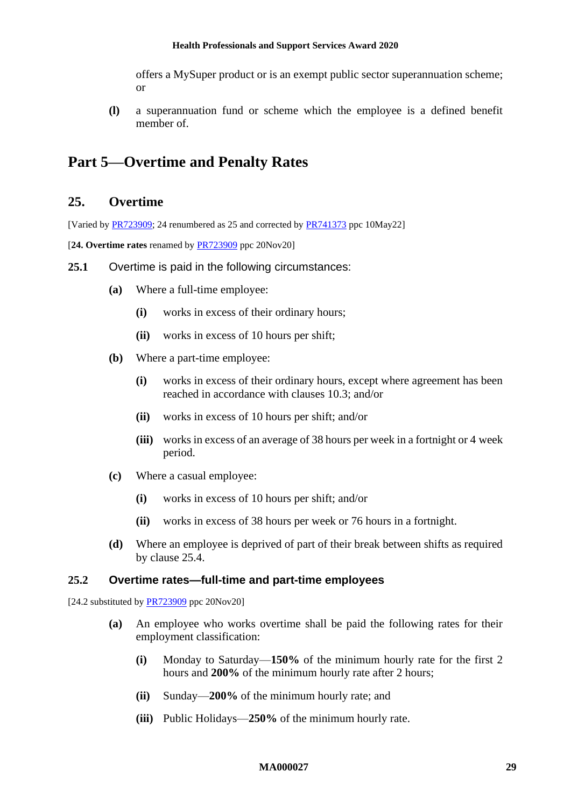offers a MySuper product or is an exempt public sector superannuation scheme; or

**(l)** a superannuation fund or scheme which the employee is a defined benefit member of.

# <span id="page-28-1"></span><span id="page-28-0"></span>**Part 5—Overtime and Penalty Rates**

# **25. Overtime**

[Varied b[y PR723909;](https://www.fwc.gov.au/documents/awardsandorders/html/PR723909.htm) 24 renumbered as 25 and corrected by [PR741373](https://www.fwc.gov.au/documents/awardsandorders/html/pr741373.htm) ppc 10May22]

[**24. Overtime rates** renamed by [PR723909](https://www.fwc.gov.au/documents/awardsandorders/html/PR723909.htm) ppc 20Nov20]

- **25.1** Overtime is paid in the following circumstances:
	- **(a)** Where a full-time employee:
		- **(i)** works in excess of their ordinary hours;
		- **(ii)** works in excess of 10 hours per shift;
	- **(b)** Where a part-time employee:
		- **(i)** works in excess of their ordinary hours, except where agreement has been reached in accordance with clauses [10.3;](#page-10-2) and/or
		- **(ii)** works in excess of 10 hours per shift; and/or
		- **(iii)** works in excess of an average of 38 hours per week in a fortnight or 4 week period.
	- **(c)** Where a casual employee:
		- **(i)** works in excess of 10 hours per shift; and/or
		- **(ii)** works in excess of 38 hours per week or 76 hours in a fortnight.
	- **(d)** Where an employee is deprived of part of their break between shifts as required by clause [25.4.](#page-29-1)

#### <span id="page-28-2"></span>**25.2 Overtime rates—full-time and part-time employees**

[24.2 substituted by  $\frac{PR723909}{PR723909}$  ppc 20Nov20]

- **(a)** An employee who works overtime shall be paid the following rates for their employment classification:
	- **(i)** Monday to Saturday—**150%** of the minimum hourly rate for the first 2 hours and **200%** of the minimum hourly rate after 2 hours;
	- **(ii)** Sunday—**200%** of the minimum hourly rate; and
	- **(iii)** Public Holidays—**250%** of the minimum hourly rate.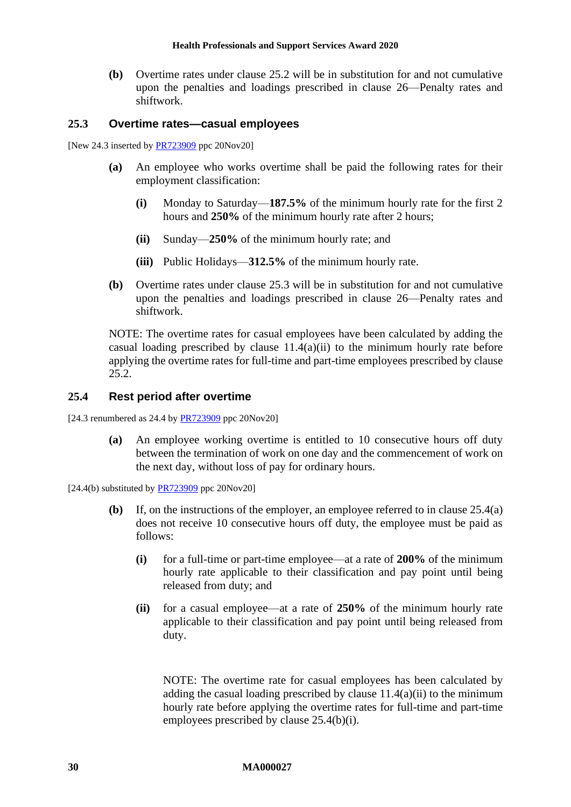**(b)** Overtime rates under clause [25.2](#page-28-2) will be in substitution for and not cumulative upon the penalties and loadings prescribed in clause [26—Penalty rates and](#page-32-0)  [shiftwork.](#page-32-0)

#### <span id="page-29-0"></span>**25.3 Overtime rates—casual employees**

[New 24.3 inserted by **PR723909** ppc 20Nov20]

- **(a)** An employee who works overtime shall be paid the following rates for their employment classification:
	- **(i)** Monday to Saturday—**187.5%** of the minimum hourly rate for the first 2 hours and **250%** of the minimum hourly rate after 2 hours;
	- **(ii)** Sunday—**250%** of the minimum hourly rate; and
	- **(iii)** Public Holidays—**312.5%** of the minimum hourly rate.
- **(b)** Overtime rates under clause [25.3](#page-29-0) will be in substitution for and not cumulative upon the penalties and loadings prescribed in clause [26—Penalty rates and](#page-32-0)  [shiftwork.](#page-32-0)

NOTE: The overtime rates for casual employees have been calculated by adding the casual loading prescribed by clause  $11.4(a)(ii)$  to the minimum hourly rate before applying the overtime rates for full-time and part-time employees prescribed by clause [25.2.](#page-28-2)

#### <span id="page-29-1"></span>**25.4 Rest period after overtime**

<span id="page-29-2"></span>[24.3 renumbered as 24.4 by [PR723909](https://www.fwc.gov.au/documents/awardsandorders/html/PR723909.htm) ppc 20Nov20]

**(a)** An employee working overtime is entitled to 10 consecutive hours off duty between the termination of work on one day and the commencement of work on the next day, without loss of pay for ordinary hours.

 $[24.4(b)$  substituted by  $\frac{PR723909}{PR723909}$  ppc 20Nov20]

- <span id="page-29-3"></span>**(b)** If, on the instructions of the employer, an employee referred to in clause [25.4\(a\)](#page-29-2) does not receive 10 consecutive hours off duty, the employee must be paid as follows:
	- **(i)** for a full-time or part-time employee—at a rate of **200%** of the minimum hourly rate applicable to their classification and pay point until being released from duty; and
	- **(ii)** for a casual employee—at a rate of **250%** of the minimum hourly rate applicable to their classification and pay point until being released from duty.

NOTE: The overtime rate for casual employees has been calculated by adding the casual loading prescribed by clause  $11.4(a)(ii)$  to the minimum hourly rate before applying the overtime rates for full-time and part-time employees prescribed by clause [25.4\(b\)\(i\).](#page-29-3)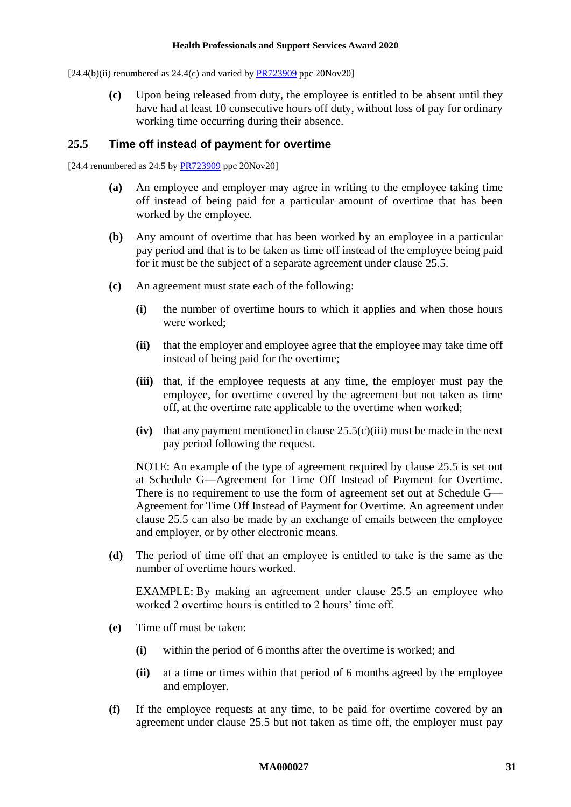$[24.4(b)(ii)$  renumbered as  $24.4(c)$  and varied by  $PR723909$  ppc  $20\text{Nov20}$ 

**(c)** Upon being released from duty, the employee is entitled to be absent until they have had at least 10 consecutive hours off duty, without loss of pay for ordinary working time occurring during their absence.

#### <span id="page-30-0"></span>**25.5 Time off instead of payment for overtime**

[24.4 renumbered as  $24.5$  by  $PR723909$  ppc  $20Nov20$ ]

- **(a)** An employee and employer may agree in writing to the employee taking time off instead of being paid for a particular amount of overtime that has been worked by the employee.
- <span id="page-30-3"></span>**(b)** Any amount of overtime that has been worked by an employee in a particular pay period and that is to be taken as time off instead of the employee being paid for it must be the subject of a separate agreement under clause [25.5.](#page-30-0)
- <span id="page-30-1"></span>**(c)** An agreement must state each of the following:
	- **(i)** the number of overtime hours to which it applies and when those hours were worked;
	- **(ii)** that the employer and employee agree that the employee may take time off instead of being paid for the overtime;
	- **(iii)** that, if the employee requests at any time, the employer must pay the employee, for overtime covered by the agreement but not taken as time off, at the overtime rate applicable to the overtime when worked;
	- **(iv)** that any payment mentioned in clause  $25.5(c)(iii)$  must be made in the next pay period following the request.

NOTE: An example of the type of agreement required by clause [25.5](#page-30-0) is set out at [Schedule G—Agreement for Time Off Instead of Payment for Overtime.](#page-70-0) There is no requirement to use the form of agreement set out at [Schedule G—](#page-70-0) [Agreement for Time Off Instead of Payment for Overtime.](#page-70-0) An agreement under clause [25.5](#page-30-0) can also be made by an exchange of emails between the employee and employer, or by other electronic means.

**(d)** The period of time off that an employee is entitled to take is the same as the number of overtime hours worked.

EXAMPLE: By making an agreement under clause [25.5](#page-30-0) an employee who worked 2 overtime hours is entitled to 2 hours' time off.

- <span id="page-30-2"></span>**(e)** Time off must be taken:
	- **(i)** within the period of 6 months after the overtime is worked; and
	- **(ii)** at a time or times within that period of 6 months agreed by the employee and employer.
- **(f)** If the employee requests at any time, to be paid for overtime covered by an agreement under clause [25.5](#page-30-0) but not taken as time off, the employer must pay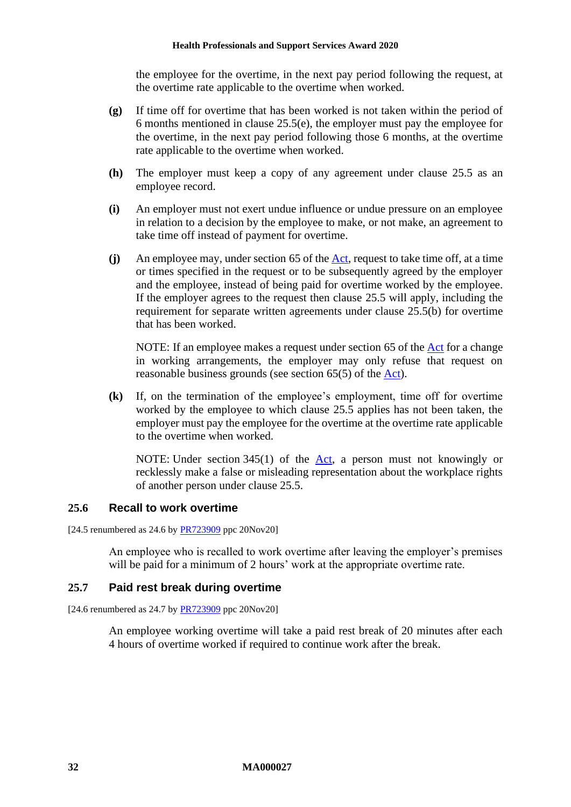the employee for the overtime, in the next pay period following the request, at the overtime rate applicable to the overtime when worked.

- **(g)** If time off for overtime that has been worked is not taken within the period of 6 months mentioned in clause [25.5\(e\),](#page-30-2) the employer must pay the employee for the overtime, in the next pay period following those 6 months, at the overtime rate applicable to the overtime when worked.
- **(h)** The employer must keep a copy of any agreement under clause [25.5](#page-30-0) as an employee record.
- **(i)** An employer must not exert undue influence or undue pressure on an employee in relation to a decision by the employee to make, or not make, an agreement to take time off instead of payment for overtime.
- **(j)** An employee may, under section 65 of the [Act,](http://www.legislation.gov.au/Series/C2009A00028) request to take time off, at a time or times specified in the request or to be subsequently agreed by the employer and the employee, instead of being paid for overtime worked by the employee. If the employer agrees to the request then clause [25.5](#page-30-0) will apply, including the requirement for separate written agreements under clause [25.5\(b\)](#page-30-3) for overtime that has been worked.

NOTE: If an employee makes a request under section 65 of the [Act](http://www.legislation.gov.au/Series/C2009A00028) for a change in working arrangements, the employer may only refuse that request on reasonable business grounds (see section 65(5) of the [Act\)](http://www.legislation.gov.au/Series/C2009A00028).

**(k)** If, on the termination of the employee's employment, time off for overtime worked by the employee to which clause [25.5](#page-30-0) applies has not been taken, the employer must pay the employee for the overtime at the overtime rate applicable to the overtime when worked.

NOTE: Under section 345(1) of the [Act,](http://www.legislation.gov.au/Series/C2009A00028) a person must not knowingly or recklessly make a false or misleading representation about the workplace rights of another person under clause [25.5.](#page-30-0)

#### **25.6 Recall to work overtime**

[24.5 renumbered as 24.6 by [PR723909](https://www.fwc.gov.au/documents/awardsandorders/html/PR723909.htm) ppc 20Nov20]

An employee who is recalled to work overtime after leaving the employer's premises will be paid for a minimum of 2 hours' work at the appropriate overtime rate.

#### **25.7 Paid rest break during overtime**

[24.6 renumbered as 24.7 by [PR723909](https://www.fwc.gov.au/documents/awardsandorders/html/PR723909.htm) ppc 20Nov20]

An employee working overtime will take a paid rest break of 20 minutes after each 4 hours of overtime worked if required to continue work after the break.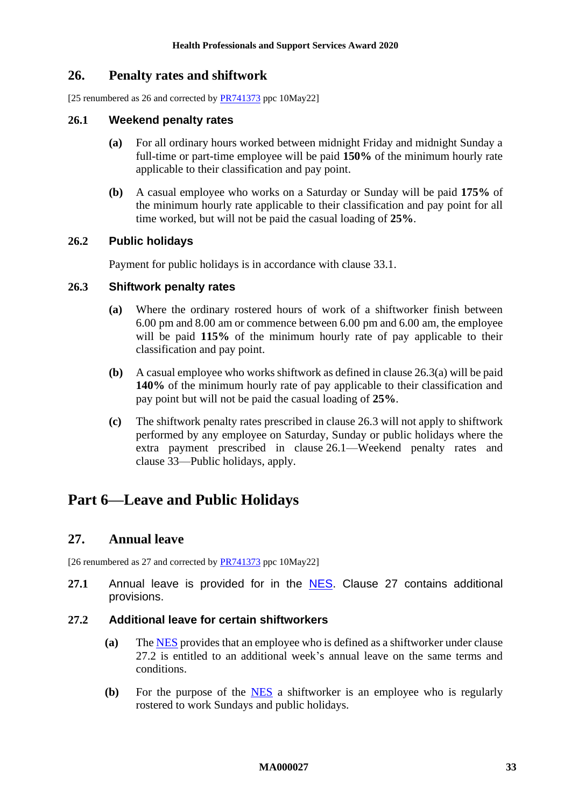# <span id="page-32-0"></span>**26. Penalty rates and shiftwork**

[25 renumbered as 26 and corrected by [PR741373](https://www.fwc.gov.au/documents/awardsandorders/html/pr741373.htm) ppc 10May22]

## <span id="page-32-5"></span>**26.1 Weekend penalty rates**

- **(a)** For all ordinary hours worked between midnight Friday and midnight Sunday a full-time or part-time employee will be paid **150%** of the minimum hourly rate applicable to their classification and pay point.
- **(b)** A casual employee who works on a Saturday or Sunday will be paid **175%** of the minimum hourly rate applicable to their classification and pay point for all time worked, but will not be paid the casual loading of **25%**.

## **26.2 Public holidays**

Payment for public holidays is in accordance with clause [33.1.](#page-37-6)

#### <span id="page-32-4"></span><span id="page-32-3"></span>**26.3 Shiftwork penalty rates**

- **(a)** Where the ordinary rostered hours of work of a shiftworker finish between 6.00 pm and 8.00 am or commence between 6.00 pm and 6.00 am, the employee will be paid **115%** of the minimum hourly rate of pay applicable to their classification and pay point.
- **(b)** A casual employee who works shiftwork as defined in claus[e 26.3\(a\)](#page-32-3) will be paid **140%** of the minimum hourly rate of pay applicable to their classification and pay point but will not be paid the casual loading of **25%**.
- **(c)** The shiftwork penalty rates prescribed in clause [26.3](#page-32-4) will not apply to shiftwork performed by any employee on Saturday, Sunday or public holidays where the extra payment prescribed in clause [26.1—Weekend penalty rates](#page-32-5) and clause [33—Public holidays,](#page-37-4) apply.

# <span id="page-32-2"></span><span id="page-32-1"></span>**Part 6—Leave and Public Holidays**

# **27. Annual leave**

[26 renumbered as 27 and corrected by [PR741373](https://www.fwc.gov.au/documents/awardsandorders/html/pr741373.htm) ppc 10May22]

**27.1** Annual leave is provided for in the [NES.](https://www.fwc.gov.au/documents/awardmod/download/nes.pdf) Clause [27](#page-32-1) contains additional provisions.

## <span id="page-32-6"></span>**27.2 Additional leave for certain shiftworkers**

- **(a)** The [NES](https://www.fwc.gov.au/documents/awardmod/download/nes.pdf) provides that an employee who is defined as a shiftworker under clause [27.2](#page-32-6) is entitled to an additional week's annual leave on the same terms and conditions.
- **(b)** For the purpose of the [NES](https://www.fwc.gov.au/documents/awardmod/download/nes.pdf) a shiftworker is an employee who is regularly rostered to work Sundays and public holidays.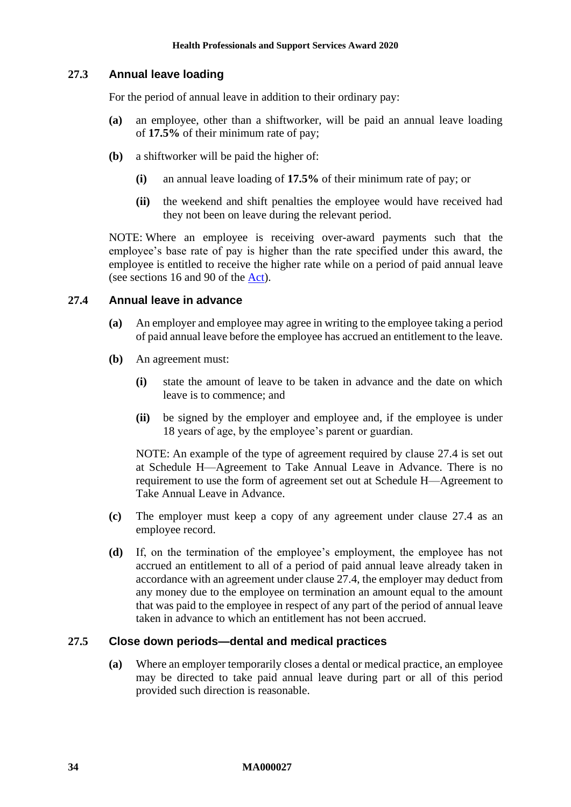### <span id="page-33-1"></span>**27.3 Annual leave loading**

For the period of annual leave in addition to their ordinary pay:

- **(a)** an employee, other than a shiftworker, will be paid an annual leave loading of **17.5%** of their minimum rate of pay;
- **(b)** a shiftworker will be paid the higher of:
	- **(i)** an annual leave loading of **17.5%** of their minimum rate of pay; or
	- **(ii)** the weekend and shift penalties the employee would have received had they not been on leave during the relevant period.

NOTE: Where an employee is receiving over-award payments such that the employee's base rate of pay is higher than the rate specified under this award, the employee is entitled to receive the higher rate while on a period of paid annual leave (see sections 16 and 90 of the [Act\)](http://www.legislation.gov.au/Series/C2009A00028).

## <span id="page-33-0"></span>**27.4 Annual leave in advance**

- **(a)** An employer and employee may agree in writing to the employee taking a period of paid annual leave before the employee has accrued an entitlement to the leave.
- **(b)** An agreement must:
	- **(i)** state the amount of leave to be taken in advance and the date on which leave is to commence; and
	- **(ii)** be signed by the employer and employee and, if the employee is under 18 years of age, by the employee's parent or guardian.

NOTE: An example of the type of agreement required by clause [27.4](#page-33-0) is set out at [Schedule H—Agreement to Take Annual Leave in Advance.](#page-71-0) There is no requirement to use the form of agreement set out at [Schedule H—Agreement to](#page-71-0)  [Take Annual Leave in Advance.](#page-71-0)

- **(c)** The employer must keep a copy of any agreement under clause [27.4](#page-33-0) as an employee record.
- **(d)** If, on the termination of the employee's employment, the employee has not accrued an entitlement to all of a period of paid annual leave already taken in accordance with an agreement under clause [27.4,](#page-33-0) the employer may deduct from any money due to the employee on termination an amount equal to the amount that was paid to the employee in respect of any part of the period of annual leave taken in advance to which an entitlement has not been accrued.

#### **27.5 Close down periods—dental and medical practices**

**(a)** Where an employer temporarily closes a dental or medical practice, an employee may be directed to take paid annual leave during part or all of this period provided such direction is reasonable.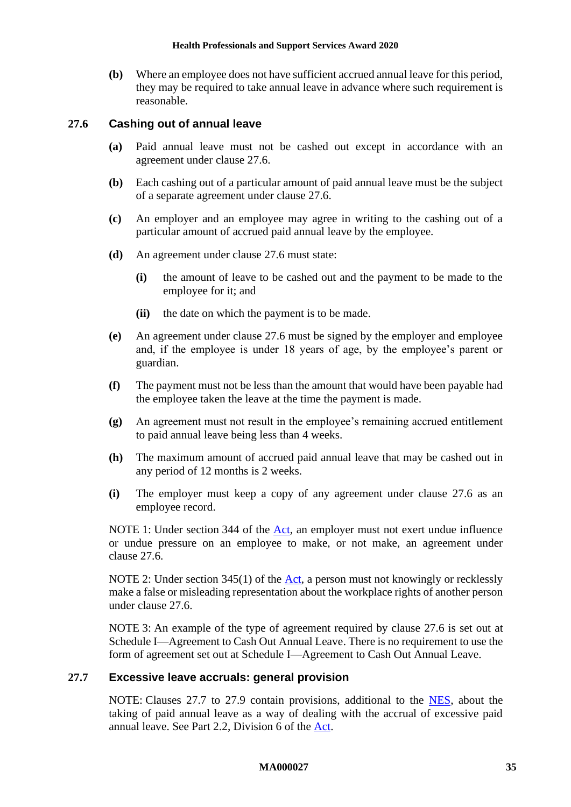**(b)** Where an employee does not have sufficient accrued annual leave for this period, they may be required to take annual leave in advance where such requirement is reasonable.

#### <span id="page-34-0"></span>**27.6 Cashing out of annual leave**

- **(a)** Paid annual leave must not be cashed out except in accordance with an agreement under clause [27.6.](#page-34-0)
- **(b)** Each cashing out of a particular amount of paid annual leave must be the subject of a separate agreement under clause [27.6.](#page-34-0)
- **(c)** An employer and an employee may agree in writing to the cashing out of a particular amount of accrued paid annual leave by the employee.
- **(d)** An agreement under clause [27.6](#page-34-0) must state:
	- **(i)** the amount of leave to be cashed out and the payment to be made to the employee for it; and
	- **(ii)** the date on which the payment is to be made.
- **(e)** An agreement under clause [27.6](#page-34-0) must be signed by the employer and employee and, if the employee is under 18 years of age, by the employee's parent or guardian.
- **(f)** The payment must not be less than the amount that would have been payable had the employee taken the leave at the time the payment is made.
- **(g)** An agreement must not result in the employee's remaining accrued entitlement to paid annual leave being less than 4 weeks.
- **(h)** The maximum amount of accrued paid annual leave that may be cashed out in any period of 12 months is 2 weeks.
- **(i)** The employer must keep a copy of any agreement under clause [27.6](#page-34-0) as an employee record.

NOTE 1: Under section 344 of the [Act,](http://www.legislation.gov.au/Series/C2009A00028) an employer must not exert undue influence or undue pressure on an employee to make, or not make, an agreement under clause [27.6.](#page-34-0)

NOTE 2: Under section 345(1) of the  $Act$ , a person must not knowingly or recklessly make a false or misleading representation about the workplace rights of another person under clause [27.6.](#page-34-0)

NOTE 3: An example of the type of agreement required by clause [27.6](#page-34-0) is set out at [Schedule I—Agreement to Cash Out Annual Leave.](#page-72-0) There is no requirement to use the form of agreement set out at [Schedule I—Agreement to Cash Out Annual Leave.](#page-72-0)

#### <span id="page-34-1"></span>**27.7 Excessive leave accruals: general provision**

NOTE: Clauses [27.7](#page-34-1) to [27.9](#page-36-1) contain provisions, additional to the [NES,](https://www.fwc.gov.au/documents/awardmod/download/nes.pdf) about the taking of paid annual leave as a way of dealing with the accrual of excessive paid annual leave. See Part 2.2, Division 6 of the [Act.](http://www.legislation.gov.au/Series/C2009A00028)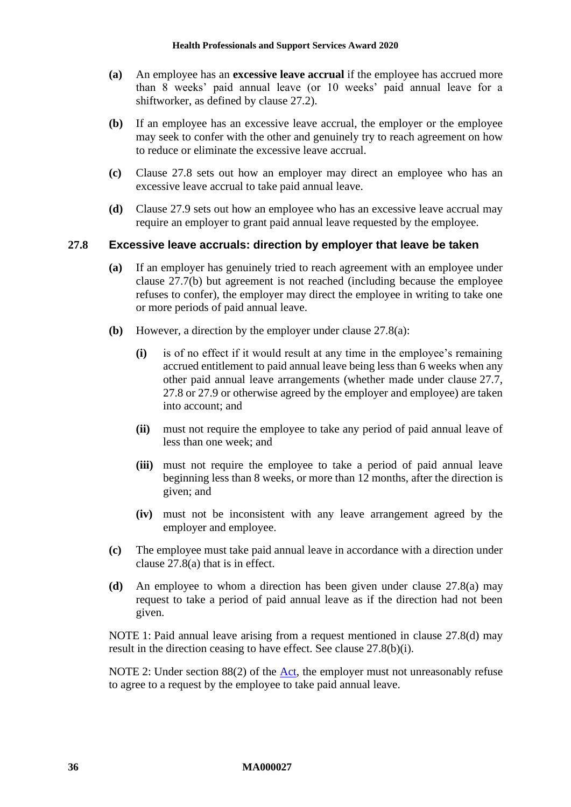- **(a)** An employee has an **excessive leave accrual** if the employee has accrued more than 8 weeks' paid annual leave (or 10 weeks' paid annual leave for a shiftworker, as defined by clause [27.2\)](#page-32-6).
- <span id="page-35-1"></span>**(b)** If an employee has an excessive leave accrual, the employer or the employee may seek to confer with the other and genuinely try to reach agreement on how to reduce or eliminate the excessive leave accrual.
- **(c)** Clause [27.8](#page-35-0) sets out how an employer may direct an employee who has an excessive leave accrual to take paid annual leave.
- **(d)** Clause [27.9](#page-36-1) sets out how an employee who has an excessive leave accrual may require an employer to grant paid annual leave requested by the employee.

#### <span id="page-35-2"></span><span id="page-35-0"></span>**27.8 Excessive leave accruals: direction by employer that leave be taken**

- **(a)** If an employer has genuinely tried to reach agreement with an employee under clause [27.7\(b\)](#page-35-1) but agreement is not reached (including because the employee refuses to confer), the employer may direct the employee in writing to take one or more periods of paid annual leave.
- <span id="page-35-4"></span>**(b)** However, a direction by the employer under clause [27.8\(a\):](#page-35-2)
	- **(i)** is of no effect if it would result at any time in the employee's remaining accrued entitlement to paid annual leave being less than 6 weeks when any other paid annual leave arrangements (whether made under clause [27.7,](#page-34-1) [27.8](#page-35-0) or [27.9](#page-36-1) or otherwise agreed by the employer and employee) are taken into account; and
	- **(ii)** must not require the employee to take any period of paid annual leave of less than one week; and
	- **(iii)** must not require the employee to take a period of paid annual leave beginning less than 8 weeks, or more than 12 months, after the direction is given; and
	- **(iv)** must not be inconsistent with any leave arrangement agreed by the employer and employee.
- **(c)** The employee must take paid annual leave in accordance with a direction under clause [27.8\(a\)](#page-35-2) that is in effect.
- <span id="page-35-3"></span>**(d)** An employee to whom a direction has been given under clause [27.8\(a\)](#page-35-2) may request to take a period of paid annual leave as if the direction had not been given.

NOTE 1: Paid annual leave arising from a request mentioned in clause [27.8\(d\)](#page-35-3) may result in the direction ceasing to have effect. See clause [27.8\(b\)\(i\).](#page-35-4)

NOTE 2: Under section 88(2) of the  $\Delta ct$ , the employer must not unreasonably refuse to agree to a request by the employee to take paid annual leave.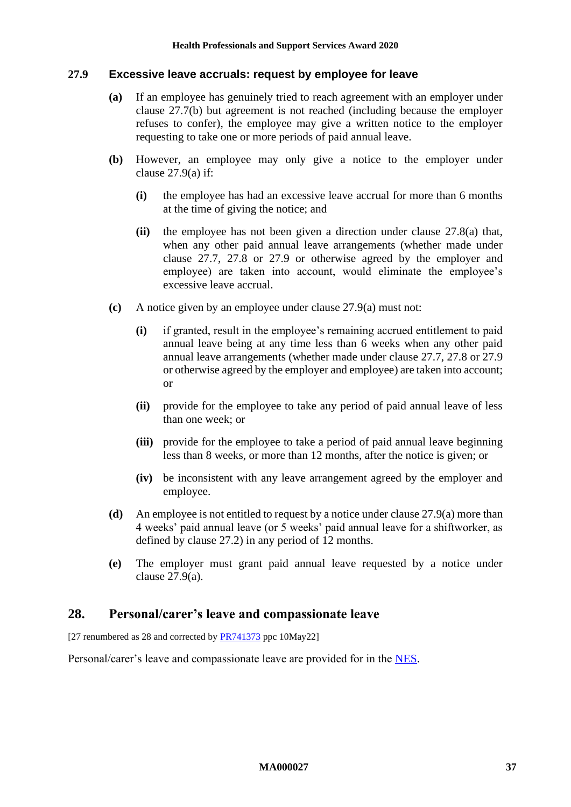#### <span id="page-36-1"></span><span id="page-36-0"></span>**27.9 Excessive leave accruals: request by employee for leave**

- **(a)** If an employee has genuinely tried to reach agreement with an employer under clause [27.7\(b\)](#page-35-0) but agreement is not reached (including because the employer refuses to confer), the employee may give a written notice to the employer requesting to take one or more periods of paid annual leave.
- **(b)** However, an employee may only give a notice to the employer under clause  $27.9(a)$  if:
	- **(i)** the employee has had an excessive leave accrual for more than 6 months at the time of giving the notice; and
	- **(ii)** the employee has not been given a direction under clause [27.8\(a\)](#page-35-1) that, when any other paid annual leave arrangements (whether made under clause [27.7,](#page-34-0) [27.8](#page-35-2) or [27.9](#page-36-1) or otherwise agreed by the employer and employee) are taken into account, would eliminate the employee's excessive leave accrual.
- **(c)** A notice given by an employee under clause [27.9\(a\)](#page-36-0) must not:
	- **(i)** if granted, result in the employee's remaining accrued entitlement to paid annual leave being at any time less than 6 weeks when any other paid annual leave arrangements (whether made under clause [27.7,](#page-34-0) [27.8](#page-35-2) or [27.9](#page-36-1) or otherwise agreed by the employer and employee) are taken into account; or
	- **(ii)** provide for the employee to take any period of paid annual leave of less than one week; or
	- **(iii)** provide for the employee to take a period of paid annual leave beginning less than 8 weeks, or more than 12 months, after the notice is given; or
	- **(iv)** be inconsistent with any leave arrangement agreed by the employer and employee.
- **(d)** An employee is not entitled to request by a notice under clause [27.9\(a\)](#page-36-0) more than 4 weeks' paid annual leave (or 5 weeks' paid annual leave for a shiftworker, as defined by clause [27.2\)](#page-32-0) in any period of 12 months.
- **(e)** The employer must grant paid annual leave requested by a notice under clause [27.9\(a\).](#page-36-0)

### **28. Personal/carer's leave and compassionate leave**

[27 renumbered as 28 and corrected by **PR741373** ppc 10May22]

Personal/carer's leave and compassionate leave are provided for in the [NES.](https://www.fwc.gov.au/documents/awardmod/download/nes.pdf)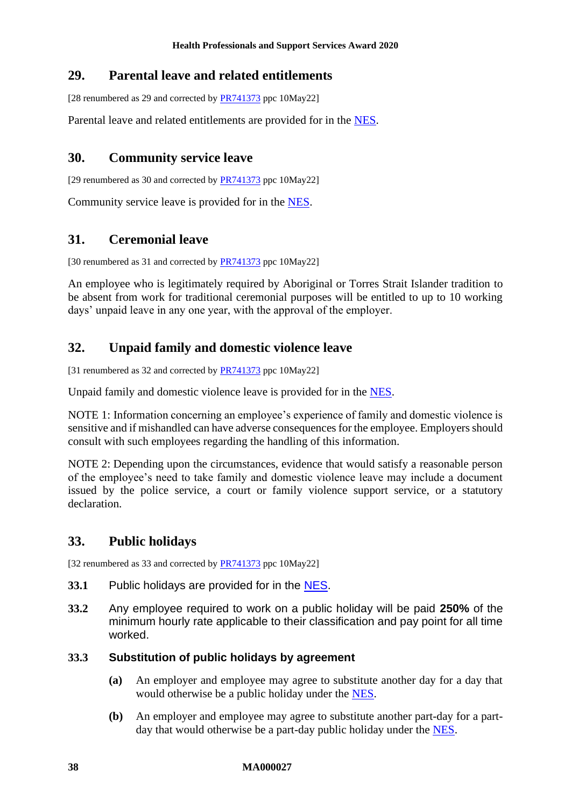# **29. Parental leave and related entitlements**

[28 renumbered as 29 and corrected by [PR741373](https://www.fwc.gov.au/documents/awardsandorders/html/pr741373.htm) ppc 10May22]

Parental leave and related entitlements are provided for in the [NES.](https://www.fwc.gov.au/documents/awardmod/download/nes.pdf)

# **30. Community service leave**

[29 renumbered as 30 and corrected by [PR741373](https://www.fwc.gov.au/documents/awardsandorders/html/pr741373.htm) ppc 10May22]

Community service leave is provided for in the [NES.](https://www.fwc.gov.au/documents/awardmod/download/nes.pdf)

### **31. Ceremonial leave**

[30 renumbered as 31 and corrected by **PR741373** ppc 10May22]

An employee who is legitimately required by Aboriginal or Torres Strait Islander tradition to be absent from work for traditional ceremonial purposes will be entitled to up to 10 working days' unpaid leave in any one year, with the approval of the employer.

# **32. Unpaid family and domestic violence leave**

[31 renumbered as 32 and corrected by **PR741373** ppc 10May22]

Unpaid family and domestic violence leave is provided for in the [NES.](https://www.fwc.gov.au/documents/awardmod/download/nes.pdf)

NOTE 1: Information concerning an employee's experience of family and domestic violence is sensitive and if mishandled can have adverse consequences for the employee. Employers should consult with such employees regarding the handling of this information.

NOTE 2: Depending upon the circumstances, evidence that would satisfy a reasonable person of the employee's need to take family and domestic violence leave may include a document issued by the police service, a court or family violence support service, or a statutory declaration.

# **33. Public holidays**

[32 renumbered as 33 and corrected by [PR741373](https://www.fwc.gov.au/documents/awardsandorders/html/pr741373.htm) ppc 10May22]

- **33.1** Public holidays are provided for in the [NES.](https://www.fwc.gov.au/documents/awardmod/download/nes.pdf)
- **33.2** Any employee required to work on a public holiday will be paid **250%** of the minimum hourly rate applicable to their classification and pay point for all time worked.

### **33.3 Substitution of public holidays by agreement**

- **(a)** An employer and employee may agree to substitute another day for a day that would otherwise be a public holiday under the [NES.](https://www.fwc.gov.au/documents/awardmod/download/nes.pdf)
- **(b)** An employer and employee may agree to substitute another part-day for a partday that would otherwise be a part-day public holiday under the [NES.](https://www.fwc.gov.au/documents/awardmod/download/nes.pdf)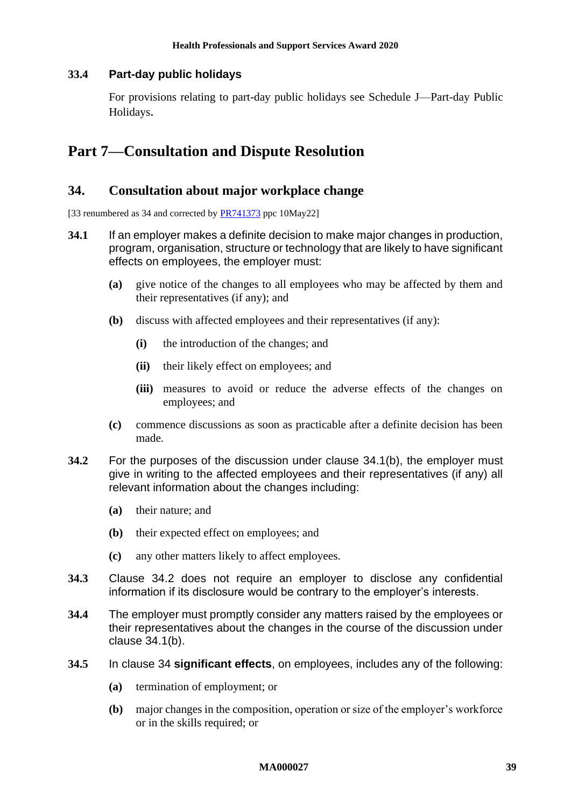### **33.4 Part-day public holidays**

For provisions relating to part-day public holidays see [Schedule J—Part-day Public](#page-73-0)  [Holidays](#page-73-0).

# <span id="page-38-2"></span>**Part 7—Consultation and Dispute Resolution**

### **34. Consultation about major workplace change**

[33 renumbered as 34 and corrected by **PR741373** ppc 10May22]

- <span id="page-38-0"></span>**34.1** If an employer makes a definite decision to make major changes in production, program, organisation, structure or technology that are likely to have significant effects on employees, the employer must:
	- **(a)** give notice of the changes to all employees who may be affected by them and their representatives (if any); and
	- **(b)** discuss with affected employees and their representatives (if any):
		- **(i)** the introduction of the changes; and
		- **(ii)** their likely effect on employees; and
		- **(iii)** measures to avoid or reduce the adverse effects of the changes on employees; and
	- **(c)** commence discussions as soon as practicable after a definite decision has been made.
- <span id="page-38-1"></span>**34.2** For the purposes of the discussion under clause [34.1\(b\),](#page-38-0) the employer must give in writing to the affected employees and their representatives (if any) all relevant information about the changes including:
	- **(a)** their nature; and
	- **(b)** their expected effect on employees; and
	- **(c)** any other matters likely to affect employees.
- **34.3** Clause [34.2](#page-38-1) does not require an employer to disclose any confidential information if its disclosure would be contrary to the employer's interests.
- **34.4** The employer must promptly consider any matters raised by the employees or their representatives about the changes in the course of the discussion under clause [34.1\(b\).](#page-38-0)
- <span id="page-38-3"></span>**34.5** In clause [34](#page-38-2) **significant effects**, on employees, includes any of the following:
	- **(a)** termination of employment; or
	- **(b)** major changes in the composition, operation or size of the employer's workforce or in the skills required; or

#### **MA000027 39**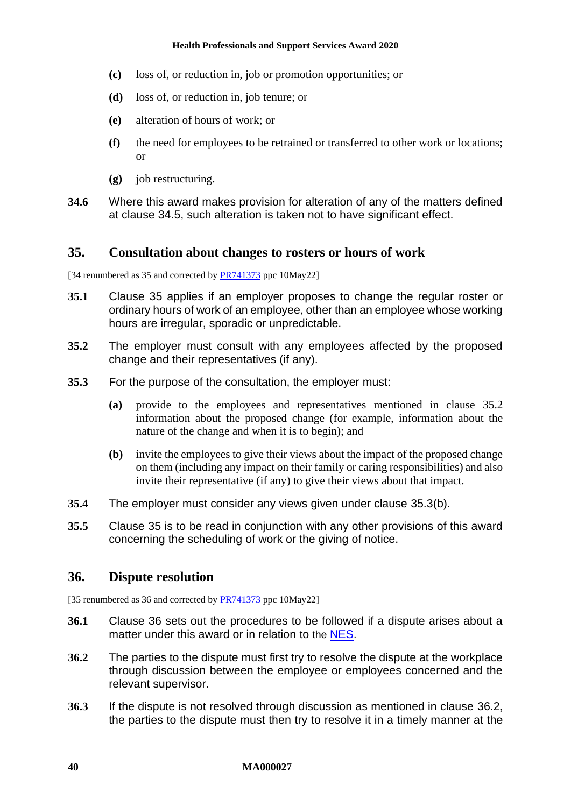- **(c)** loss of, or reduction in, job or promotion opportunities; or
- **(d)** loss of, or reduction in, job tenure; or
- **(e)** alteration of hours of work; or
- **(f)** the need for employees to be retrained or transferred to other work or locations; or
- **(g)** job restructuring.
- **34.6** Where this award makes provision for alteration of any of the matters defined at clause [34.5,](#page-38-3) such alteration is taken not to have significant effect.

### <span id="page-39-0"></span>**35. Consultation about changes to rosters or hours of work**

[34 renumbered as 35 and corrected by **PR741373** ppc 10May22]

- **35.1** Clause [35](#page-39-0) applies if an employer proposes to change the regular roster or ordinary hours of work of an employee, other than an employee whose working hours are irregular, sporadic or unpredictable.
- <span id="page-39-1"></span>**35.2** The employer must consult with any employees affected by the proposed change and their representatives (if any).
- **35.3** For the purpose of the consultation, the employer must:
	- **(a)** provide to the employees and representatives mentioned in clause [35.2](#page-39-1) information about the proposed change (for example, information about the nature of the change and when it is to begin); and
	- **(b)** invite the employees to give their views about the impact of the proposed change on them (including any impact on their family or caring responsibilities) and also invite their representative (if any) to give their views about that impact.
- <span id="page-39-2"></span>**35.4** The employer must consider any views given under clause [35.3\(b\).](#page-39-2)
- **35.5** Clause [35](#page-39-0) is to be read in conjunction with any other provisions of this award concerning the scheduling of work or the giving of notice.

### <span id="page-39-3"></span>**36. Dispute resolution**

[35 renumbered as 36 and corrected by **PR741373** ppc 10May22]

- **36.1** Clause [36](#page-39-3) sets out the procedures to be followed if a dispute arises about a matter under this award or in relation to the [NES](https://www.fwc.gov.au/documents/awardmod/download/nes.pdf).
- <span id="page-39-4"></span>**36.2** The parties to the dispute must first try to resolve the dispute at the workplace through discussion between the employee or employees concerned and the relevant supervisor.
- <span id="page-39-5"></span>**36.3** If the dispute is not resolved through discussion as mentioned in clause [36.2,](#page-39-4) the parties to the dispute must then try to resolve it in a timely manner at the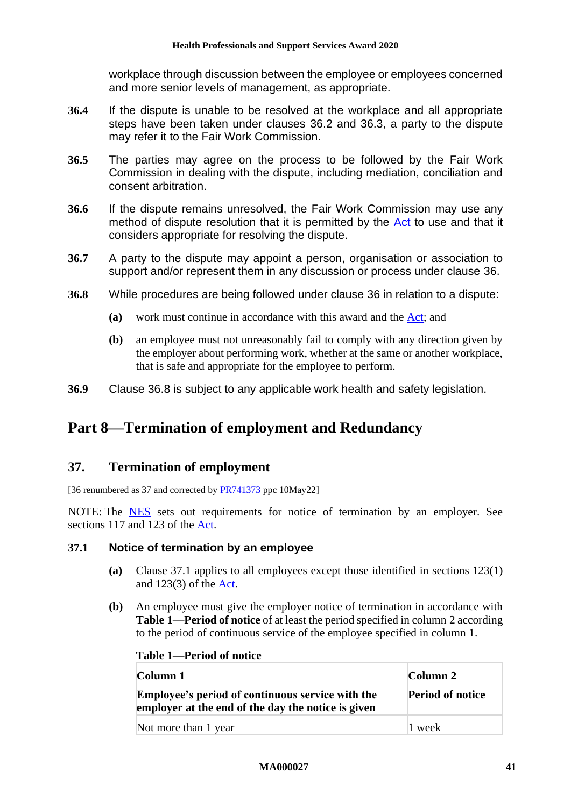workplace through discussion between the employee or employees concerned and more senior levels of management, as appropriate.

- **36.4** If the dispute is unable to be resolved at the workplace and all appropriate steps have been taken under clauses [36.2](#page-39-4) and [36.3,](#page-39-5) a party to the dispute may refer it to the Fair Work Commission.
- **36.5** The parties may agree on the process to be followed by the Fair Work Commission in dealing with the dispute, including mediation, conciliation and consent arbitration.
- **36.6** If the dispute remains unresolved, the Fair Work Commission may use any method of dispute resolution that it is permitted by the [Act](http://www.legislation.gov.au/Series/C2009A00028) to use and that it considers appropriate for resolving the dispute.
- **36.7** A party to the dispute may appoint a person, organisation or association to support and/or represent them in any discussion or process under clause [36.](#page-39-3)
- <span id="page-40-0"></span>**36.8** While procedures are being followed under clause [36](#page-39-3) in relation to a dispute:
	- **(a)** work must continue in accordance with this award and the [Act;](http://www.legislation.gov.au/Series/C2009A00028) and
	- **(b)** an employee must not unreasonably fail to comply with any direction given by the employer about performing work, whether at the same or another workplace, that is safe and appropriate for the employee to perform.
- **36.9** Clause [36.8](#page-40-0) is subject to any applicable work health and safety legislation.

# **Part 8—Termination of employment and Redundancy**

# **37. Termination of employment**

[36 renumbered as 37 and corrected by [PR741373](https://www.fwc.gov.au/documents/awardsandorders/html/pr741373.htm) ppc 10May22]

NOTE: The [NES](https://www.fwc.gov.au/documents/awardmod/download/nes.pdf) sets out requirements for notice of termination by an employer. See sections 117 and 123 of the [Act.](http://www.legislation.gov.au/Series/C2009A00028)

### <span id="page-40-1"></span>**37.1 Notice of termination by an employee**

- **(a)** Clause [37.1](#page-40-1) applies to all employees except those identified in sections 123(1) and 123(3) of the [Act.](http://www.legislation.gov.au/Series/C2009A00028)
- <span id="page-40-3"></span><span id="page-40-2"></span>**(b)** An employee must give the employer notice of termination in accordance with **Table [1—Period of notice](#page-40-2)** of at least the period specified in column 2 according to the period of continuous service of the employee specified in column 1.

**Table 1—Period of notice**

| Column 1                                                                                                      | Column 2                |
|---------------------------------------------------------------------------------------------------------------|-------------------------|
| <b>Employee's period of continuous service with the</b><br>employer at the end of the day the notice is given | <b>Period of notice</b> |
| Not more than 1 year                                                                                          | 1 week                  |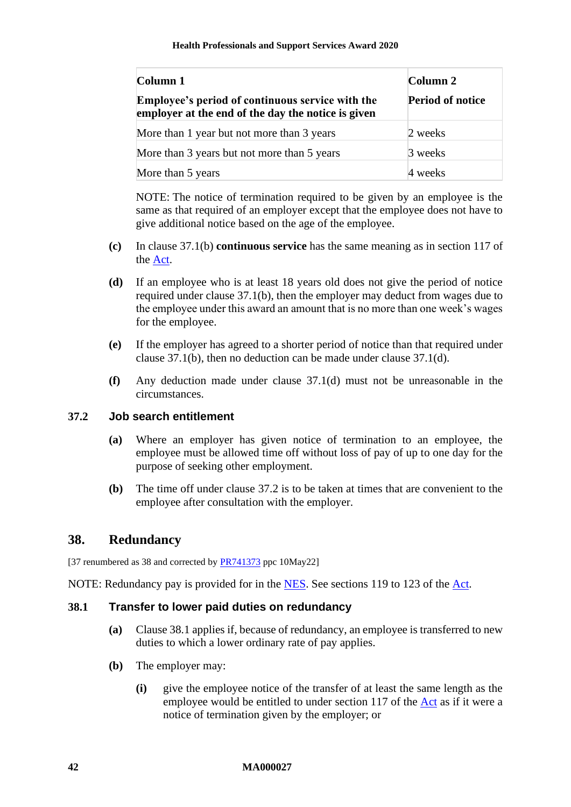| Column 1                                                                                                      | Column 2                |
|---------------------------------------------------------------------------------------------------------------|-------------------------|
| <b>Employee's period of continuous service with the</b><br>employer at the end of the day the notice is given | <b>Period of notice</b> |
| More than 1 year but not more than 3 years                                                                    | 2 weeks                 |
| More than 3 years but not more than 5 years                                                                   | 3 weeks                 |
| More than 5 years                                                                                             | 4 weeks                 |

NOTE: The notice of termination required to be given by an employee is the same as that required of an employer except that the employee does not have to give additional notice based on the age of the employee.

- **(c)** In clause [37.1\(b\)](#page-40-3) **continuous service** has the same meaning as in section 117 of the [Act.](http://www.legislation.gov.au/Series/C2009A00028)
- <span id="page-41-0"></span>**(d)** If an employee who is at least 18 years old does not give the period of notice required under clause [37.1\(b\),](#page-40-3) then the employer may deduct from wages due to the employee under this award an amount that is no more than one week's wages for the employee.
- **(e)** If the employer has agreed to a shorter period of notice than that required under clause [37.1\(b\),](#page-40-3) then no deduction can be made under clause [37.1\(d\).](#page-41-0)
- **(f)** Any deduction made under clause [37.1\(d\)](#page-41-0) must not be unreasonable in the circumstances.

### <span id="page-41-1"></span>**37.2 Job search entitlement**

- **(a)** Where an employer has given notice of termination to an employee, the employee must be allowed time off without loss of pay of up to one day for the purpose of seeking other employment.
- **(b)** The time off under clause [37.2](#page-41-1) is to be taken at times that are convenient to the employee after consultation with the employer.

# <span id="page-41-3"></span>**38. Redundancy**

[37 renumbered as 38 and corrected by [PR741373](https://www.fwc.gov.au/documents/awardsandorders/html/pr741373.htm) ppc 10May22]

NOTE: Redundancy pay is provided for in the [NES.](https://www.fwc.gov.au/documents/awardmod/download/nes.pdf) See sections 119 to 123 of the [Act.](http://www.legislation.gov.au/Series/C2009A00028)

#### <span id="page-41-2"></span>**38.1 Transfer to lower paid duties on redundancy**

- **(a)** Clause [38.1](#page-41-2) applies if, because of redundancy, an employee is transferred to new duties to which a lower ordinary rate of pay applies.
- **(b)** The employer may:
	- **(i)** give the employee notice of the transfer of at least the same length as the employee would be entitled to under section 117 of the [Act](http://www.legislation.gov.au/Series/C2009A00028) as if it were a notice of termination given by the employer; or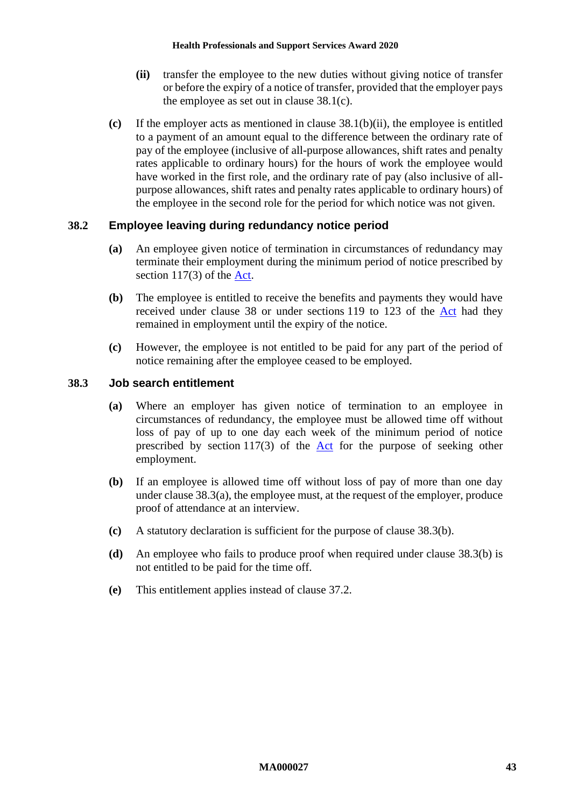- **(ii)** transfer the employee to the new duties without giving notice of transfer or before the expiry of a notice of transfer, provided that the employer pays the employee as set out in clause [38.1\(c\).](#page-42-0)
- <span id="page-42-1"></span><span id="page-42-0"></span>**(c)** If the employer acts as mentioned in clause [38.1\(b\)\(ii\),](#page-42-1) the employee is entitled to a payment of an amount equal to the difference between the ordinary rate of pay of the employee (inclusive of all-purpose allowances, shift rates and penalty rates applicable to ordinary hours) for the hours of work the employee would have worked in the first role, and the ordinary rate of pay (also inclusive of allpurpose allowances, shift rates and penalty rates applicable to ordinary hours) of the employee in the second role for the period for which notice was not given.

### **38.2 Employee leaving during redundancy notice period**

- **(a)** An employee given notice of termination in circumstances of redundancy may terminate their employment during the minimum period of notice prescribed by section 117(3) of the [Act.](http://www.legislation.gov.au/Series/C2009A00028)
- **(b)** The employee is entitled to receive the benefits and payments they would have received under clause [38](#page-41-3) or under sections 119 to 123 of the [Act](http://www.legislation.gov.au/Series/C2009A00028) had they remained in employment until the expiry of the notice.
- **(c)** However, the employee is not entitled to be paid for any part of the period of notice remaining after the employee ceased to be employed.

#### <span id="page-42-2"></span>**38.3 Job search entitlement**

- **(a)** Where an employer has given notice of termination to an employee in circumstances of redundancy, the employee must be allowed time off without loss of pay of up to one day each week of the minimum period of notice prescribed by section 117(3) of the [Act](http://www.legislation.gov.au/Series/C2009A00028) for the purpose of seeking other employment.
- <span id="page-42-3"></span>**(b)** If an employee is allowed time off without loss of pay of more than one day under clause [38.3\(a\),](#page-42-2) the employee must, at the request of the employer, produce proof of attendance at an interview.
- **(c)** A statutory declaration is sufficient for the purpose of clause [38.3\(b\).](#page-42-3)
- **(d)** An employee who fails to produce proof when required under clause [38.3\(b\)](#page-42-3) is not entitled to be paid for the time off.
- **(e)** This entitlement applies instead of clause [37.2.](#page-41-1)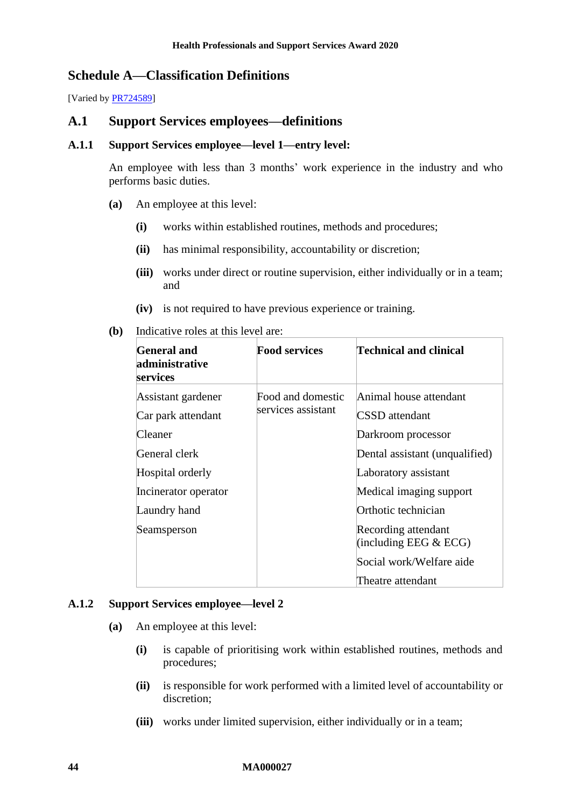# **Schedule A—Classification Definitions**

[Varied b[y PR724589\]](https://www.fwc.gov.au/documents/awardsandorders/html/PR724589.htm)

### **A.1 Support Services employees—definitions**

#### **A.1.1 Support Services employee—level 1—entry level:**

An employee with less than 3 months' work experience in the industry and who performs basic duties.

- **(a)** An employee at this level:
	- **(i)** works within established routines, methods and procedures;
	- **(ii)** has minimal responsibility, accountability or discretion;
	- **(iii)** works under direct or routine supervision, either individually or in a team; and
	- **(iv)** is not required to have previous experience or training.
- **(b)** Indicative roles at this level are:

| General and<br>administrative<br>services | <b>Food services</b> | Technical and clinical                          |
|-------------------------------------------|----------------------|-------------------------------------------------|
| Assistant gardener                        | Food and domestic    | Animal house attendant                          |
| Car park attendant                        | services assistant   | <b>CSSD</b> attendant                           |
| Cleaner                                   |                      | Darkroom processor                              |
| General clerk                             |                      | Dental assistant (unqualified)                  |
| Hospital orderly                          |                      | Laboratory assistant                            |
| Incinerator operator                      |                      | Medical imaging support                         |
| Laundry hand                              |                      | Orthotic technician                             |
| Seamsperson                               |                      | Recording attendant<br>(including EEG $& ECG$ ) |
|                                           |                      | Social work/Welfare aide                        |
|                                           |                      | Theatre attendant                               |

#### **A.1.2 Support Services employee—level 2**

- **(a)** An employee at this level:
	- **(i)** is capable of prioritising work within established routines, methods and procedures;
	- **(ii)** is responsible for work performed with a limited level of accountability or discretion;
	- **(iii)** works under limited supervision, either individually or in a team;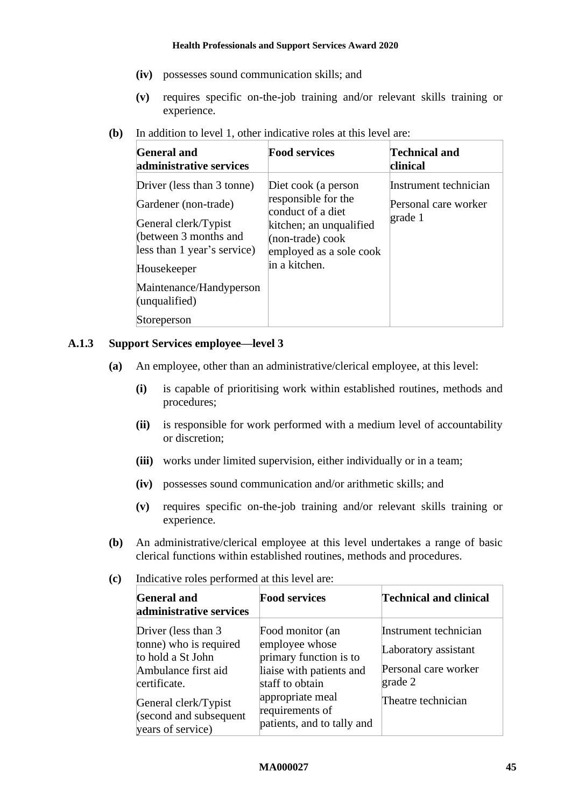- **(iv)** possesses sound communication skills; and
- **(v)** requires specific on-the-job training and/or relevant skills training or experience.
- **(b)** In addition to level 1, other indicative roles at this level are:

| <b>General and</b><br>administrative services                                                                                                                                                                | <b>Food services</b>                                                                                                                                                   | <b>Technical and</b><br>clinical                         |
|--------------------------------------------------------------------------------------------------------------------------------------------------------------------------------------------------------------|------------------------------------------------------------------------------------------------------------------------------------------------------------------------|----------------------------------------------------------|
| Driver (less than 3 tonne)<br>Gardener (non-trade)<br>General clerk/Typist<br>(between 3 months and<br>less than 1 year's service)<br>Housekeeper<br>Maintenance/Handyperson<br>(unqualified)<br>Storeperson | Diet cook (a person<br>responsible for the<br>conduct of a diet<br>kitchen; an unqualified<br>$(non-trade) \, \text{cook}$<br>employed as a sole cook<br>in a kitchen. | Instrument technician<br>Personal care worker<br>grade 1 |

#### **A.1.3 Support Services employee—level 3**

- **(a)** An employee, other than an administrative/clerical employee, at this level:
	- **(i)** is capable of prioritising work within established routines, methods and procedures;
	- **(ii)** is responsible for work performed with a medium level of accountability or discretion;
	- **(iii)** works under limited supervision, either individually or in a team;
	- **(iv)** possesses sound communication and/or arithmetic skills; and
	- **(v)** requires specific on-the-job training and/or relevant skills training or experience.
- **(b)** An administrative/clerical employee at this level undertakes a range of basic clerical functions within established routines, methods and procedures.
- **(c)** Indicative roles performed at this level are:

| <b>General and</b><br>administrative services                                                                                                                                    | <b>Food services</b>                                                                                                                                                             | Technical and clinical                                                                                 |
|----------------------------------------------------------------------------------------------------------------------------------------------------------------------------------|----------------------------------------------------------------------------------------------------------------------------------------------------------------------------------|--------------------------------------------------------------------------------------------------------|
| Driver (less than 3<br>tonne) who is required<br>to hold a St John<br>Ambulance first aid<br>certificate.<br>General clerk/Typist<br>(second and subsequent<br>years of service) | Food monitor (an<br>employee whose<br>primary function is to<br>liaise with patients and<br>staff to obtain<br>appropriate meal<br>requirements of<br>patients, and to tally and | Instrument technician<br>Laboratory assistant<br>Personal care worker<br>grade 2<br>Theatre technician |

#### **MA000027 45**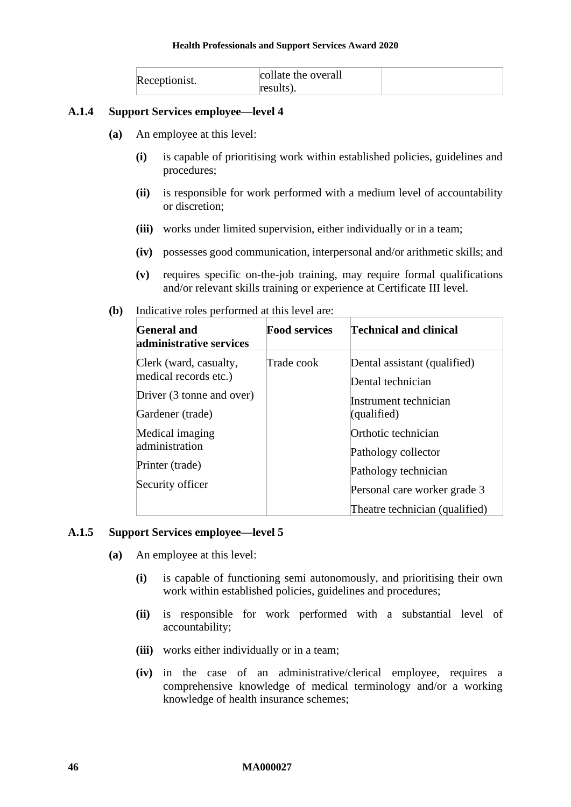| Receptionist. | collate the overall |  |
|---------------|---------------------|--|
|               | results).           |  |

#### **A.1.4 Support Services employee—level 4**

- **(a)** An employee at this level:
	- **(i)** is capable of prioritising work within established policies, guidelines and procedures;
	- **(ii)** is responsible for work performed with a medium level of accountability or discretion;
	- **(iii)** works under limited supervision, either individually or in a team;
	- **(iv)** possesses good communication, interpersonal and/or arithmetic skills; and
	- **(v)** requires specific on-the-job training, may require formal qualifications and/or relevant skills training or experience at Certificate III level.
- **(b)** Indicative roles performed at this level are:

| <b>General and</b><br>administrative services                                                    | <b>Food services</b> | Technical and clinical                                                                             |
|--------------------------------------------------------------------------------------------------|----------------------|----------------------------------------------------------------------------------------------------|
| Clerk (ward, casualty,<br>medical records etc.)<br>Driver (3 tonne and over)<br>Gardener (trade) | Trade cook           | Dental assistant (qualified)<br>Dental technician<br>Instrument technician<br>(qualified)          |
| Medical imaging<br>administration<br>Printer (trade)<br>Security officer                         |                      | Orthotic technician<br>Pathology collector<br>Pathology technician<br>Personal care worker grade 3 |
|                                                                                                  |                      | Theatre technician (qualified)                                                                     |

#### **A.1.5 Support Services employee—level 5**

- **(a)** An employee at this level:
	- **(i)** is capable of functioning semi autonomously, and prioritising their own work within established policies, guidelines and procedures;
	- **(ii)** is responsible for work performed with a substantial level of accountability;
	- **(iii)** works either individually or in a team;
	- **(iv)** in the case of an administrative/clerical employee, requires a comprehensive knowledge of medical terminology and/or a working knowledge of health insurance schemes;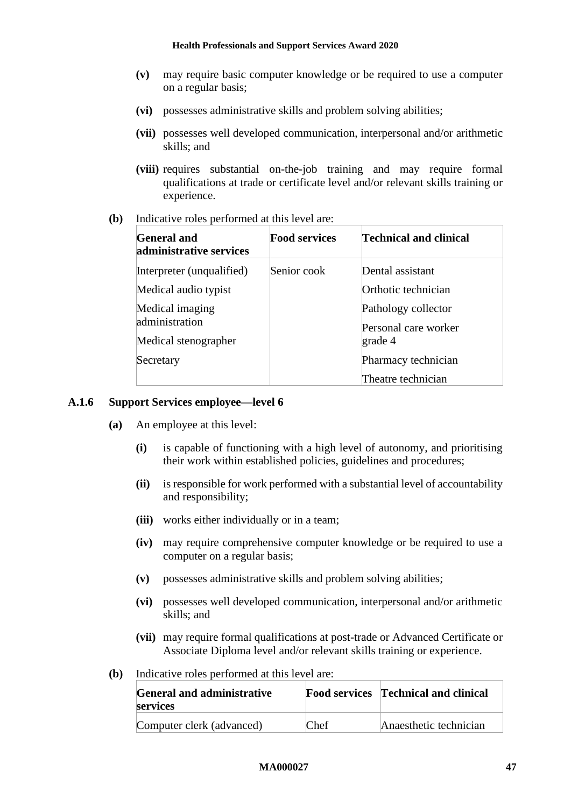- **(v)** may require basic computer knowledge or be required to use a computer on a regular basis;
- **(vi)** possesses administrative skills and problem solving abilities;
- **(vii)** possesses well developed communication, interpersonal and/or arithmetic skills; and
- **(viii)** requires substantial on-the-job training and may require formal qualifications at trade or certificate level and/or relevant skills training or experience.
- **(b)** Indicative roles performed at this level are:

| <b>General and</b><br>administrative services             | <b>Food services</b> | Technical and clinical                     |
|-----------------------------------------------------------|----------------------|--------------------------------------------|
| Interpreter (unqualified)                                 | Senior cook          | Dental assistant                           |
| Medical audio typist<br>Medical imaging<br>administration |                      | Orthotic technician<br>Pathology collector |
| Medical stenographer                                      |                      | Personal care worker<br>grade 4            |
| Secretary                                                 |                      | Pharmacy technician<br>Theatre technician  |

#### **A.1.6 Support Services employee—level 6**

- **(a)** An employee at this level:
	- **(i)** is capable of functioning with a high level of autonomy, and prioritising their work within established policies, guidelines and procedures;
	- **(ii)** is responsible for work performed with a substantial level of accountability and responsibility;
	- **(iii)** works either individually or in a team;
	- **(iv)** may require comprehensive computer knowledge or be required to use a computer on a regular basis;
	- **(v)** possesses administrative skills and problem solving abilities;
	- **(vi)** possesses well developed communication, interpersonal and/or arithmetic skills; and
	- **(vii)** may require formal qualifications at post-trade or Advanced Certificate or Associate Diploma level and/or relevant skills training or experience.
- **(b)** Indicative roles performed at this level are:

| <b>General and administrative</b><br><b>services</b> |      | <b>Food services</b> Technical and clinical |
|------------------------------------------------------|------|---------------------------------------------|
| Computer clerk (advanced)                            | Chef | Anaesthetic technician                      |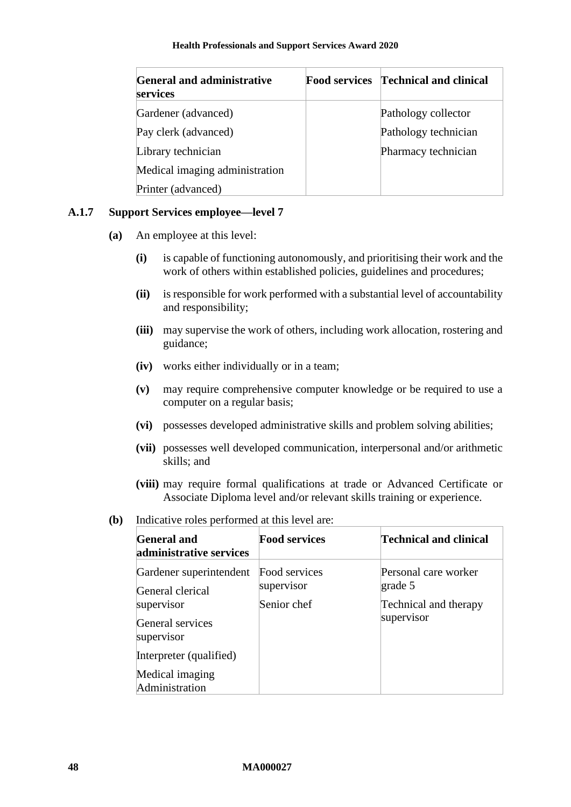| <b>General and administrative</b><br>services | <b>Food services</b> | <b>Technical and clinical</b> |
|-----------------------------------------------|----------------------|-------------------------------|
| Gardener (advanced)                           |                      | Pathology collector           |
| Pay clerk (advanced)                          |                      | Pathology technician          |
| Library technician                            |                      | Pharmacy technician           |
| Medical imaging administration                |                      |                               |
| Printer (advanced)                            |                      |                               |

### **A.1.7 Support Services employee—level 7**

- **(a)** An employee at this level:
	- **(i)** is capable of functioning autonomously, and prioritising their work and the work of others within established policies, guidelines and procedures;
	- **(ii)** is responsible for work performed with a substantial level of accountability and responsibility;
	- **(iii)** may supervise the work of others, including work allocation, rostering and guidance;
	- **(iv)** works either individually or in a team;
	- **(v)** may require comprehensive computer knowledge or be required to use a computer on a regular basis;
	- **(vi)** possesses developed administrative skills and problem solving abilities;
	- **(vii)** possesses well developed communication, interpersonal and/or arithmetic skills; and
	- **(viii)** may require formal qualifications at trade or Advanced Certificate or Associate Diploma level and/or relevant skills training or experience.
- **(b)** Indicative roles performed at this level are:

| <b>General and</b><br>administrative services                                                                                                               | <b>Food services</b>                       | Technical and clinical                                                          |
|-------------------------------------------------------------------------------------------------------------------------------------------------------------|--------------------------------------------|---------------------------------------------------------------------------------|
| Gardener superintendent<br>General clerical<br>supervisor<br>General services<br>supervisor<br>Interpreter (qualified)<br>Medical imaging<br>Administration | Food services<br>supervisor<br>Senior chef | Personal care worker<br>$\gamma$ grade 5<br>Technical and therapy<br>supervisor |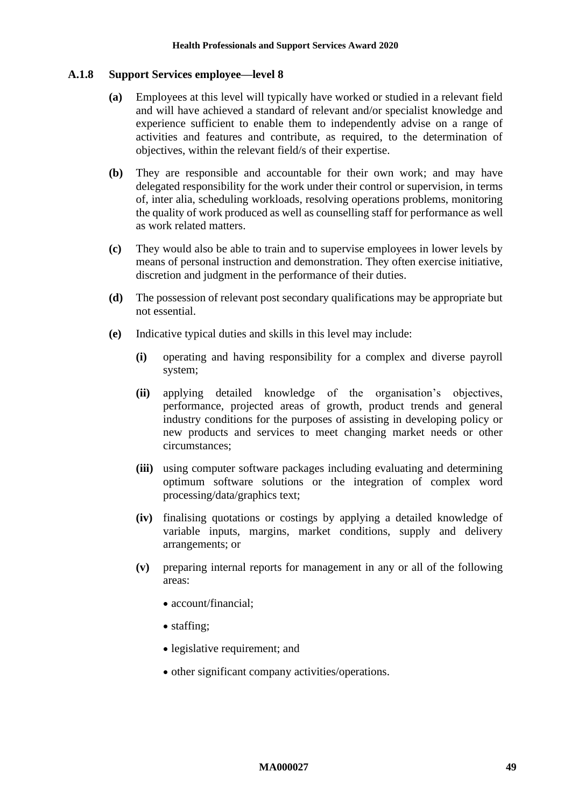#### **A.1.8 Support Services employee—level 8**

- **(a)** Employees at this level will typically have worked or studied in a relevant field and will have achieved a standard of relevant and/or specialist knowledge and experience sufficient to enable them to independently advise on a range of activities and features and contribute, as required, to the determination of objectives, within the relevant field/s of their expertise.
- **(b)** They are responsible and accountable for their own work; and may have delegated responsibility for the work under their control or supervision, in terms of, inter alia, scheduling workloads, resolving operations problems, monitoring the quality of work produced as well as counselling staff for performance as well as work related matters.
- **(c)** They would also be able to train and to supervise employees in lower levels by means of personal instruction and demonstration. They often exercise initiative, discretion and judgment in the performance of their duties.
- **(d)** The possession of relevant post secondary qualifications may be appropriate but not essential.
- **(e)** Indicative typical duties and skills in this level may include:
	- **(i)** operating and having responsibility for a complex and diverse payroll system;
	- **(ii)** applying detailed knowledge of the organisation's objectives, performance, projected areas of growth, product trends and general industry conditions for the purposes of assisting in developing policy or new products and services to meet changing market needs or other circumstances;
	- **(iii)** using computer software packages including evaluating and determining optimum software solutions or the integration of complex word processing/data/graphics text;
	- **(iv)** finalising quotations or costings by applying a detailed knowledge of variable inputs, margins, market conditions, supply and delivery arrangements; or
	- **(v)** preparing internal reports for management in any or all of the following areas:
		- account/financial;
		- staffing;
		- legislative requirement; and
		- other significant company activities/operations.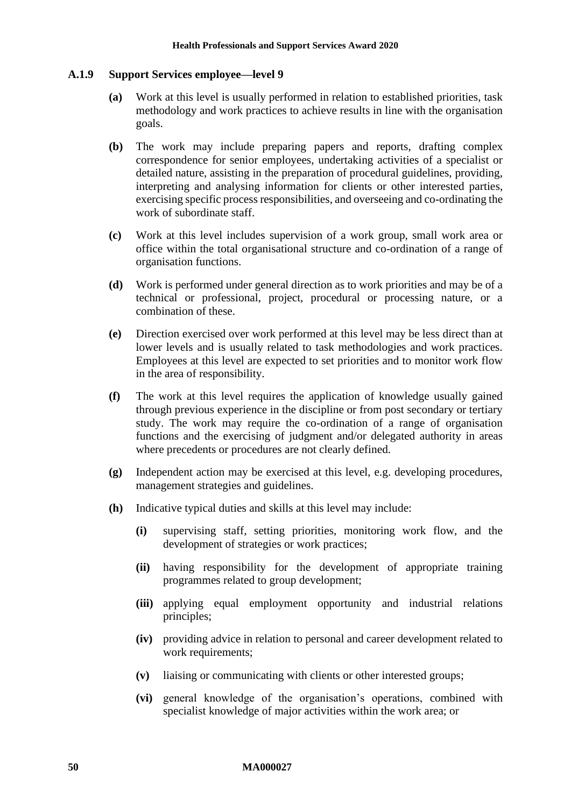#### **A.1.9 Support Services employee—level 9**

- **(a)** Work at this level is usually performed in relation to established priorities, task methodology and work practices to achieve results in line with the organisation goals.
- **(b)** The work may include preparing papers and reports, drafting complex correspondence for senior employees, undertaking activities of a specialist or detailed nature, assisting in the preparation of procedural guidelines, providing, interpreting and analysing information for clients or other interested parties, exercising specific process responsibilities, and overseeing and co-ordinating the work of subordinate staff.
- **(c)** Work at this level includes supervision of a work group, small work area or office within the total organisational structure and co-ordination of a range of organisation functions.
- **(d)** Work is performed under general direction as to work priorities and may be of a technical or professional, project, procedural or processing nature, or a combination of these.
- **(e)** Direction exercised over work performed at this level may be less direct than at lower levels and is usually related to task methodologies and work practices. Employees at this level are expected to set priorities and to monitor work flow in the area of responsibility.
- **(f)** The work at this level requires the application of knowledge usually gained through previous experience in the discipline or from post secondary or tertiary study. The work may require the co-ordination of a range of organisation functions and the exercising of judgment and/or delegated authority in areas where precedents or procedures are not clearly defined.
- **(g)** Independent action may be exercised at this level, e.g. developing procedures, management strategies and guidelines.
- **(h)** Indicative typical duties and skills at this level may include:
	- **(i)** supervising staff, setting priorities, monitoring work flow, and the development of strategies or work practices;
	- **(ii)** having responsibility for the development of appropriate training programmes related to group development;
	- **(iii)** applying equal employment opportunity and industrial relations principles;
	- **(iv)** providing advice in relation to personal and career development related to work requirements;
	- **(v)** liaising or communicating with clients or other interested groups;
	- **(vi)** general knowledge of the organisation's operations, combined with specialist knowledge of major activities within the work area; or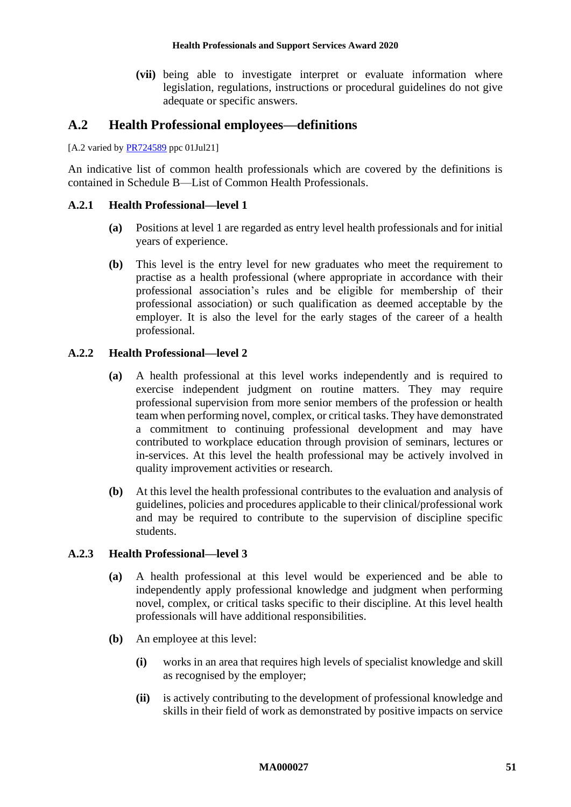**(vii)** being able to investigate interpret or evaluate information where legislation, regulations, instructions or procedural guidelines do not give adequate or specific answers.

### **A.2 Health Professional employees—definitions**

[A.2 varied by **PR724589** ppc 01Jul21]

An indicative list of common health professionals which are covered by the definitions is contained in [Schedule B—List of Common Health Professionals.](#page-52-0)

#### **A.2.1 Health Professional—level 1**

- **(a)** Positions at level 1 are regarded as entry level health professionals and for initial years of experience.
- **(b)** This level is the entry level for new graduates who meet the requirement to practise as a health professional (where appropriate in accordance with their professional association's rules and be eligible for membership of their professional association) or such qualification as deemed acceptable by the employer. It is also the level for the early stages of the career of a health professional.

#### **A.2.2 Health Professional—level 2**

- **(a)** A health professional at this level works independently and is required to exercise independent judgment on routine matters. They may require professional supervision from more senior members of the profession or health team when performing novel, complex, or critical tasks. They have demonstrated a commitment to continuing professional development and may have contributed to workplace education through provision of seminars, lectures or in-services. At this level the health professional may be actively involved in quality improvement activities or research.
- **(b)** At this level the health professional contributes to the evaluation and analysis of guidelines, policies and procedures applicable to their clinical/professional work and may be required to contribute to the supervision of discipline specific students.

#### **A.2.3 Health Professional—level 3**

- **(a)** A health professional at this level would be experienced and be able to independently apply professional knowledge and judgment when performing novel, complex, or critical tasks specific to their discipline. At this level health professionals will have additional responsibilities.
- **(b)** An employee at this level:
	- **(i)** works in an area that requires high levels of specialist knowledge and skill as recognised by the employer;
	- **(ii)** is actively contributing to the development of professional knowledge and skills in their field of work as demonstrated by positive impacts on service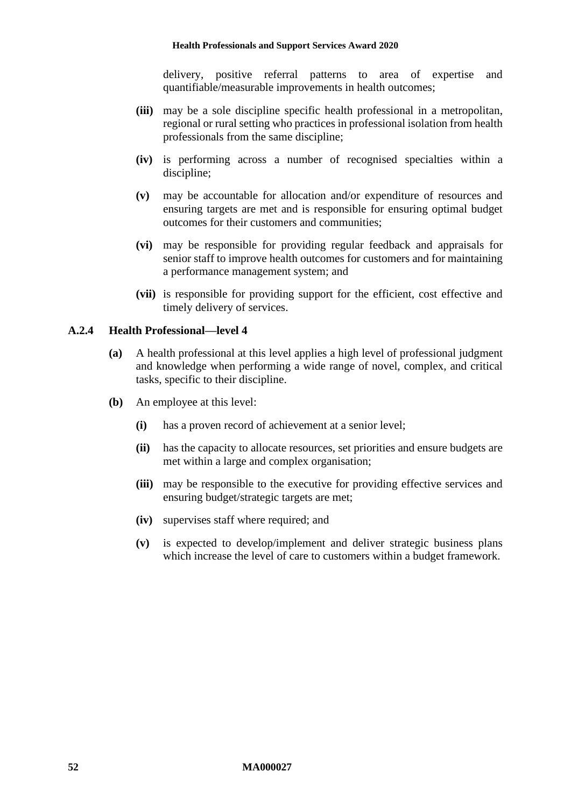delivery, positive referral patterns to area of expertise and quantifiable/measurable improvements in health outcomes;

- **(iii)** may be a sole discipline specific health professional in a metropolitan, regional or rural setting who practices in professional isolation from health professionals from the same discipline;
- **(iv)** is performing across a number of recognised specialties within a discipline;
- **(v)** may be accountable for allocation and/or expenditure of resources and ensuring targets are met and is responsible for ensuring optimal budget outcomes for their customers and communities;
- **(vi)** may be responsible for providing regular feedback and appraisals for senior staff to improve health outcomes for customers and for maintaining a performance management system; and
- **(vii)** is responsible for providing support for the efficient, cost effective and timely delivery of services.

#### **A.2.4 Health Professional—level 4**

- **(a)** A health professional at this level applies a high level of professional judgment and knowledge when performing a wide range of novel, complex, and critical tasks, specific to their discipline.
- **(b)** An employee at this level:
	- **(i)** has a proven record of achievement at a senior level;
	- **(ii)** has the capacity to allocate resources, set priorities and ensure budgets are met within a large and complex organisation;
	- **(iii)** may be responsible to the executive for providing effective services and ensuring budget/strategic targets are met;
	- **(iv)** supervises staff where required; and
	- **(v)** is expected to develop/implement and deliver strategic business plans which increase the level of care to customers within a budget framework.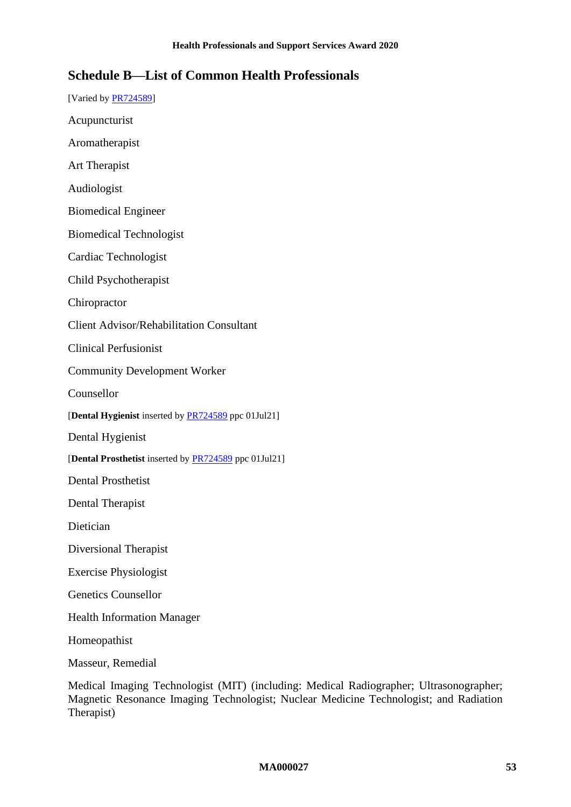# <span id="page-52-0"></span>**Schedule B—List of Common Health Professionals**

- [Varied b[y PR724589\]](https://www.fwc.gov.au/documents/awardsandorders/html/PR724589.htm)
- Acupuncturist
- Aromatherapist
- Art Therapist
- Audiologist
- Biomedical Engineer
- Biomedical Technologist
- Cardiac Technologist
- Child Psychotherapist
- Chiropractor
- Client Advisor/Rehabilitation Consultant
- Clinical Perfusionist
- Community Development Worker
- Counsellor
- [**Dental Hygienist** inserted by [PR724589](https://www.fwc.gov.au/documents/awardsandorders/html/PR724589.htm) ppc 01Jul21]
- Dental Hygienist
- [**Dental Prosthetist** inserted by [PR724589](https://www.fwc.gov.au/documents/awardsandorders/html/PR724589.htm) ppc 01Jul21]
- Dental Prosthetist
- Dental Therapist
- Dietician
- Diversional Therapist
- Exercise Physiologist
- Genetics Counsellor
- Health Information Manager
- Homeopathist
- Masseur, Remedial
- Medical Imaging Technologist (MIT) (including: Medical Radiographer; Ultrasonographer; Magnetic Resonance Imaging Technologist; Nuclear Medicine Technologist; and Radiation Therapist)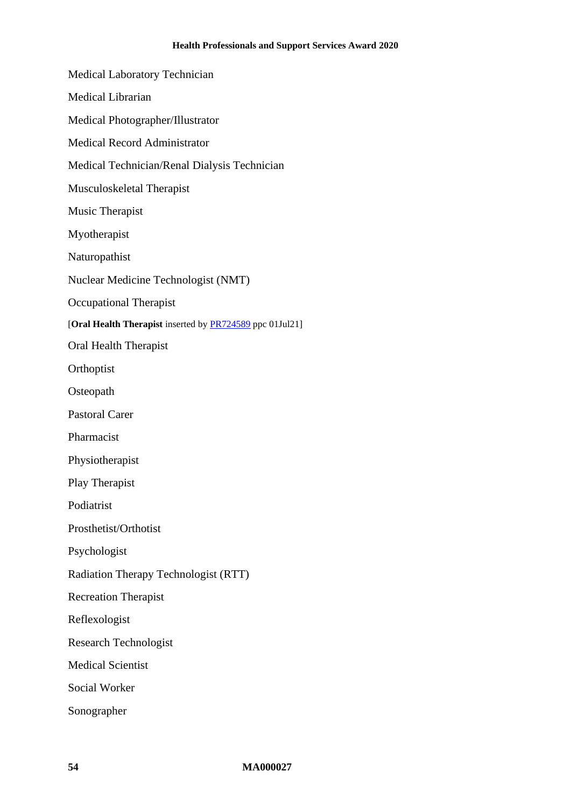| <b>Health Professionals and Support</b>                  |
|----------------------------------------------------------|
| <b>Medical Laboratory Technician</b>                     |
| Medical Librarian                                        |
| Medical Photographer/Illustrator                         |
| <b>Medical Record Administrator</b>                      |
| Medical Technician/Renal Dialysis Technician             |
| Musculoskeletal Therapist                                |
| <b>Music Therapist</b>                                   |
| Myotherapist                                             |
| Naturopathist                                            |
| Nuclear Medicine Technologist (NMT)                      |
| <b>Occupational Therapist</b>                            |
| [Oral Health Therapist inserted by PR724589 ppc 01Jul21] |
| Oral Health Therapist                                    |
| Orthoptist                                               |
| Osteopath                                                |
| <b>Pastoral Carer</b>                                    |
| Pharmacist                                               |
| Physiotherapist                                          |
| Play Therapist                                           |
| Podiatrist                                               |
| Prosthetist/Orthotist                                    |
| Psychologist                                             |
| Radiation Therapy Technologist (RTT)                     |
| <b>Recreation Therapist</b>                              |
| Reflexologist                                            |
| <b>Research Technologist</b>                             |
| <b>Medical Scientist</b>                                 |
| <b>Social Worker</b>                                     |
| Sonographer                                              |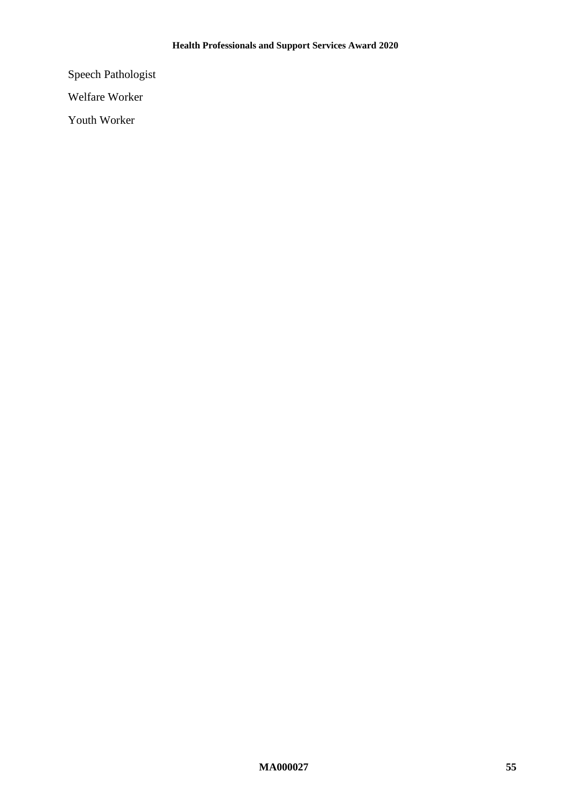Speech Pathologist

Welfare Worker

Youth Worker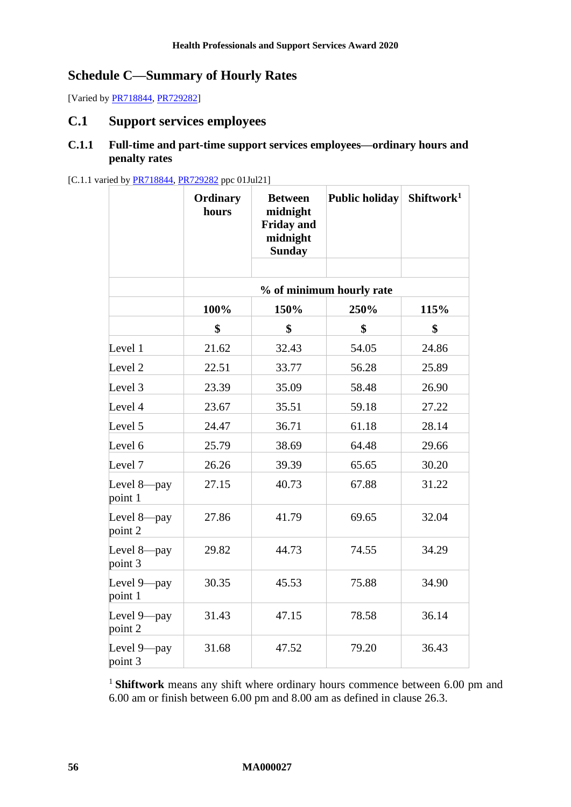# **Schedule C—Summary of Hourly Rates**

[Varied by **PR718844, [PR729282\]](https://www.fwc.gov.au/documents/awardsandorders/html/PR729282.htm)** 

### **C.1 Support services employees**

### **C.1.1 Full-time and part-time support services employees—ordinary hours and penalty rates**

#### [C.1.1 varied by [PR718844,](https://www.fwc.gov.au/documents/awardsandorders/html/PR718844.htm) [PR729282](https://www.fwc.gov.au/documents/awardsandorders/html/PR729282.htm) ppc 01Jul21]

|                           | Ordinary<br>hours | <b>Between</b><br>midnight<br><b>Friday and</b><br>midnight<br><b>Sunday</b> | Public holiday           | Shiftwork <sup>1</sup> |
|---------------------------|-------------------|------------------------------------------------------------------------------|--------------------------|------------------------|
|                           |                   |                                                                              |                          |                        |
|                           |                   |                                                                              | % of minimum hourly rate |                        |
|                           | 100%              | 150%                                                                         | 250%                     | 115%                   |
|                           | \$                | \$                                                                           | \$                       | \$                     |
| Level 1                   | 21.62             | 32.43                                                                        | 54.05                    | 24.86                  |
| Level <sub>2</sub>        | 22.51             | 33.77                                                                        | 56.28                    | 25.89                  |
| Level 3                   | 23.39             | 35.09                                                                        | 58.48                    | 26.90                  |
| Level 4                   | 23.67             | 35.51                                                                        | 59.18                    | 27.22                  |
| Level 5                   | 24.47             | 36.71                                                                        | 61.18                    | 28.14                  |
| Level 6                   | 25.79             | 38.69                                                                        | 64.48                    | 29.66                  |
| Level 7                   | 26.26             | 39.39                                                                        | 65.65                    | 30.20                  |
| Level 8-pay<br>point 1    | 27.15             | 40.73                                                                        | 67.88                    | 31.22                  |
| Level 8-pay<br>point 2    | 27.86             | 41.79                                                                        | 69.65                    | 32.04                  |
| Level $8$ —pay<br>point 3 | 29.82             | 44.73                                                                        | 74.55                    | 34.29                  |
| Level 9-pay<br>point 1    | 30.35             | 45.53                                                                        | 75.88                    | 34.90                  |
| Level 9-pay<br>point 2    | 31.43             | 47.15                                                                        | 78.58                    | 36.14                  |
| Level 9-pay<br>point 3    | 31.68             | 47.52                                                                        | 79.20                    | 36.43                  |

<sup>1</sup> **Shiftwork** means any shift where ordinary hours commence between 6.00 pm and 6.00 am or finish between 6.00 pm and 8.00 am as defined in clause [26.3.](#page-32-1)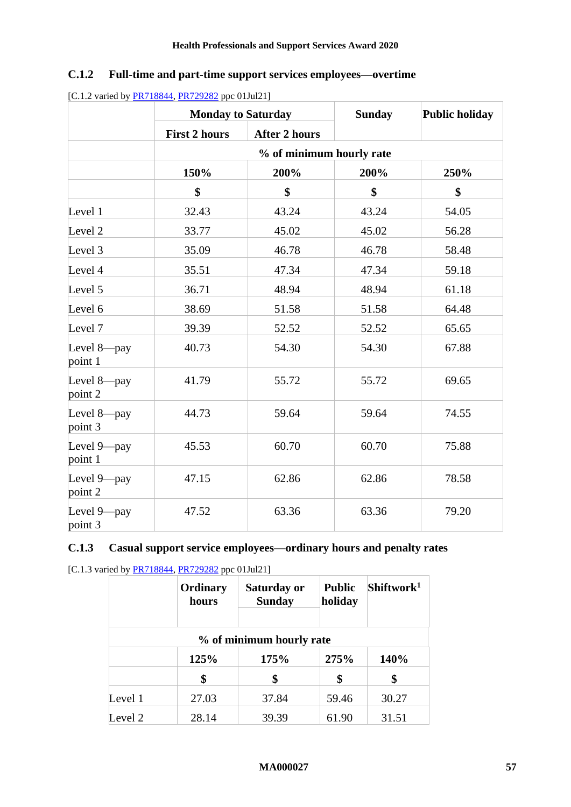|  | C.1.2 Full-time and part-time support services employees—overtime |
|--|-------------------------------------------------------------------|

|                        |                          | <b>Monday to Saturday</b> |                   | <b>Public holiday</b> |  |  |
|------------------------|--------------------------|---------------------------|-------------------|-----------------------|--|--|
|                        | <b>First 2 hours</b>     | <b>After 2 hours</b>      |                   |                       |  |  |
|                        | % of minimum hourly rate |                           |                   |                       |  |  |
|                        | 150%                     | 200%                      | 200%              | 250%                  |  |  |
|                        | \$                       | \$                        | $\boldsymbol{\$}$ | \$                    |  |  |
| Level 1                | 32.43                    | 43.24                     | 43.24             | 54.05                 |  |  |
| Level <sub>2</sub>     | 33.77                    | 45.02                     | 45.02             | 56.28                 |  |  |
| Level 3                | 35.09                    | 46.78                     | 46.78             | 58.48                 |  |  |
| Level 4                | 35.51                    | 47.34                     | 47.34             | 59.18                 |  |  |
| Level 5                | 36.71                    | 48.94                     | 48.94             | 61.18                 |  |  |
| Level 6                | 38.69                    | 51.58                     | 51.58             | 64.48                 |  |  |
| Level 7                | 39.39                    | 52.52                     | 52.52             | 65.65                 |  |  |
| Level 8-pay<br>point 1 | 40.73                    | 54.30                     | 54.30             | 67.88                 |  |  |
| Level 8-pay<br>point 2 | 41.79                    | 55.72                     | 55.72             | 69.65                 |  |  |
| Level 8-pay<br>point 3 | 44.73                    | 59.64                     | 59.64             | 74.55                 |  |  |
| Level 9-pay<br>point 1 | 45.53                    | 60.70                     | 60.70             | 75.88                 |  |  |
| Level 9-pay<br>point 2 | 47.15                    | 62.86                     | 62.86             | 78.58                 |  |  |
| Level 9-pay<br>point 3 | 47.52                    | 63.36                     | 63.36             | 79.20                 |  |  |

| [C.1.2 varied by $\frac{PR718844}{PR729282}$ ppc 01Jul21] |  |  |
|-----------------------------------------------------------|--|--|
|                                                           |  |  |

# **C.1.3 Casual support service employees—ordinary hours and penalty rates**

[C.1.3 varied by [PR718844,](https://www.fwc.gov.au/documents/awardsandorders/html/PR718844.htm) [PR729282](https://www.fwc.gov.au/documents/awardsandorders/html/PR729282.htm) ppc 01Jul21]

|         | Ordinary<br>hours | Saturday or<br><b>Sunday</b> | <b>Public</b><br>holiday | Shiftwork <sup>1</sup> |
|---------|-------------------|------------------------------|--------------------------|------------------------|
|         |                   | % of minimum hourly rate     |                          |                        |
|         | 125%              | 175%                         | 275%                     | 140%                   |
|         | \$                | \$                           | \$                       | \$                     |
| Level 1 | 27.03             | 37.84                        | 59.46                    | 30.27                  |
| Level 2 | 28.14             | 39.39                        | 61.90                    | 31.51                  |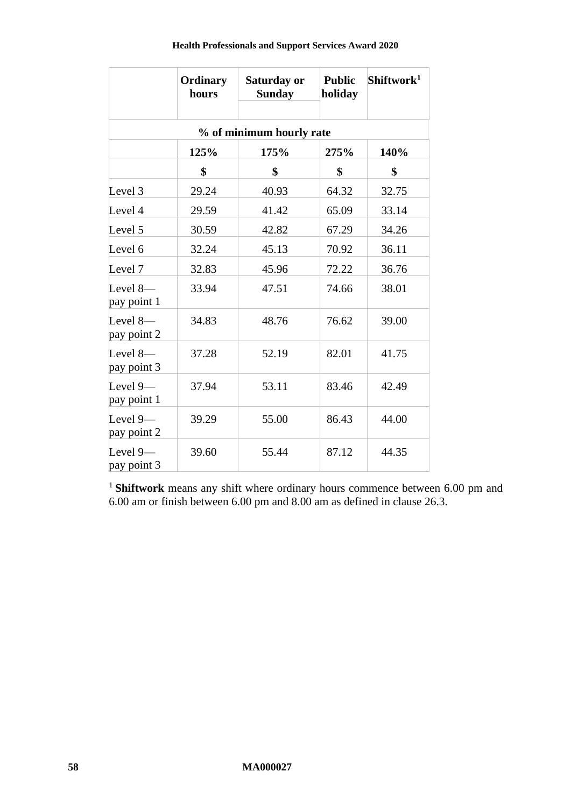|                           | Ordinary<br>hours        | Saturday or<br><b>Sunday</b> | <b>Public</b><br>holiday | Shiftwork <sup>1</sup> |  |  |  |
|---------------------------|--------------------------|------------------------------|--------------------------|------------------------|--|--|--|
|                           | % of minimum hourly rate |                              |                          |                        |  |  |  |
|                           | 125%                     | 175%                         | 275%                     | 140%                   |  |  |  |
|                           | \$                       | \$                           | \$                       | \$                     |  |  |  |
| Level 3                   | 29.24                    | 40.93                        | 64.32                    | 32.75                  |  |  |  |
| Level 4                   | 29.59                    | 41.42                        | 65.09                    | 33.14                  |  |  |  |
| Level 5                   | 30.59                    | 42.82                        | 67.29                    | 34.26                  |  |  |  |
| Level 6                   | 32.24                    | 45.13                        | 70.92                    | 36.11                  |  |  |  |
| Level 7                   | 32.83                    | 45.96                        | 72.22                    | 36.76                  |  |  |  |
| Level 8-<br>pay point 1   | 33.94                    | 47.51                        | 74.66                    | 38.01                  |  |  |  |
| Level 8-<br>pay point 2   | 34.83                    | 48.76                        | 76.62                    | 39.00                  |  |  |  |
| Level $8-$<br>pay point 3 | 37.28                    | 52.19                        | 82.01                    | 41.75                  |  |  |  |
| Level $9-$<br>pay point 1 | 37.94                    | 53.11                        | 83.46                    | 42.49                  |  |  |  |
| Level 9-<br>pay point 2   | 39.29                    | 55.00                        | 86.43                    | 44.00                  |  |  |  |
| Level $9-$<br>pay point 3 | 39.60                    | 55.44                        | 87.12                    | 44.35                  |  |  |  |

 $\top$ 

 $\top$ 

Ì

<sup>1</sup> Shiftwork means any shift where ordinary hours commence between 6.00 pm and 6.00 am or finish between 6.00 pm and 8.00 am as defined in clause [26.3.](#page-32-1)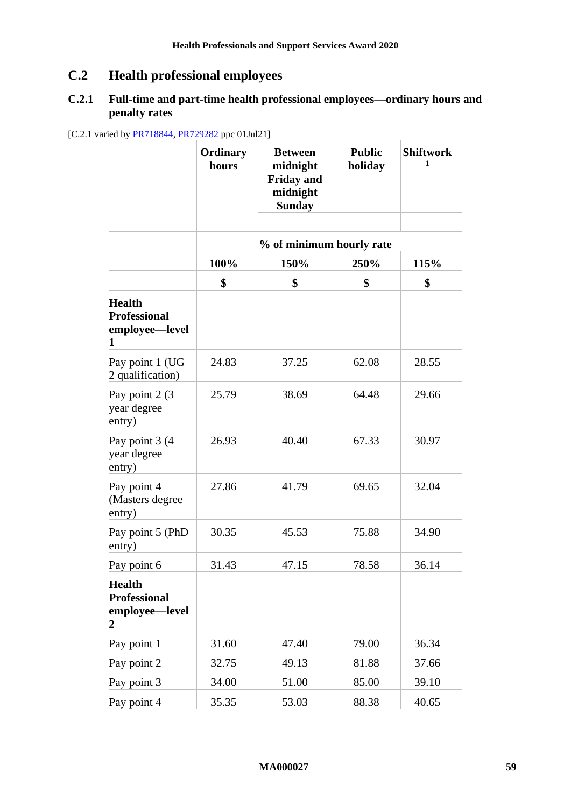# **C.2 Health professional employees**

### **C.2.1 Full-time and part-time health professional employees—ordinary hours and penalty rates**

[C.2.1 varied by **PR718844, [PR729282](https://www.fwc.gov.au/documents/awardsandorders/html/PR729282.htm)** ppc 01Jul21]

|                                                             | Ordinary<br>hours | <b>Between</b><br>midnight<br><b>Friday and</b><br>midnight<br><b>Sunday</b> | <b>Public</b><br>holiday | <b>Shiftwork</b><br>1 |
|-------------------------------------------------------------|-------------------|------------------------------------------------------------------------------|--------------------------|-----------------------|
|                                                             |                   |                                                                              |                          |                       |
|                                                             |                   | % of minimum hourly rate                                                     |                          |                       |
|                                                             | 100%              | 150%                                                                         | 250%                     | 115%                  |
|                                                             | \$                | \$                                                                           | \$                       | \$                    |
| <b>Health</b><br><b>Professional</b><br>employee—level<br>1 |                   |                                                                              |                          |                       |
| Pay point 1 (UG<br>2 qualification)                         | 24.83             | 37.25                                                                        | 62.08                    | 28.55                 |
| Pay point 2 (3)<br>year degree<br>entry)                    | 25.79             | 38.69                                                                        | 64.48                    | 29.66                 |
| Pay point 3 (4)<br>year degree<br>entry)                    | 26.93             | 40.40                                                                        | 67.33                    | 30.97                 |
| Pay point 4<br>(Masters degree<br>entry)                    | 27.86             | 41.79                                                                        | 69.65                    | 32.04                 |
| Pay point 5 (PhD<br>entry)                                  | 30.35             | 45.53                                                                        | 75.88                    | 34.90                 |
| Pay point 6                                                 | 31.43             | 47.15                                                                        | 78.58                    | 36.14                 |
| <b>Health</b><br><b>Professional</b><br>employee—level<br>2 |                   |                                                                              |                          |                       |
| Pay point 1                                                 | 31.60             | 47.40                                                                        | 79.00                    | 36.34                 |
| Pay point 2                                                 | 32.75             | 49.13                                                                        | 81.88                    | 37.66                 |
| Pay point 3                                                 | 34.00             | 51.00                                                                        | 85.00                    | 39.10                 |
| Pay point 4                                                 | 35.35             | 53.03                                                                        | 88.38                    | 40.65                 |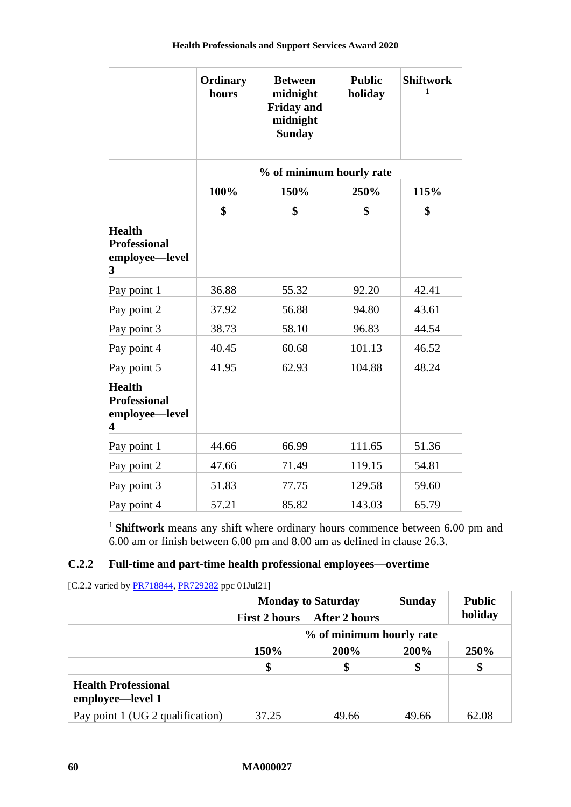|                                                                            | Ordinary<br>hours | <b>Between</b><br>midnight<br><b>Friday and</b><br>midnight<br><b>Sunday</b> | <b>Public</b><br>holiday | <b>Shiftwork</b><br>1 |
|----------------------------------------------------------------------------|-------------------|------------------------------------------------------------------------------|--------------------------|-----------------------|
|                                                                            |                   |                                                                              |                          |                       |
|                                                                            |                   | % of minimum hourly rate                                                     |                          |                       |
|                                                                            | 100%              | 150%                                                                         | 250%                     | 115%                  |
|                                                                            | \$                | \$                                                                           | \$                       | \$                    |
| <b>Health</b><br><b>Professional</b><br>employee—level<br>$\boldsymbol{3}$ |                   |                                                                              |                          |                       |
| Pay point 1                                                                | 36.88             | 55.32                                                                        | 92.20                    | 42.41                 |
| Pay point 2                                                                | 37.92             | 56.88                                                                        | 94.80                    | 43.61                 |
| Pay point 3                                                                | 38.73             | 58.10                                                                        | 96.83                    | 44.54                 |
| Pay point 4                                                                | 40.45             | 60.68                                                                        | 101.13                   | 46.52                 |
| Pay point 5                                                                | 41.95             | 62.93                                                                        | 104.88                   | 48.24                 |
| <b>Health</b><br><b>Professional</b><br>employee—level<br>4                |                   |                                                                              |                          |                       |
| Pay point 1                                                                | 44.66             | 66.99                                                                        | 111.65                   | 51.36                 |
| Pay point 2                                                                | 47.66             | 71.49                                                                        | 119.15                   | 54.81                 |
| Pay point 3                                                                | 51.83             | 77.75                                                                        | 129.58                   | 59.60                 |
| Pay point 4                                                                | 57.21             | 85.82                                                                        | 143.03                   | 65.79                 |

<sup>1</sup>**Shiftwork** means any shift where ordinary hours commence between 6.00 pm and 6.00 am or finish between 6.00 pm and 8.00 am as defined in clause [26.3.](#page-32-1)

### **C.2.2 Full-time and part-time health professional employees—overtime**

| [C.2.2 varied by PR718844, PR729282 ppc 01Jul21] |  |  |
|--------------------------------------------------|--|--|
|                                                  |  |  |

|                                                | <b>Monday to Saturday</b><br><b>After 2 hours</b><br><b>First 2 hours</b> |       | <b>Sunday</b> | <b>Public</b> |
|------------------------------------------------|---------------------------------------------------------------------------|-------|---------------|---------------|
|                                                |                                                                           |       |               | holiday       |
|                                                | % of minimum hourly rate                                                  |       |               |               |
|                                                | 150%                                                                      | 200%  | 200%          | 250%          |
|                                                | \$                                                                        | \$    | \$            | \$            |
| <b>Health Professional</b><br>employee—level 1 |                                                                           |       |               |               |
| Pay point 1 (UG 2 qualification)               | 37.25                                                                     | 49.66 | 49.66         | 62.08         |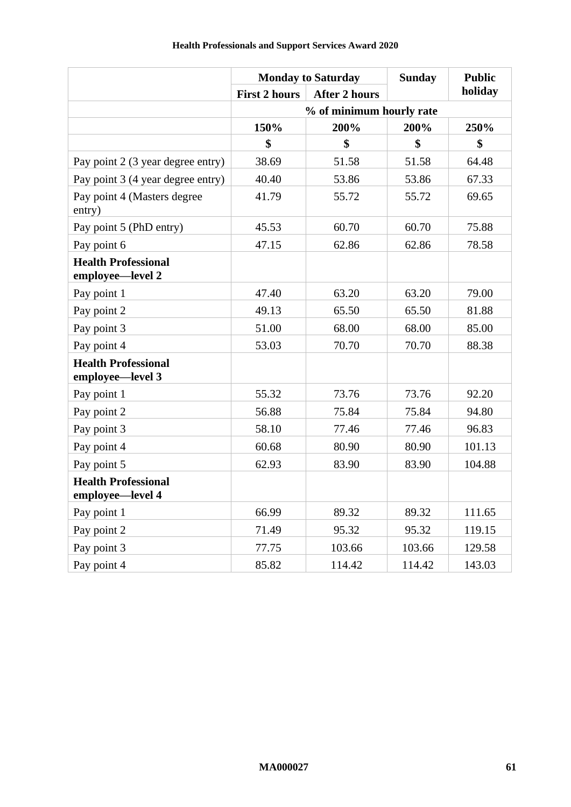|                                                |                      | <b>Monday to Saturday</b> | <b>Sunday</b> | <b>Public</b> |  |
|------------------------------------------------|----------------------|---------------------------|---------------|---------------|--|
|                                                | <b>First 2 hours</b> | <b>After 2 hours</b>      |               | holiday       |  |
|                                                |                      | % of minimum hourly rate  |               |               |  |
|                                                | 150%                 | 200%                      | 200%          | 250%          |  |
|                                                | \$                   | \$                        | \$            | \$            |  |
| Pay point 2 (3 year degree entry)              | 38.69                | 51.58                     | 51.58         | 64.48         |  |
| Pay point 3 (4 year degree entry)              | 40.40                | 53.86                     | 53.86         | 67.33         |  |
| Pay point 4 (Masters degree<br>entry)          | 41.79                | 55.72                     | 55.72         | 69.65         |  |
| Pay point 5 (PhD entry)                        | 45.53                | 60.70                     | 60.70         | 75.88         |  |
| Pay point 6                                    | 47.15                | 62.86                     | 62.86         | 78.58         |  |
| <b>Health Professional</b><br>employee-level 2 |                      |                           |               |               |  |
| Pay point 1                                    | 47.40                | 63.20                     | 63.20         | 79.00         |  |
| Pay point 2                                    | 49.13                | 65.50                     | 65.50         | 81.88         |  |
| Pay point 3                                    | 51.00                | 68.00                     | 68.00         | 85.00         |  |
| Pay point 4                                    | 53.03                | 70.70                     | 70.70         | 88.38         |  |
| <b>Health Professional</b><br>employee-level 3 |                      |                           |               |               |  |
| Pay point 1                                    | 55.32                | 73.76                     | 73.76         | 92.20         |  |
| Pay point 2                                    | 56.88                | 75.84                     | 75.84         | 94.80         |  |
| Pay point 3                                    | 58.10                | 77.46                     | 77.46         | 96.83         |  |
| Pay point 4                                    | 60.68                | 80.90                     | 80.90         | 101.13        |  |
| Pay point 5                                    | 62.93                | 83.90                     | 83.90         | 104.88        |  |
| <b>Health Professional</b><br>employee—level 4 |                      |                           |               |               |  |
| Pay point 1                                    | 66.99                | 89.32                     | 89.32         | 111.65        |  |
| Pay point 2                                    | 71.49                | 95.32                     | 95.32         | 119.15        |  |
| Pay point 3                                    | 77.75                | 103.66                    | 103.66        | 129.58        |  |
| Pay point 4                                    | 85.82                | 114.42                    | 114.42        | 143.03        |  |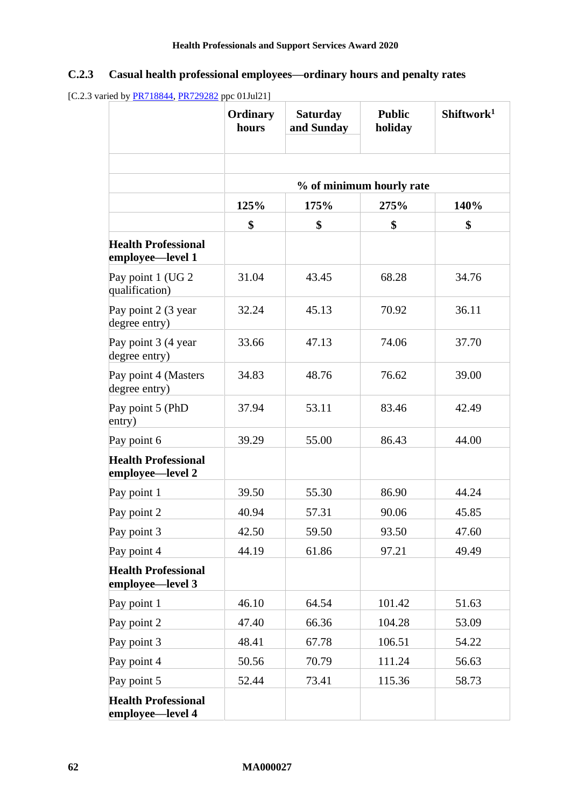# **C.2.3 Casual health professional employees—ordinary hours and penalty rates**

<sup>[</sup>C.2.3 varied by **PR718844**, **PR729282** ppc 01Jul21]

|                                                | <b>Ordinary</b><br>hours | <b>Saturday</b><br>and Sunday | <b>Public</b><br>holiday | Shiftwork <sup>1</sup> |
|------------------------------------------------|--------------------------|-------------------------------|--------------------------|------------------------|
|                                                |                          |                               |                          |                        |
|                                                |                          |                               | % of minimum hourly rate |                        |
|                                                | 125%                     | 175%                          | 275%                     | 140%                   |
|                                                | \$                       | \$                            | \$                       | \$                     |
| <b>Health Professional</b><br>employee—level 1 |                          |                               |                          |                        |
| Pay point 1 (UG 2)<br>qualification)           | 31.04                    | 43.45                         | 68.28                    | 34.76                  |
| Pay point 2 (3 year<br>degree entry)           | 32.24                    | 45.13                         | 70.92                    | 36.11                  |
| Pay point 3 (4 year<br>degree entry)           | 33.66                    | 47.13                         | 74.06                    | 37.70                  |
| Pay point 4 (Masters<br>degree entry)          | 34.83                    | 48.76                         | 76.62                    | 39.00                  |
| Pay point 5 (PhD<br>entry)                     | 37.94                    | 53.11                         | 83.46                    | 42.49                  |
| Pay point 6                                    | 39.29                    | 55.00                         | 86.43                    | 44.00                  |
| <b>Health Professional</b><br>employee—level 2 |                          |                               |                          |                        |
| Pay point 1                                    | 39.50                    | 55.30                         | 86.90                    | 44.24                  |
| Pay point 2                                    | 40.94                    | 57.31                         | 90.06                    | 45.85                  |
| Pay point 3                                    | 42.50                    | 59.50                         | 93.50                    | 47.60                  |
| Pay point 4                                    | 44.19                    | 61.86                         | 97.21                    | 49.49                  |
| <b>Health Professional</b><br>employee—level 3 |                          |                               |                          |                        |
| Pay point 1                                    | 46.10                    | 64.54                         | 101.42                   | 51.63                  |
| Pay point 2                                    | 47.40                    | 66.36                         | 104.28                   | 53.09                  |
| Pay point 3                                    | 48.41                    | 67.78                         | 106.51                   | 54.22                  |
| Pay point 4                                    | 50.56                    | 70.79                         | 111.24                   | 56.63                  |
| Pay point 5                                    | 52.44                    | 73.41                         | 115.36                   | 58.73                  |
| <b>Health Professional</b><br>employee-level 4 |                          |                               |                          |                        |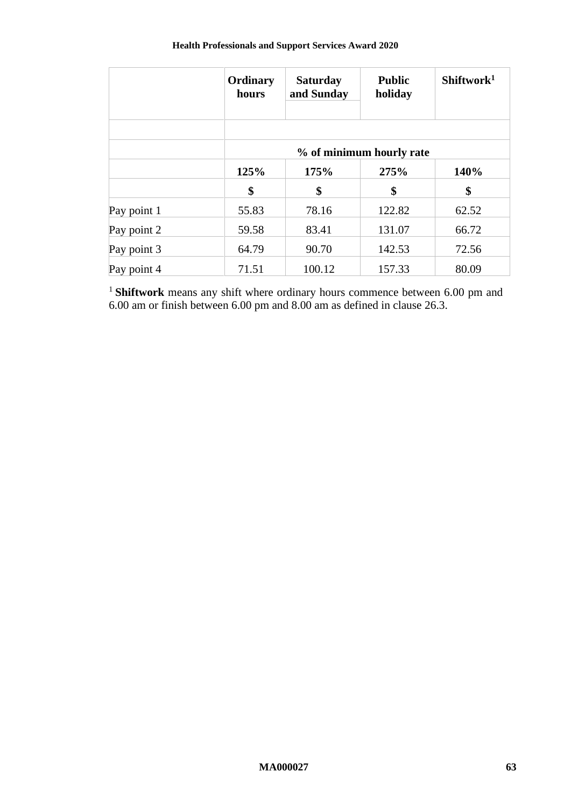| <b>Health Professionals and Support Services Award 2020</b> |  |  |
|-------------------------------------------------------------|--|--|
|-------------------------------------------------------------|--|--|

|             | Ordinary<br>hours | <b>Saturday</b><br>and Sunday | <b>Public</b><br>holiday | Shiftwork <sup>1</sup> |  |  |
|-------------|-------------------|-------------------------------|--------------------------|------------------------|--|--|
|             |                   | % of minimum hourly rate      |                          |                        |  |  |
|             | 125%              | 175%                          | 275%                     | 140%                   |  |  |
|             | \$                | \$                            | \$                       | \$                     |  |  |
| Pay point 1 | 55.83             | 78.16                         | 122.82                   | 62.52                  |  |  |
| Pay point 2 | 59.58             | 83.41                         | 131.07                   | 66.72                  |  |  |
| Pay point 3 | 64.79             | 90.70                         | 142.53                   | 72.56                  |  |  |
| Pay point 4 | 71.51             | 100.12                        | 157.33                   | 80.09                  |  |  |

<sup>1</sup> Shiftwork means any shift where ordinary hours commence between 6.00 pm and 6.00 am or finish between 6.00 pm and 8.00 am as defined in clause [26.3.](#page-32-1)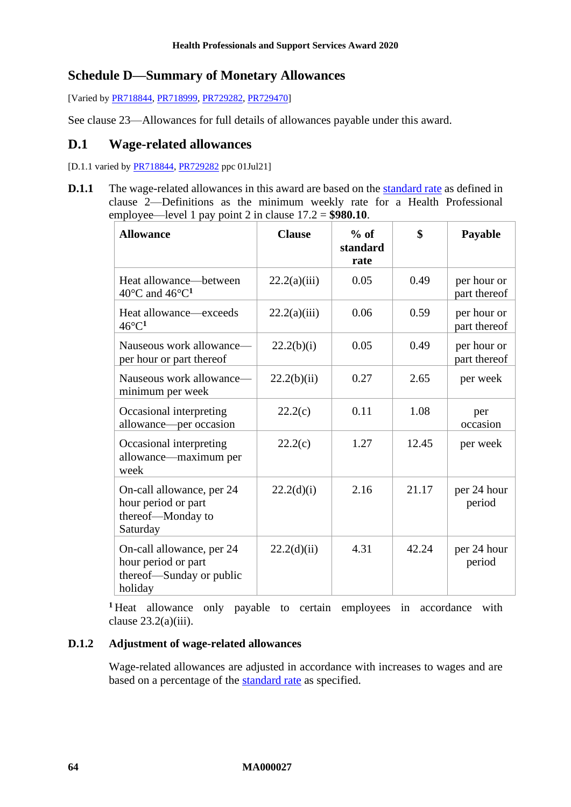# **Schedule D—Summary of Monetary Allowances**

[Varied b[y PR718844,](https://www.fwc.gov.au/documents/awardsandorders/html/PR718844.htm) [PR718999,](https://www.fwc.gov.au/documents/awardsandorders/html/PR718999.htm) [PR729282,](https://www.fwc.gov.au/documents/awardsandorders/html/PR729282.htm) [PR729470\]](https://www.fwc.gov.au/documents/awardsandorders/html/PR729470.htm)

See clause [23—Allowances](#page-22-0) for full details of allowances payable under this award.

### **D.1 Wage-related allowances**

[D.1.1 varied by [PR718844,](https://www.fwc.gov.au/documents/awardsandorders/html/PR718844.htm) [PR729282](https://www.fwc.gov.au/documents/awardsandorders/html/PR729282.htm) ppc 01Jul21]

**D.1.1** The wage-related allowances in this award are based on the standard rate as defined in clause [2—Definitions](#page-3-0) as the minimum weekly rate for a Health Professional employee—level 1 pay point 2 in clause [17.2](#page-17-0) = **\$980.10**.

| <b>Allowance</b>                                                                        | <b>Clause</b> | $%$ of<br>standard<br>rate | \$    | Payable                     |
|-----------------------------------------------------------------------------------------|---------------|----------------------------|-------|-----------------------------|
| Heat allowance—between<br>40 $\rm ^{\circ}C$ and 46 $\rm ^{\circ}C^{1}$                 | 22.2(a)(iii)  | 0.05                       | 0.49  | per hour or<br>part thereof |
| Heat allowance—exceeds<br>$46^{\circ}C^1$                                               | 22.2(a)(iii)  | 0.06                       | 0.59  | per hour or<br>part thereof |
| Nauseous work allowance-<br>per hour or part thereof                                    | 22.2(b)(i)    | 0.05                       | 0.49  | per hour or<br>part thereof |
| Nauseous work allowance-<br>minimum per week                                            | 22.2(b)(ii)   | 0.27                       | 2.65  | per week                    |
| Occasional interpreting<br>allowance—per occasion                                       | 22.2(c)       | 0.11                       | 1.08  | per<br>occasion             |
| Occasional interpreting<br>allowance—maximum per<br>week                                | 22.2(c)       | 1.27                       | 12.45 | per week                    |
| On-call allowance, per 24<br>hour period or part<br>thereof-Monday to<br>Saturday       | 22.2(d)(i)    | 2.16                       | 21.17 | per 24 hour<br>period       |
| On-call allowance, per 24<br>hour period or part<br>thereof—Sunday or public<br>holiday | 22.2(d)(ii)   | 4.31                       | 42.24 | per 24 hour<br>period       |

**<sup>1</sup>** Heat allowance only payable to certain employees in accordance with clause  $23.2(a)(iii)$ .

#### **D.1.2 Adjustment of wage-related allowances**

Wage-related allowances are adjusted in accordance with increases to wages and are based on a percentage of the **standard rate** as specified.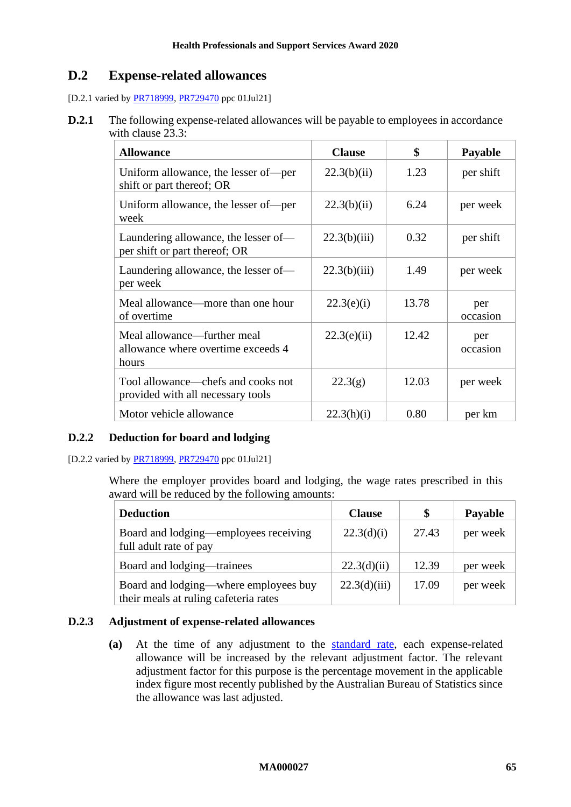# **D.2 Expense-related allowances**

[D.2.1 varied by **PR718999**, **PR729470** ppc 01Jul21]

**D.2.1** The following expense-related allowances will be payable to employees in accordance with clause [23.3:](#page-24-0)

| <b>Allowance</b>                                                           | <b>Clause</b> | \$    | <b>Payable</b>  |
|----------------------------------------------------------------------------|---------------|-------|-----------------|
| Uniform allowance, the lesser of per<br>shift or part thereof; OR          | 22.3(b)(ii)   | 1.23  | per shift       |
| Uniform allowance, the lesser of-per<br>week                               | 22.3(b)(ii)   | 6.24  | per week        |
| Laundering allowance, the lesser of—<br>per shift or part thereof; OR      | 22.3(b)(iii)  | 0.32  | per shift       |
| Laundering allowance, the lesser of-<br>per week                           | 22.3(b)(iii)  | 1.49  | per week        |
| Meal allowance—more than one hour<br>of overtime                           | 22.3(e)(i)    | 13.78 | per<br>occasion |
| Meal allowance—further meal<br>allowance where overtime exceeds 4<br>hours | 22.3(e)(ii)   | 12.42 | per<br>occasion |
| Tool allowance—chefs and cooks not<br>provided with all necessary tools    | 22.3(g)       | 12.03 | per week        |
| Motor vehicle allowance                                                    | 22.3(h)(i)    | 0.80  | per km          |

### **D.2.2 Deduction for board and lodging**

[D.2.2 varied by [PR718999,](https://www.fwc.gov.au/documents/awardsandorders/html/PR718999.htm) [PR729470](https://www.fwc.gov.au/documents/awardsandorders/html/PR729470.htm) ppc 01Jul21]

Where the employer provides board and lodging, the wage rates prescribed in this award will be reduced by the following amounts:

| <b>Deduction</b>                                                               | <b>Clause</b> | \$    | <b>Payable</b> |
|--------------------------------------------------------------------------------|---------------|-------|----------------|
| Board and lodging—employees receiving<br>full adult rate of pay                | 22.3(d)(i)    | 27.43 | per week       |
| Board and lodging—trainees                                                     | 22.3(d)(ii)   | 12.39 | per week       |
| Board and lodging—where employees buy<br>their meals at ruling cafeteria rates | 22.3(d)(iii)  | 17.09 | per week       |

### **D.2.3 Adjustment of expense-related allowances**

**(a)** At the time of any adjustment to the standard rate, each expense-related allowance will be increased by the relevant adjustment factor. The relevant adjustment factor for this purpose is the percentage movement in the applicable index figure most recently published by the Australian Bureau of Statistics since the allowance was last adjusted.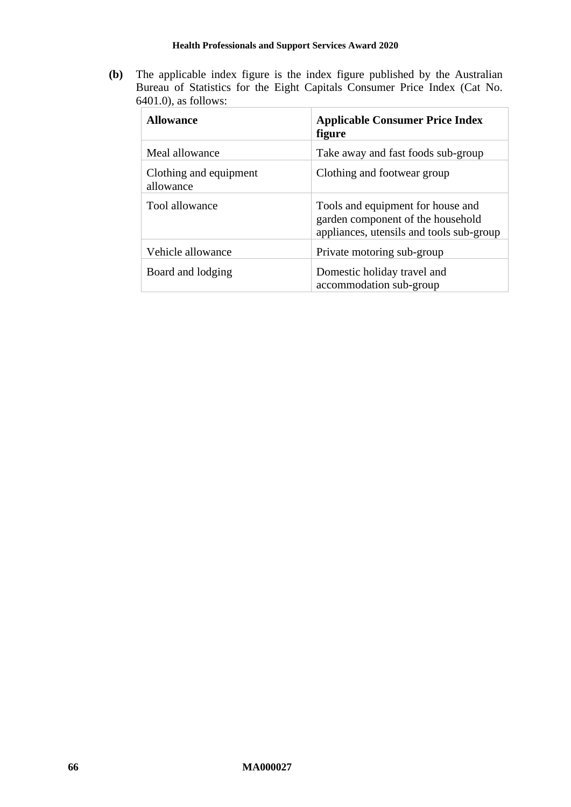**(b)** The applicable index figure is the index figure published by the Australian Bureau of Statistics for the Eight Capitals Consumer Price Index (Cat No. 6401.0), as follows:

| <b>Allowance</b>                    | <b>Applicable Consumer Price Index</b><br>figure                                                                   |
|-------------------------------------|--------------------------------------------------------------------------------------------------------------------|
| Meal allowance                      | Take away and fast foods sub-group                                                                                 |
| Clothing and equipment<br>allowance | Clothing and footwear group                                                                                        |
| Tool allowance                      | Tools and equipment for house and<br>garden component of the household<br>appliances, utensils and tools sub-group |
| Vehicle allowance                   | Private motoring sub-group                                                                                         |
| Board and lodging                   | Domestic holiday travel and<br>accommodation sub-group                                                             |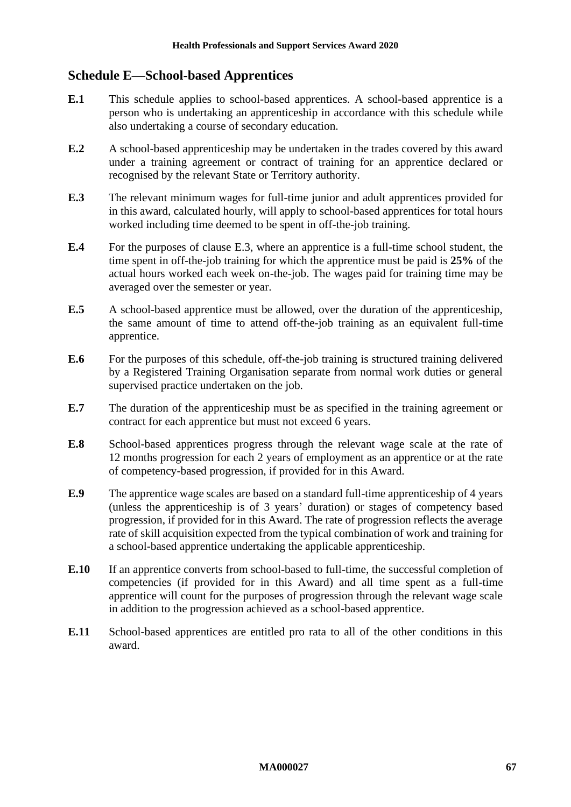# **Schedule E—School-based Apprentices**

- **E.1** This schedule applies to school-based apprentices. A school-based apprentice is a person who is undertaking an apprenticeship in accordance with this schedule while also undertaking a course of secondary education.
- **E.2** A school-based apprenticeship may be undertaken in the trades covered by this award under a training agreement or contract of training for an apprentice declared or recognised by the relevant State or Territory authority.
- <span id="page-66-0"></span>**E.3** The relevant minimum wages for full-time junior and adult apprentices provided for in this award, calculated hourly, will apply to school-based apprentices for total hours worked including time deemed to be spent in off-the-job training.
- **E.4** For the purposes of clause [E.3,](#page-66-0) where an apprentice is a full-time school student, the time spent in off-the-job training for which the apprentice must be paid is **25%** of the actual hours worked each week on-the-job. The wages paid for training time may be averaged over the semester or year.
- **E.5** A school-based apprentice must be allowed, over the duration of the apprenticeship, the same amount of time to attend off-the-job training as an equivalent full-time apprentice.
- **E.6** For the purposes of this schedule, off-the-job training is structured training delivered by a Registered Training Organisation separate from normal work duties or general supervised practice undertaken on the job.
- **E.7** The duration of the apprenticeship must be as specified in the training agreement or contract for each apprentice but must not exceed 6 years.
- **E.8** School-based apprentices progress through the relevant wage scale at the rate of 12 months progression for each 2 years of employment as an apprentice or at the rate of competency-based progression, if provided for in this Award.
- **E.9** The apprentice wage scales are based on a standard full-time apprenticeship of 4 years (unless the apprenticeship is of 3 years' duration) or stages of competency based progression, if provided for in this Award. The rate of progression reflects the average rate of skill acquisition expected from the typical combination of work and training for a school-based apprentice undertaking the applicable apprenticeship.
- **E.10** If an apprentice converts from school-based to full-time, the successful completion of competencies (if provided for in this Award) and all time spent as a full-time apprentice will count for the purposes of progression through the relevant wage scale in addition to the progression achieved as a school-based apprentice.
- **E.11** School-based apprentices are entitled pro rata to all of the other conditions in this award.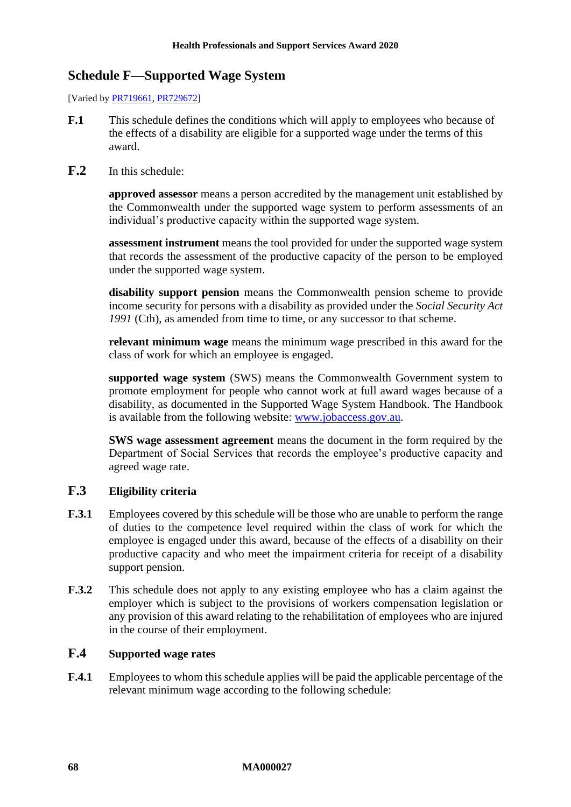# **Schedule F—Supported Wage System**

[Varied b[y PR719661,](https://www.fwc.gov.au/documents/awardsandorders/html/pr719661.htm) [PR729672\]](https://www.fwc.gov.au/documents/awardsandorders/html/PR729672.htm)

- **F.1** This schedule defines the conditions which will apply to employees who because of the effects of a disability are eligible for a supported wage under the terms of this award.
- **F.2** In this schedule:

**approved assessor** means a person accredited by the management unit established by the Commonwealth under the supported wage system to perform assessments of an individual's productive capacity within the supported wage system.

**assessment instrument** means the tool provided for under the supported wage system that records the assessment of the productive capacity of the person to be employed under the supported wage system.

**disability support pension** means the Commonwealth pension scheme to provide income security for persons with a disability as provided under the *Social Security Act*  1991 (Cth), as amended from time to time, or any successor to that scheme.

**relevant minimum wage** means the minimum wage prescribed in this award for the class of work for which an employee is engaged.

**supported wage system** (SWS) means the Commonwealth Government system to promote employment for people who cannot work at full award wages because of a disability, as documented in the Supported Wage System Handbook. The Handbook is available from the following website: [www.jobaccess.gov.au.](http://www.jobaccess.gov.au/)

**SWS wage assessment agreement** means the document in the form required by the Department of Social Services that records the employee's productive capacity and agreed wage rate.

### **F.3 Eligibility criteria**

- **F.3.1** Employees covered by this schedule will be those who are unable to perform the range of duties to the competence level required within the class of work for which the employee is engaged under this award, because of the effects of a disability on their productive capacity and who meet the impairment criteria for receipt of a disability support pension.
- **F.3.2** This schedule does not apply to any existing employee who has a claim against the employer which is subject to the provisions of workers compensation legislation or any provision of this award relating to the rehabilitation of employees who are injured in the course of their employment.

### **F.4 Supported wage rates**

**F.4.1** Employees to whom this schedule applies will be paid the applicable percentage of the relevant minimum wage according to the following schedule: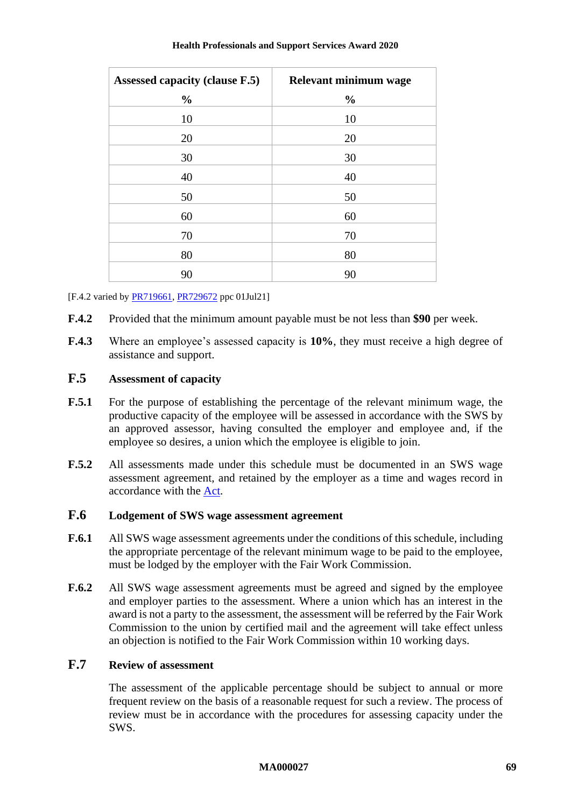| <b>Assessed capacity (clause F.5)</b> | Relevant minimum wage |
|---------------------------------------|-----------------------|
| $\frac{0}{0}$                         | $\frac{0}{0}$         |
| 10                                    | 10                    |
| 20                                    | 20                    |
| 30                                    | 30                    |
| 40                                    | 40                    |
| 50                                    | 50                    |
| 60                                    | 60                    |
| 70                                    | 70                    |
| 80                                    | 80                    |
| 90                                    | 90                    |

[F.4.2 varied by **PR719661**, **PR729672** ppc 01Jul21]

- **F.4.2** Provided that the minimum amount payable must be not less than **\$90** per week.
- **F.4.3** Where an employee's assessed capacity is **10%**, they must receive a high degree of assistance and support.

### <span id="page-68-0"></span>**F.5 Assessment of capacity**

- **F.5.1** For the purpose of establishing the percentage of the relevant minimum wage, the productive capacity of the employee will be assessed in accordance with the SWS by an approved assessor, having consulted the employer and employee and, if the employee so desires, a union which the employee is eligible to join.
- **F.5.2** All assessments made under this schedule must be documented in an SWS wage assessment agreement, and retained by the employer as a time and wages record in accordance with the [Act.](http://www.legislation.gov.au/Series/C2009A00028)

### **F.6 Lodgement of SWS wage assessment agreement**

- **F.6.1** All SWS wage assessment agreements under the conditions of this schedule, including the appropriate percentage of the relevant minimum wage to be paid to the employee, must be lodged by the employer with the Fair Work Commission.
- **F.6.2** All SWS wage assessment agreements must be agreed and signed by the employee and employer parties to the assessment. Where a union which has an interest in the award is not a party to the assessment, the assessment will be referred by the Fair Work Commission to the union by certified mail and the agreement will take effect unless an objection is notified to the Fair Work Commission within 10 working days.

### **F.7 Review of assessment**

The assessment of the applicable percentage should be subject to annual or more frequent review on the basis of a reasonable request for such a review. The process of review must be in accordance with the procedures for assessing capacity under the SWS.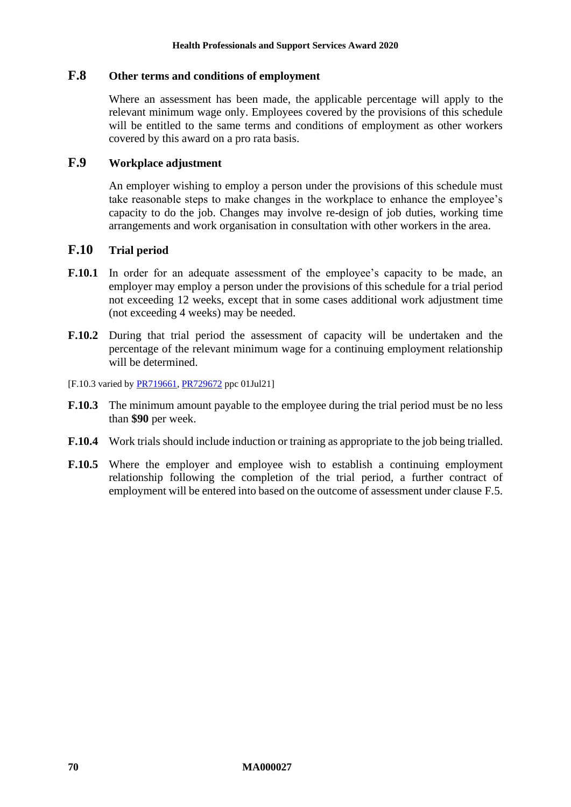### **F.8 Other terms and conditions of employment**

Where an assessment has been made, the applicable percentage will apply to the relevant minimum wage only. Employees covered by the provisions of this schedule will be entitled to the same terms and conditions of employment as other workers covered by this award on a pro rata basis.

### **F.9 Workplace adjustment**

An employer wishing to employ a person under the provisions of this schedule must take reasonable steps to make changes in the workplace to enhance the employee's capacity to do the job. Changes may involve re-design of job duties, working time arrangements and work organisation in consultation with other workers in the area.

### **F.10 Trial period**

- **F.10.1** In order for an adequate assessment of the employee's capacity to be made, an employer may employ a person under the provisions of this schedule for a trial period not exceeding 12 weeks, except that in some cases additional work adjustment time (not exceeding 4 weeks) may be needed.
- **F.10.2** During that trial period the assessment of capacity will be undertaken and the percentage of the relevant minimum wage for a continuing employment relationship will be determined.
- [F.10.3 varied by [PR719661,](https://www.fwc.gov.au/documents/awardsandorders/html/pr719661.htm) [PR729672](https://www.fwc.gov.au/documents/awardsandorders/html/pr729672.htm) ppc 01Jul21]
- **F.10.3** The minimum amount payable to the employee during the trial period must be no less than **\$90** per week.
- **F.10.4** Work trials should include induction or training as appropriate to the job being trialled.
- **F.10.5** Where the employer and employee wish to establish a continuing employment relationship following the completion of the trial period, a further contract of employment will be entered into based on the outcome of assessment under clause [F.5.](#page-68-0)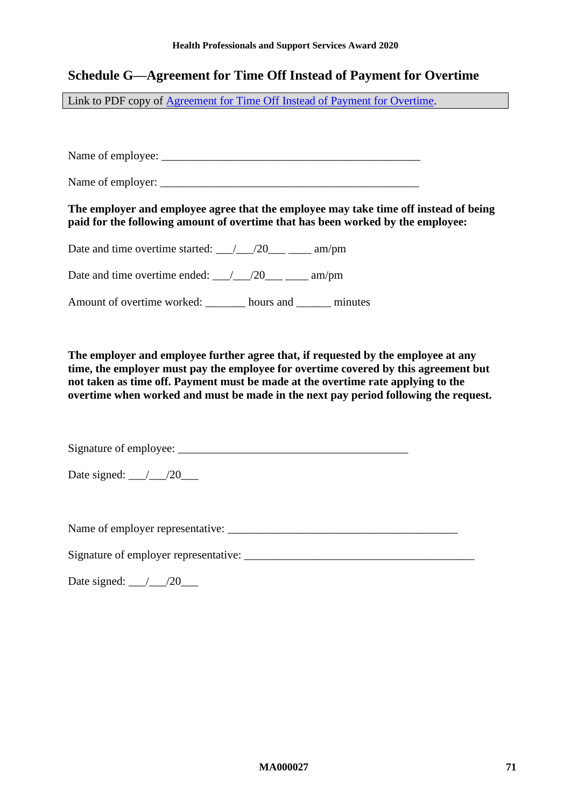# **Schedule G—Agreement for Time Off Instead of Payment for Overtime**

Link to PDF copy of [Agreement for Time Off Instead of Payment for Overtime.](http://www.fwc.gov.au/documents/documents/modern_awards/toil-agreement.pdf)

Name of employee: \_\_\_\_\_\_\_\_\_\_\_\_\_\_\_\_\_\_\_\_\_\_\_\_\_\_\_\_\_\_\_\_\_\_\_\_\_\_\_\_\_\_\_\_\_

Name of employer: \_\_\_\_\_\_\_\_\_\_\_\_\_\_\_\_\_\_\_\_\_\_\_\_\_\_\_\_\_\_\_\_\_\_\_\_\_\_\_\_\_\_\_\_\_

**The employer and employee agree that the employee may take time off instead of being paid for the following amount of overtime that has been worked by the employee:**

Date and time overtime started:  $\frac{1}{20}$  /20\_\_\_ \_\_\_\_ am/pm

Date and time overtime ended:  $\frac{1}{20}$  /20\_\_\_ \_\_\_\_ am/pm

Amount of overtime worked: \_\_\_\_\_\_\_ hours and \_\_\_\_\_\_ minutes

**The employer and employee further agree that, if requested by the employee at any time, the employer must pay the employee for overtime covered by this agreement but not taken as time off. Payment must be made at the overtime rate applying to the overtime when worked and must be made in the next pay period following the request.**

Signature of employee:

Date signed: \_\_\_/\_\_\_/20\_\_\_

Name of employer representative:

Signature of employer representative:

Date signed: \_\_\_/\_\_\_/20\_\_\_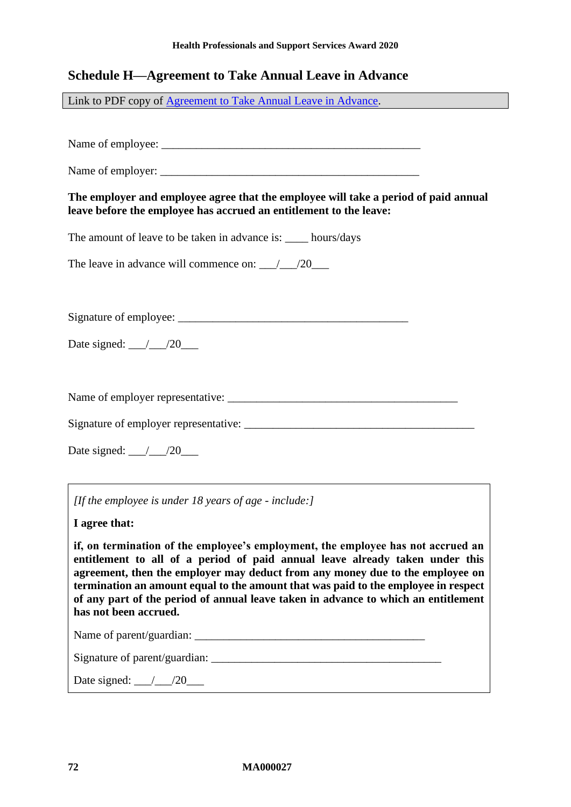# **Schedule H—Agreement to Take Annual Leave in Advance**

Link to PDF copy of [Agreement to Take Annual Leave in Advance.](http://www.fwc.gov.au/documents/documents/modern_awards/leave-in-advance-agreement.pdf)

Name of employee:

Name of employer: \_\_\_\_\_\_\_\_\_\_\_\_\_\_\_\_\_\_\_\_\_\_\_\_\_\_\_\_\_\_\_\_\_\_\_\_\_\_\_\_\_\_\_\_\_

**The employer and employee agree that the employee will take a period of paid annual leave before the employee has accrued an entitlement to the leave:**

The amount of leave to be taken in advance is: hours/days

The leave in advance will commence on:  $\frac{1}{20}$ 

Signature of employee: \_\_\_\_\_\_\_\_\_\_\_\_\_\_\_\_\_\_\_\_\_\_\_\_\_\_\_\_\_\_\_\_\_\_\_\_\_\_\_\_

Date signed: \_\_\_/\_\_\_/20\_\_\_\_

Name of employer representative: \_\_\_\_\_\_\_\_\_\_\_\_\_\_\_\_\_\_\_\_\_\_\_\_\_\_\_\_\_\_\_\_\_\_\_\_\_\_\_\_

Signature of employer representative: \_\_\_\_\_\_\_\_\_\_\_\_\_\_\_\_\_\_\_\_\_\_\_\_\_\_\_\_\_\_\_\_\_\_\_\_\_\_\_\_

Date signed: \_\_\_/\_\_\_/20\_\_\_

*[If the employee is under 18 years of age - include:]*

**I agree that:**

**if, on termination of the employee's employment, the employee has not accrued an entitlement to all of a period of paid annual leave already taken under this agreement, then the employer may deduct from any money due to the employee on termination an amount equal to the amount that was paid to the employee in respect of any part of the period of annual leave taken in advance to which an entitlement has not been accrued.**

| Name of parent/guardian:      |  |
|-------------------------------|--|
| Signature of parent/guardian: |  |
| Date signed:                  |  |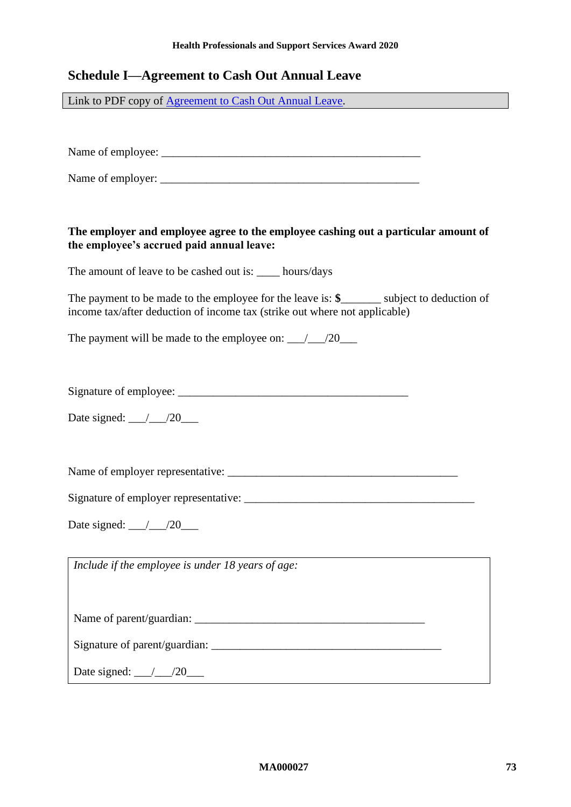#### **Health Professionals and Support Services Award 2020**

## **Schedule I—Agreement to Cash Out Annual Leave**

Link to PDF copy of [Agreement to Cash Out Annual Leave.](http://www.fwc.gov.au/documents/documents/modern_awards/cash-out-agreement.pdf)

Name of employee: \_\_\_\_\_\_\_\_\_\_\_\_\_\_\_\_\_\_\_\_\_\_\_\_\_\_\_\_\_\_\_\_\_\_\_\_\_\_\_\_\_\_\_\_\_

Name of employer: \_\_\_\_\_\_\_\_\_\_\_\_\_\_\_\_\_\_\_\_\_\_\_\_\_\_\_\_\_\_\_\_\_\_\_\_\_\_\_\_\_\_\_\_\_

### **The employer and employee agree to the employee cashing out a particular amount of the employee's accrued paid annual leave:**

The amount of leave to be cashed out is: hours/days

The payment to be made to the employee for the leave is: **\$**\_\_\_\_\_\_\_ subject to deduction of income tax/after deduction of income tax (strike out where not applicable)

The payment will be made to the employee on: \_\_\_/\_\_\_/20\_\_\_\_

Signature of employee: \_\_\_\_\_\_\_\_\_\_\_\_\_\_\_\_\_\_\_\_\_\_\_\_\_\_\_\_\_\_\_\_\_\_\_\_\_\_\_\_

Date signed: \_\_\_/\_\_\_/20\_\_\_

Name of employer representative: \_\_\_\_\_\_\_\_\_\_\_\_\_\_\_\_\_\_\_\_\_\_\_\_\_\_\_\_\_\_\_\_\_\_\_\_\_\_\_\_

Signature of employer representative: \_\_\_\_\_\_\_\_\_\_\_\_\_\_\_\_\_\_\_\_\_\_\_\_\_\_\_\_\_\_\_\_\_\_\_\_\_\_\_\_

Date signed: \_\_\_/\_\_\_/20\_\_\_

*Include if the employee is under 18 years of age:*

Name of parent/guardian: \_\_\_\_\_\_\_\_\_\_\_\_\_\_\_\_\_\_\_\_\_\_\_\_\_\_\_\_\_\_\_\_\_\_\_\_\_\_\_\_

Signature of parent/guardian:

Date signed: \_\_\_/\_\_\_/20\_\_\_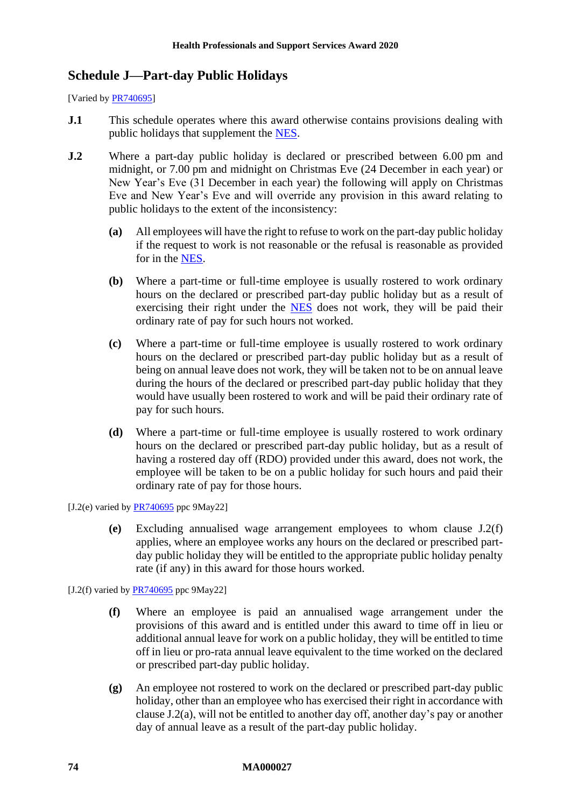# **Schedule J—Part-day Public Holidays**

[Varied b[y PR740695\]](https://www.fwc.gov.au/documents/awardsandorders/html/pr740695.htm)

- **J.1** This schedule operates where this award otherwise contains provisions dealing with public holidays that supplement the [NES.](https://www.fwc.gov.au/documents/awardmod/download/nes.pdf)
- <span id="page-73-1"></span>**J.2** Where a part-day public holiday is declared or prescribed between 6.00 pm and midnight, or 7.00 pm and midnight on Christmas Eve (24 December in each year) or New Year's Eve (31 December in each year) the following will apply on Christmas Eve and New Year's Eve and will override any provision in this award relating to public holidays to the extent of the inconsistency:
	- **(a)** All employees will have the right to refuse to work on the part-day public holiday if the request to work is not reasonable or the refusal is reasonable as provided for in the [NES.](https://www.fwc.gov.au/documents/awardmod/download/nes.pdf)
	- **(b)** Where a part-time or full-time employee is usually rostered to work ordinary hours on the declared or prescribed part-day public holiday but as a result of exercising their right under the [NES](https://www.fwc.gov.au/documents/awardmod/download/nes.pdf) does not work, they will be paid their ordinary rate of pay for such hours not worked.
	- **(c)** Where a part-time or full-time employee is usually rostered to work ordinary hours on the declared or prescribed part-day public holiday but as a result of being on annual leave does not work, they will be taken not to be on annual leave during the hours of the declared or prescribed part-day public holiday that they would have usually been rostered to work and will be paid their ordinary rate of pay for such hours.
	- **(d)** Where a part-time or full-time employee is usually rostered to work ordinary hours on the declared or prescribed part-day public holiday, but as a result of having a rostered day off (RDO) provided under this award, does not work, the employee will be taken to be on a public holiday for such hours and paid their ordinary rate of pay for those hours.

[J.2(e) varied by  $PR740695$  ppc  $9May22$ ]

**(e)** Excluding annualised wage arrangement employees to whom clause [J.2\(f\)](#page-73-0) applies, where an employee works any hours on the declared or prescribed partday public holiday they will be entitled to the appropriate public holiday penalty rate (if any) in this award for those hours worked.

<span id="page-73-0"></span>[J.2(f) varied by  $PR740695$  ppc 9May22]

- **(f)** Where an employee is paid an annualised wage arrangement under the provisions of this award and is entitled under this award to time off in lieu or additional annual leave for work on a public holiday, they will be entitled to time off in lieu or pro-rata annual leave equivalent to the time worked on the declared or prescribed part-day public holiday.
- **(g)** An employee not rostered to work on the declared or prescribed part-day public holiday, other than an employee who has exercised their right in accordance with clause [J.2\(a\),](#page-73-1) will not be entitled to another day off, another day's pay or another day of annual leave as a result of the part-day public holiday.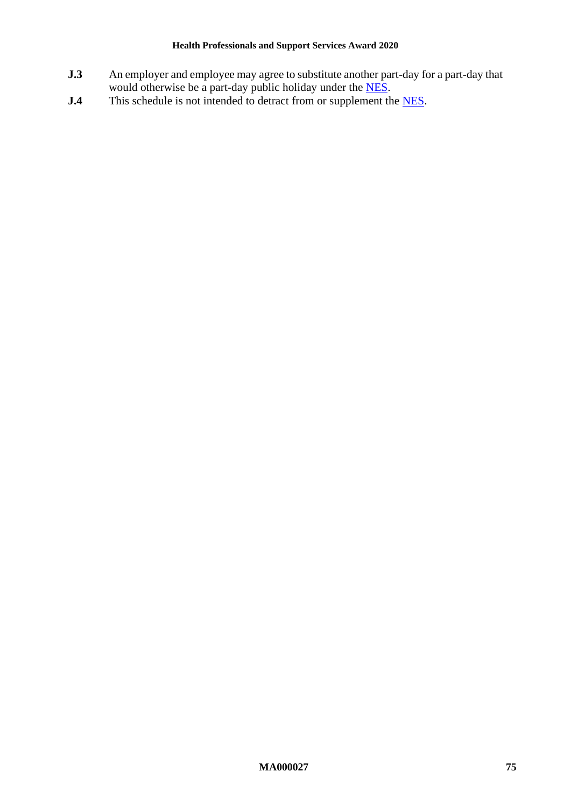### **Health Professionals and Support Services Award 2020**

- **J.3** An employer and employee may agree to substitute another part-day for a part-day that would otherwise be a part-day public holiday under the [NES.](https://www.fwc.gov.au/documents/awardmod/download/nes.pdf)
- **J.4** This schedule is not intended to detract from or supplement the [NES.](https://www.fwc.gov.au/documents/awardmod/download/nes.pdf)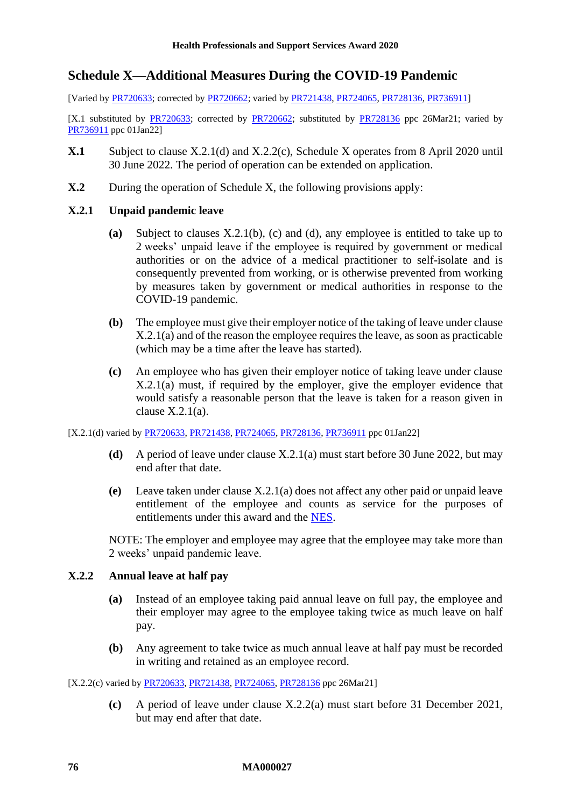## <span id="page-75-2"></span>**Schedule X—Additional Measures During the COVID-19 Pandemic**

[Varied b[y PR720633;](https://www.fwc.gov.au/documents/awardsandorders/html/PR720633.htm) corrected by [PR720662;](https://www.fwc.gov.au/documents/awardsandorders/html/PR720662.htm) varied by [PR721438,](https://www.fwc.gov.au/documents/awardsandorders/html/PR721438.htm) [PR724065,](https://www.fwc.gov.au/documents/awardsandorders/html/PR724065.htm) [PR728136,](https://www.fwc.gov.au/documents/awardsandorders/html/PR728136.htm) [PR736911\]](https://www.fwc.gov.au/documents/awardsandorders/html/PR736911.htm)

[X.1 substituted by [PR720633;](https://www.fwc.gov.au/documents/awardsandorders/html/PR720633.htm) corrected by [PR720662;](https://www.fwc.gov.au/documents/awardsandorders/html/PR720662.htm) substituted by [PR728136](https://www.fwc.gov.au/documents/awardsandorders/html/PR728136.htm) ppc 26Mar21; varied by [PR736911](https://www.fwc.gov.au/documents/awardsandorders/html/PR736911.htm) ppc 01Jan22]

- **X.1** Subject to clause [X.2.1\(d\)](#page-75-0) and [X.2.2\(c\),](#page-75-1) [Schedule X](#page-75-2) operates from 8 April 2020 until 30 June 2022. The period of operation can be extended on application.
- **X.2** During the operation of [Schedule X,](#page-75-2) the following provisions apply:

## <span id="page-75-7"></span><span id="page-75-5"></span>**X.2.1 Unpaid pandemic leave**

- **(a)** Subject to clauses [X.2.1\(b\),](#page-75-3) [\(c\)](#page-75-4) and [\(d\),](#page-75-0) any employee is entitled to take up to 2 weeks' unpaid leave if the employee is required by government or medical authorities or on the advice of a medical practitioner to self-isolate and is consequently prevented from working, or is otherwise prevented from working by measures taken by government or medical authorities in response to the COVID-19 pandemic.
- <span id="page-75-3"></span>**(b)** The employee must give their employer notice of the taking of leave under clause [X.2.1\(a\)](#page-75-5) and of the reason the employee requires the leave, as soon as practicable (which may be a time after the leave has started).
- <span id="page-75-4"></span>**(c)** An employee who has given their employer notice of taking leave under clause [X.2.1\(a\)](#page-75-5) must, if required by the employer, give the employer evidence that would satisfy a reasonable person that the leave is taken for a reason given in clause  $X$ .  $2.1(a)$ .

<span id="page-75-0"></span>[X.2.1(d) varied b[y PR720633,](https://www.fwc.gov.au/documents/awardsandorders/html/PR720633.htm) [PR721438,](https://www.fwc.gov.au/documents/awardsandorders/html/PR721438.htm) [PR724065,](https://www.fwc.gov.au/documents/awardsandorders/html/PR724065.htm) [PR728136,](https://www.fwc.gov.au/documents/awardsandorders/html/PR728136.htm) [PR736911](https://www.fwc.gov.au/documents/awardsandorders/html/PR736911.htm) ppc 01Jan22]

- **(d)** A period of leave under clause [X.2.1\(a\)](#page-75-5) must start before 30 June 2022, but may end after that date.
- **(e)** Leave taken under clause [X.2.1\(a\)](#page-75-5) does not affect any other paid or unpaid leave entitlement of the employee and counts as service for the purposes of entitlements under this award and the [NES.](https://www.fwc.gov.au/documents/awardmod/download/nes.pdf)

NOTE: The employer and employee may agree that the employee may take more than 2 weeks' unpaid pandemic leave.

### <span id="page-75-8"></span><span id="page-75-6"></span>**X.2.2 Annual leave at half pay**

- **(a)** Instead of an employee taking paid annual leave on full pay, the employee and their employer may agree to the employee taking twice as much leave on half pay.
- **(b)** Any agreement to take twice as much annual leave at half pay must be recorded in writing and retained as an employee record.

<span id="page-75-1"></span>[X.2.2(c) varied by [PR720633,](https://www.fwc.gov.au/documents/awardsandorders/html/PR720633.htm) [PR721438,](https://www.fwc.gov.au/documents/awardsandorders/html/PR721438.htm) [PR724065,](https://www.fwc.gov.au/documents/awardsandorders/html/PR724065.htm) [PR728136](https://www.fwc.gov.au/documents/awardsandorders/html/PR728136.htm) ppc 26Mar21]

**(c)** A period of leave under clause [X.2.2\(a\)](#page-75-6) must start before 31 December 2021, but may end after that date.